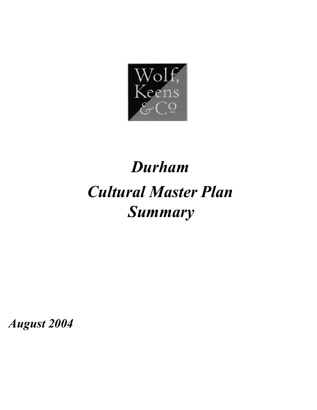

# *Durham Cultural Master Plan Summary*

*August 2004*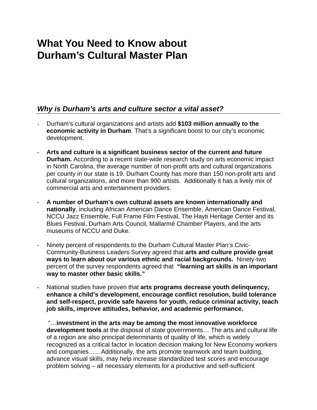## **What You Need to Know about Durham's Cultural Master Plan**

### *Why is Durham's arts and culture sector a vital asset?*

- Durham's cultural organizations and artists add **\$103 million annually to the economic activity in Durham**. That's a significant boost to our city's economic development.
- **Arts and culture is a significant business sector of the current and future Durham.** According to a recent state-wide research study on arts economic impact in North Carolina, the average number of non-profit arts and cultural organizations per county in our state is 19. Durham County has more than 150 non-profit arts and cultural organizations, and more than 900 artists. Additionally it has a lively mix of commercial arts and entertainment providers.
- **A number of Durham's own cultural assets are known internationally and nationally**, including African American Dance Ensemble, American Dance Festival, NCCU Jazz Ensemble, Full Frame Film Festival, The Hayti Heritage Center and its Blues Festival, Durham Arts Council, Mallarmé Chamber Players, and the arts museums of NCCU and Duke.
- Ninety percent of respondents to the Durham Cultural Master Plan's Civic-Community-Business Leaders Survey agreed that **arts and culture provide great ways to learn about our various ethnic and racial backgrounds.** Ninety-two percent of the survey respondents agreed that **"learning art skills is an important way to master other basic skills."**
- National studies have proven that **arts programs decrease youth delinquency, enhance a child's development, encourage conflict resolution, build tolerance and self-respect, provide safe havens for youth, reduce criminal activity, teach job skills, improve attitudes, behavior, and academic performance.**

"…**investment in the arts may be among the most innovative workforce development tools** at the disposal of state governments… The arts and cultural life of a region are also principal determinants of quality of life, which is widely recognized as a critical factor in location decision making for New Economy workers and companies……Additionally, the arts promote teamwork and team building, advance visual skills, may help increase standardized test scores and encourage problem solving – all necessary elements for a productive and self-sufficient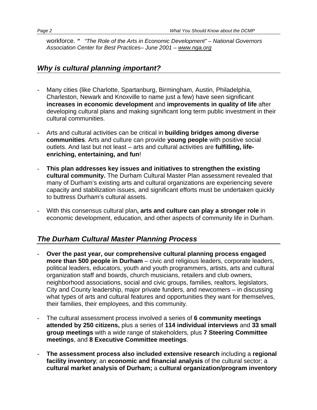workforce. *" "The Role of the Arts in Economic Development" – National Governors Association Center for Best Practices– June 2001 – [www.nga.org](http://www.nga.org/)*

### *Why is cultural planning important?*

- **-** Many cities (like Charlotte, Spartanburg, Birmingham, Austin, Philadelphia, Charleston, Newark and Knoxville to name just a few) have seen significant **increases in economic development** and **improvements in quality of life** after developing cultural plans and making significant long term public investment in their cultural communities.
- **-** Arts and cultural activities can be critical in **building bridges among diverse communities**. Arts and culture can provide **young people** with positive social outlets. And last but not least – arts and cultural activities are **fulfilling, lifeenriching, entertaining, and fun**!
- **- This plan addresses key issues and initiatives to strengthen the existing cultural community.** The Durham Cultural Master Plan assessment revealed that many of Durham's existing arts and cultural organizations are experiencing severe capacity and stabilization issues, and significant efforts must be undertaken quickly to buttress Durham's cultural assets.
- **-** With this consensus cultural plan**, arts and culture can play a stronger role** in economic development, education, and other aspects of community life in Durham.

### *The Durham Cultural Master Planning Process*

- **- Over the past year, our comprehensive cultural planning process engaged more than 500 people in Durham** – civic and religious leaders, corporate leaders, political leaders, educators, youth and youth programmers, artists, arts and cultural organization staff and boards, church musicians, retailers and club owners, neighborhood associations, social and civic groups, families, realtors, legislators, City and County leadership, major private funders, and newcomers – in discussing what types of arts and cultural features and opportunities they want for themselves, their families, their employees, and this community.
- **-** The cultural assessment process involved a series of **6 community meetings attended by 250 citizens,** plus a series of **114 individual interviews** and **33 small group meetings** with a wide range of stakeholders, plus **7 Steering Committee meetings**, and **8 Executive Committee meetings**.
- **- The assessment process also included extensive research** including a **regional facility inventory**; an **economic and financial analysis** of the cultural sector; a **cultural market analysis of Durham;** a **cultural organization/program inventory**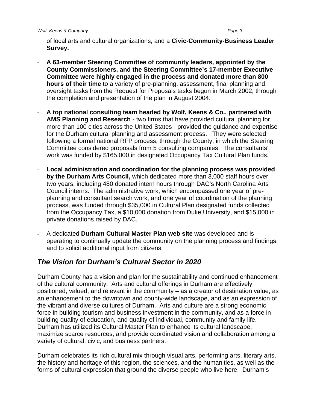of local arts and cultural organizations, and a **Civic-Community-Business Leader Survey.** 

- **- A 63-member Steering Committee of community leaders, appointed by the County Commissioners, and the Steering Committee's 17-member Executive Committee were highly engaged in the process and donated more than 800 hours of their time** to a variety of pre-planning, assessment, final planning and oversight tasks from the Request for Proposals tasks begun in March 2002, through the completion and presentation of the plan in August 2004.
- **- A top national consulting team headed by Wolf, Keens & Co., partnered with AMS Planning and Research** - two firms that have provided cultural planning for more than 100 cities across the United States - provided the guidance and expertise for the Durham cultural planning and assessment process. They were selected following a formal national RFP process, through the County, in which the Steering Committee considered proposals from 5 consulting companies. The consultants' work was funded by \$165,000 in designated Occupancy Tax Cultural Plan funds.
- **- Local administration and coordination for the planning process was provided by the Durham Arts Council,** which dedicated more than 3,000 staff hours over two years, including 480 donated intern hours through DAC's North Carolina Arts Council interns. The administrative work, which encompassed one year of preplanning and consultant search work, and one year of coordination of the planning process, was funded through \$35,000 in Cultural Plan designated funds collected from the Occupancy Tax, a \$10,000 donation from Duke University, and \$15,000 in private donations raised by DAC.
- **-** A dedicated **Durham Cultural Master Plan web site** was developed and is operating to continually update the community on the planning process and findings, and to solicit additional input from citizens.

### *The Vision for Durham's Cultural Sector in 2020*

Durham County has a vision and plan for the sustainability and continued enhancement of the cultural community. Arts and cultural offerings in Durham are effectively positioned, valued, and relevant in the community – as a creator of destination value, as an enhancement to the downtown and county-wide landscape, and as an expression of the vibrant and diverse cultures of Durham. Arts and culture are a strong economic force in building tourism and business investment in the community, and as a force in building quality of education, and quality of individual, community and family life. Durham has utilized its Cultural Master Plan to enhance its cultural landscape, maximize scarce resources, and provide coordinated vision and collaboration among a variety of cultural, civic, and business partners.

Durham celebrates its rich cultural mix through visual arts, performing arts, literary arts, the history and heritage of this region, the sciences, and the humanities, as well as the forms of cultural expression that ground the diverse people who live here. Durham's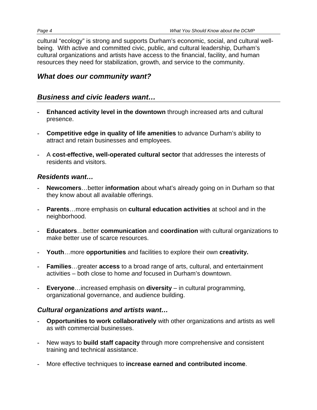cultural "ecology" is strong and supports Durham's economic, social, and cultural wellbeing. With active and committed civic, public, and cultural leadership, Durham's cultural organizations and artists have access to the financial, facility, and human resources they need for stabilization, growth, and service to the community.

### *What does our community want?*

### *Business and civic leaders want…*

- **- Enhanced activity level in the downtown** through increased arts and cultural presence.
- **- Competitive edge in quality of life amenities** to advance Durham's ability to attract and retain businesses and employees.
- **-** A **cost-effective, well-operated cultural sector** that addresses the interests of residents and visitors.

### *Residents want…*

- **- Newcomers**…better **information** about what's already going on in Durham so that they know about all available offerings.
- **- Parents**…more emphasis on **cultural education activities** at school and in the neighborhood.
- **- Educators**…better **communication** and **coordination** with cultural organizations to make better use of scarce resources.
- **- Youth**…more **opportunities** and facilities to explore their own **creativity.**
- **- Families**…greater **access** to a broad range of arts, cultural, and entertainment activities – both close to home *and* focused in Durham's downtown.
- **- Everyone**…increased emphasis on **diversity** in cultural programming, organizational governance, and audience building.

### *Cultural organizations and artists want…*

- **- Opportunities to work collaboratively** with other organizations and artists as well as with commercial businesses.
- **-** New ways to **build staff capacity** through more comprehensive and consistent training and technical assistance.
- **-** More effective techniques to **increase earned and contributed income**.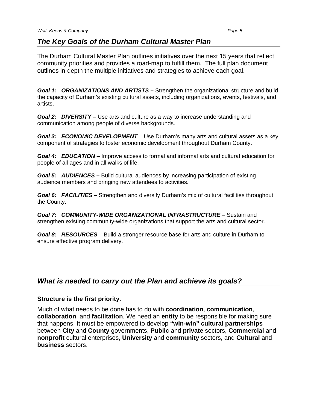#### *The Key Goals of the Durham Cultural Master Plan*

The Durham Cultural Master Plan outlines initiatives over the next 15 years that reflect community priorities and provides a road-map to fulfill them. The full plan document outlines in-depth the multiple initiatives and strategies to achieve each goal.

*Goal 1: ORGANIZATIONS AND ARTISTS* **–** Strengthen the organizational structure and build the capacity of Durham's existing cultural assets, including organizations, events, festivals, and artists.

**Goal 2: DIVERSITY** – Use arts and culture as a way to increase understanding and communication among people of diverse backgrounds.

*Goal 3: ECONOMIC DEVELOPMENT* – Use Durham's many arts and cultural assets as a key component of strategies to foster economic development throughout Durham County.

*Goal 4: EDUCATION* – Improve access to formal and informal arts and cultural education for people of all ages and in all walks of life.

*Goal 5: AUDIENCES* **–** Build cultural audiences by increasing participation of existing audience members and bringing new attendees to activities.

*Goal 6: FACILITIES* **–** Strengthen and diversify Durham's mix of cultural facilities throughout the County.

*Goal 7: COMMUNITY-WIDE ORGANIZATIONAL INFRASTRUCTURE* – Sustain and strengthen existing community-wide organizations that support the arts and cultural sector.

*Goal 8: RESOURCES* – Build a stronger resource base for arts and culture in Durham to ensure effective program delivery.

### *What is needed to carry out the Plan and achieve its goals?*

#### **Structure is the first priority.**

Much of what needs to be done has to do with **coordination**, **communication**, **collaboration**, and **facilitation**. We need an **entity** to be responsible for making sure that happens. It must be empowered to develop **"win-win" cultural partnerships** between **City** and **County** governments, **Public** and **private** sectors, **Commercial** and **nonprofit** cultural enterprises, **University** and **community** sectors, and **Cultural** and **business** sectors.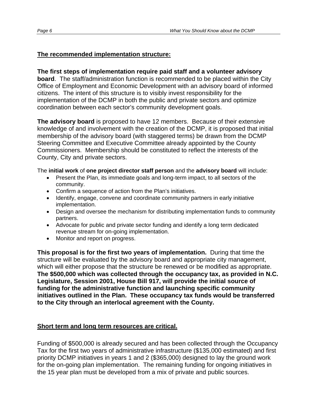#### **The recommended implementation structure:**

#### **The first steps of implementation require paid staff and a volunteer advisory**

**board**. The staff/administration function is recommended to be placed within the City Office of Employment and Economic Development with an advisory board of informed citizens. The intent of this structure is to visibly invest responsibility for the implementation of the DCMP in both the public and private sectors and optimize coordination between each sector's community development goals.

**The advisory board** is proposed to have 12 members. Because of their extensive knowledge of and involvement with the creation of the DCMP, it is proposed that initial membership of the advisory board (with staggered terms) be drawn from the DCMP Steering Committee and Executive Committee already appointed by the County Commissioners. Membership should be constituted to reflect the interests of the County, City and private sectors.

The **initial work** of **one project director staff person** and the **advisory board** will include:

- Present the Plan, its immediate goals and long-term impact, to all sectors of the community.
- Confirm a sequence of action from the Plan's initiatives.
- Identify, engage, convene and coordinate community partners in early initiative implementation.
- Design and oversee the mechanism for distributing implementation funds to community partners.
- Advocate for public and private sector funding and identify a long term dedicated revenue stream for on-going implementation.
- Monitor and report on progress.

**This proposal is for the first two years of implementation.** During that time the structure will be evaluated by the advisory board and appropriate city management, which will either propose that the structure be renewed or be modified as appropriate. **The \$500,000 which was collected through the occupancy tax, as provided in N.C. Legislature, Session 2001, House Bill 917, will provide the initial source of funding for the administrative function and launching specific community initiatives outlined in the Plan. These occupancy tax funds would be transferred to the City through an interlocal agreement with the County.**

#### **Short term and long term resources are critical.**

Funding of \$500,000 is already secured and has been collected through the Occupancy Tax for the first two years of administrative infrastructure (\$135,000 estimated) and first priority DCMP initiatives in years 1 and 2 (\$365,000) designed to lay the ground work for the on-going plan implementation. The remaining funding for ongoing initiatives in the 15 year plan must be developed from a mix of private and public sources.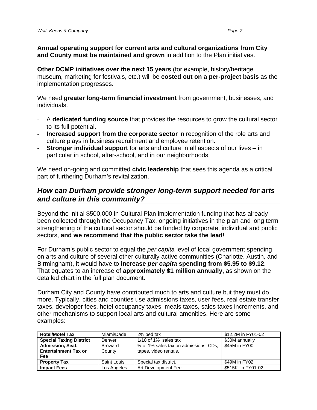**Annual operating support for current arts and cultural organizations from City and County must be maintained and grown** in addition to the Plan initiatives.

**Other DCMP initiatives over the next 15 years** (for example, history/heritage museum, marketing for festivals, etc.) will be **costed out on a per-project basis** as the implementation progresses.

We need **greater long-term financial investment** from government, businesses, and individuals.

- A **dedicated funding source** that provides the resources to grow the cultural sector to its full potential.
- **Increased support from the corporate sector** in recognition of the role arts and culture plays in business recruitment and employee retention.
- **Stronger individual support** for arts and culture in all aspects of our lives in particular in school, after-school, and in our neighborhoods.

We need on-going and committed **civic leadership** that sees this agenda as a critical part of furthering Durham's revitalization.

### *How can Durham provide stronger long-term support needed for arts and culture in this community?*

Beyond the initial \$500,000 in Cultural Plan implementation funding that has already been collected through the Occupancy Tax, ongoing initiatives in the plan and long term strengthening of the cultural sector should be funded by corporate, individual and public sectors, **and we recommend that the public sector take the lead**!

For Durham's public sector to equal the *per capita* level of local government spending on arts and culture of several other culturally active communities (Charlotte, Austin, and Birmingham), it would have to **increase** *per capita* **spending from \$5.95 to \$9.12**. That equates to an increase of **approximately \$1 million annually,** as shown on the detailed chart in the full plan document.

Durham City and County have contributed much to arts and culture but they must do more. Typically, cities and counties use admissions taxes, user fees, real estate transfer taxes, developer fees, hotel occupancy taxes, meals taxes, sales taxes increments, and other mechanisms to support local arts and cultural amenities. Here are some examples:

| <b>Hotel/Motel Tax</b>         | Miami/Dade     | 2% bed tax                                        | \$12.2M in FY01-02 |
|--------------------------------|----------------|---------------------------------------------------|--------------------|
| <b>Special Taxing District</b> | Denver         | $1/10$ of 1% sales tax                            | \$30M annually     |
| <b>Admission, Seat,</b>        | <b>Broward</b> | $\frac{1}{2}$ of 1% sales tax on admissions, CDs, | \$45M in FY00      |
| <b>Entertainment Tax or</b>    | County         | tapes, video rentals.                             |                    |
| Fee                            |                |                                                   |                    |
| <b>Property Tax</b>            | Saint Louis    | Special tax district.                             | \$49M in FY02      |
| <b>Impact Fees</b>             | Los Angeles    | Art Development Fee                               | \$515K in FY01-02  |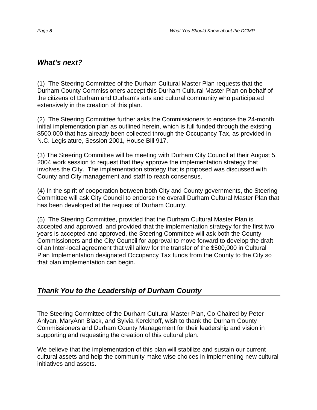### *What's next?*

(1) The Steering Committee of the Durham Cultural Master Plan requests that the Durham County Commissioners accept this Durham Cultural Master Plan on behalf of the citizens of Durham and Durham's arts and cultural community who participated extensively in the creation of this plan.

(2) The Steering Committee further asks the Commissioners to endorse the 24-month initial implementation plan as outlined herein, which is full funded through the existing \$500,000 that has already been collected through the Occupancy Tax, as provided in N.C. Legislature, Session 2001, House Bill 917.

(3) The Steering Committee will be meeting with Durham City Council at their August 5, 2004 work session to request that they approve the implementation strategy that involves the City. The implementation strategy that is proposed was discussed with County and City management and staff to reach consensus.

(4) In the spirit of cooperation between both City and County governments, the Steering Committee will ask City Council to endorse the overall Durham Cultural Master Plan that has been developed at the request of Durham County.

(5) The Steering Committee, provided that the Durham Cultural Master Plan is accepted and approved, and provided that the implementation strategy for the first two years is accepted and approved, the Steering Committee will ask both the County Commissioners and the City Council for approval to move forward to develop the draft of an Inter-local agreement that will allow for the transfer of the \$500,000 in Cultural Plan Implementation designated Occupancy Tax funds from the County to the City so that plan implementation can begin.

### *Thank You to the Leadership of Durham County*

The Steering Committee of the Durham Cultural Master Plan, Co-Chaired by Peter Anlyan, MaryAnn Black, and Sylvia Kerckhoff, wish to thank the Durham County Commissioners and Durham County Management for their leadership and vision in supporting and requesting the creation of this cultural plan.

We believe that the implementation of this plan will stabilize and sustain our current cultural assets and help the community make wise choices in implementing new cultural initiatives and assets.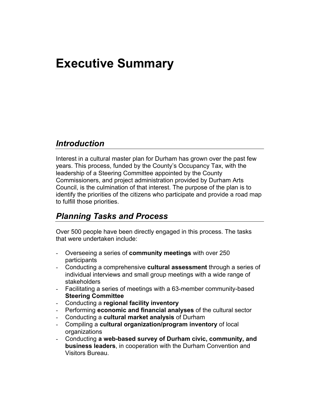# **Executive Summary**

### *Introduction*

Interest in a cultural master plan for Durham has grown over the past few years. This process, funded by the County's Occupancy Tax, with the leadership of a Steering Committee appointed by the County Commissioners, and project administration provided by Durham Arts Council, is the culmination of that interest. The purpose of the plan is to identify the priorities of the citizens who participate and provide a road map to fulfill those priorities.

### *Planning Tasks and Process*

Over 500 people have been directly engaged in this process. The tasks that were undertaken include:

- Overseeing a series of **community meetings** with over 250 participants
- Conducting a comprehensive **cultural assessment** through a series of individual interviews and small group meetings with a wide range of stakeholders
- Facilitating a series of meetings with a 63-member community-based **Steering Committee**
- Conducting a **regional facility inventory**
- Performing **economic and financial analyses** of the cultural sector
- Conducting a **cultural market analysis** of Durham
- Compiling a **cultural organization/program inventory** of local organizations
- Conducting **a web-based survey of Durham civic, community, and business leaders**, in cooperation with the Durham Convention and Visitors Bureau.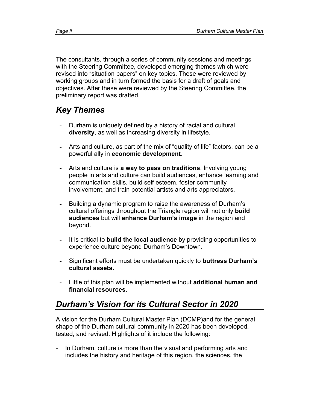The consultants, through a series of community sessions and meetings with the Steering Committee, developed emerging themes which were revised into "situation papers" on key topics. These were reviewed by working groups and in turn formed the basis for a draft of goals and objectives. After these were reviewed by the Steering Committee, the preliminary report was drafted.

### *Key Themes*

- Durham is uniquely defined by a history of racial and cultural **diversity**, as well as increasing diversity in lifestyle.
- Arts and culture, as part of the mix of "quality of life" factors, can be a powerful ally in **economic development**.
- Arts and culture is **a way to pass on traditions**. Involving young people in arts and culture can build audiences, enhance learning and communication skills, build self esteem, foster community involvement, and train potential artists and arts appreciators.
- Building a dynamic program to raise the awareness of Durham's cultural offerings throughout the Triangle region will not only **build audiences** but will **enhance Durham's image** in the region and beyond.
- It is critical to **build the local audience** by providing opportunities to experience culture beyond Durham's Downtown.
- Significant efforts must be undertaken quickly to **buttress Durham's cultural assets.**
- Little of this plan will be implemented without **additional human and financial resources**.

### *Durham's Vision for its Cultural Sector in 2020*

A vision for the Durham Cultural Master Plan (DCMP)and for the general shape of the Durham cultural community in 2020 has been developed, tested, and revised. Highlights of it include the following:

**-** In Durham, culture is more than the visual and performing arts and includes the history and heritage of this region, the sciences, the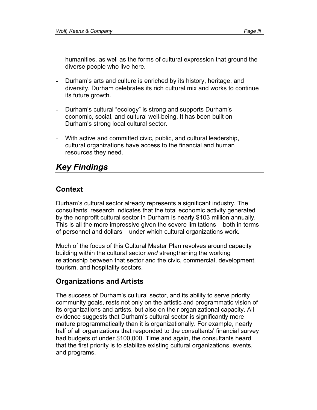humanities, as well as the forms of cultural expression that ground the diverse people who live here.

- Durham's arts and culture is enriched by its history, heritage, and diversity. Durham celebrates its rich cultural mix and works to continue its future growth.
- Durham's cultural "ecology" is strong and supports Durham's economic, social, and cultural well-being. It has been built on Durham's strong local cultural sector.
- With active and committed civic, public, and cultural leadership, cultural organizations have access to the financial and human resources they need.

### *Key Findings*

### **Context**

Durham's cultural sector already represents a significant industry. The consultants' research indicates that the total economic activity generated by the nonprofit cultural sector in Durham is nearly \$103 million annually. This is all the more impressive given the severe limitations – both in terms of personnel and dollars – under which cultural organizations work.

Much of the focus of this Cultural Master Plan revolves around capacity building within the cultural sector *and* strengthening the working relationship between that sector and the civic, commercial, development, tourism, and hospitality sectors.

### **Organizations and Artists**

The success of Durham's cultural sector, and its ability to serve priority community goals, rests not only on the artistic and programmatic vision of its organizations and artists, but also on their organizational capacity. All evidence suggests that Durham's cultural sector is significantly more mature programmatically than it is organizationally. For example, nearly half of all organizations that responded to the consultants' financial survey had budgets of under \$100,000. Time and again, the consultants heard that the first priority is to stabilize existing cultural organizations, events, and programs.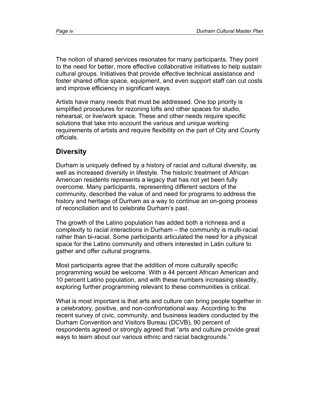The notion of shared services resonates for many participants. They point to the need for better, more effective collaborative initiatives to help sustain cultural groups. Initiatives that provide effective technical assistance and foster shared office space, equipment, and even support staff can cut costs and improve efficiency in significant ways.

Artists have many needs that must be addressed. One top priority is simplified procedures for rezoning lofts and other spaces for studio, rehearsal, or live/work space. These and other needs require specific solutions that take into account the various and unique working requirements of artists and require flexibility on the part of City and County officials.

### **Diversity**

Durham is uniquely defined by a history of racial and cultural diversity, as well as increased diversity in lifestyle. The historic treatment of African American residents represents a legacy that has not yet been fully overcome. Many participants, representing different sectors of the community, described the value of and need for programs to address the history and heritage of Durham as a way to continue an on-going process of reconciliation and to celebrate Durham's past.

The growth of the Latino population has added both a richness and a complexity to racial interactions in Durham – the community is multi-racial rather than bi-racial. Some participants articulated the need for a physical space for the Latino community and others interested in Latin culture to gather and offer cultural programs.

Most participants agree that the addition of more culturally specific programming would be welcome. With a 44 percent African American and 10 percent Latino population, and with these numbers increasing steadily, exploring further programming relevant to these communities is critical.

What is most important is that arts and culture can bring people together in a celebratory, positive, and non-confrontational way. According to the recent survey of civic, community, and business leaders conducted by the Durham Convention and Visitors Bureau (DCVB), 90 percent of respondents agreed or strongly agreed that "arts and culture provide great ways to learn about our various ethnic and racial backgrounds."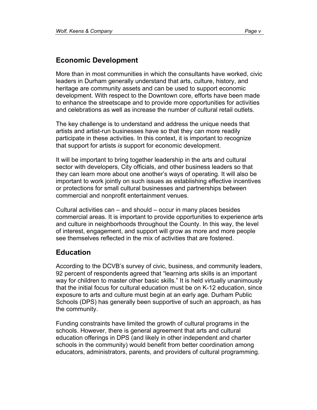### **Economic Development**

More than in most communities in which the consultants have worked, civic leaders in Durham generally understand that arts, culture, history, and heritage are community assets and can be used to support economic development. With respect to the Downtown core, efforts have been made to enhance the streetscape and to provide more opportunities for activities and celebrations as well as increase the number of cultural retail outlets.

The key challenge is to understand and address the unique needs that artists and artist-run businesses have so that they can more readily participate in these activities. In this context, it is important to recognize that support for artists *is* support for economic development.

It will be important to bring together leadership in the arts and cultural sector with developers, City officials, and other business leaders so that they can learn more about one another's ways of operating. It will also be important to work jointly on such issues as establishing effective incentives or protections for small cultural businesses and partnerships between commercial and nonprofit entertainment venues.

Cultural activities can – and should – occur in many places besides commercial areas. It is important to provide opportunities to experience arts and culture in neighborhoods throughout the County. In this way, the level of interest, engagement, and support will grow as more and more people see themselves reflected in the mix of activities that are fostered.

### **Education**

According to the DCVB's survey of civic, business, and community leaders, 92 percent of respondents agreed that "learning arts skills is an important way for children to master other basic skills." It is held virtually unanimously that the initial focus for cultural education must be on K-12 education, since exposure to arts and culture must begin at an early age. Durham Public Schools (DPS) has generally been supportive of such an approach, as has the community.

Funding constraints have limited the growth of cultural programs in the schools. However, there is general agreement that arts and cultural education offerings in DPS (and likely in other independent and charter schools in the community) would benefit from better coordination among educators, administrators, parents, and providers of cultural programming.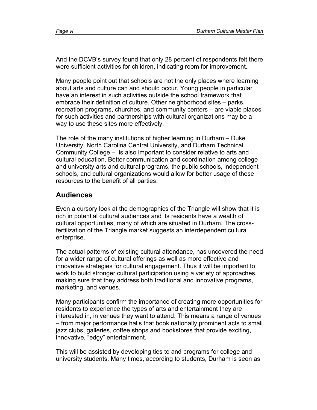And the DCVB's survey found that only 28 percent of respondents felt there were sufficient activities for children, indicating room for improvement.

Many people point out that schools are not the only places where learning about arts and culture can and should occur. Young people in particular have an interest in such activities outside the school framework that embrace their definition of culture. Other neighborhood sites – parks, recreation programs, churches, and community centers – are viable places for such activities and partnerships with cultural organizations may be a way to use these sites more effectively.

The role of the many institutions of higher learning in Durham – Duke University, North Carolina Central University, and Durham Technical Community College – is also important to consider relative to arts and cultural education. Better communication and coordination among college and university arts and cultural programs, the public schools, independent schools, and cultural organizations would allow for better usage of these resources to the benefit of all parties.

#### **Audiences**

Even a cursory look at the demographics of the Triangle will show that it is rich in potential cultural audiences and its residents have a wealth of cultural opportunities, many of which are situated in Durham. The crossfertilization of the Triangle market suggests an interdependent cultural enterprise.

The actual patterns of existing cultural attendance, has uncovered the need for a wider range of cultural offerings as well as more effective and innovative strategies for cultural engagement. Thus it will be important to work to build stronger cultural participation using a variety of approaches, making sure that they address both traditional and innovative programs, marketing, and venues.

Many participants confirm the importance of creating more opportunities for residents to experience the types of arts and entertainment they are interested in, in venues they want to attend. This means a range of venues – from major performance halls that book nationally prominent acts to small jazz clubs, galleries, coffee shops and bookstores that provide exciting, innovative, "edgy" entertainment.

This will be assisted by developing ties to and programs for college and university students. Many times, according to students, Durham is seen as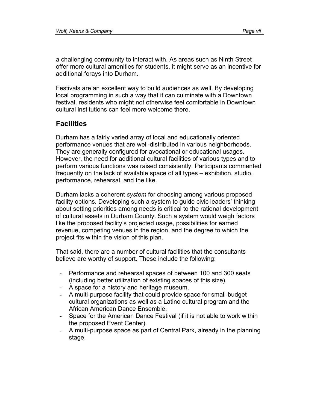a challenging community to interact with. As areas such as Ninth Street offer more cultural amenities for students, it might serve as an incentive for additional forays into Durham.

Festivals are an excellent way to build audiences as well. By developing local programming in such a way that it can culminate with a Downtown festival, residents who might not otherwise feel comfortable in Downtown cultural institutions can feel more welcome there.

### **Facilities**

Durham has a fairly varied array of local and educationally oriented performance venues that are well-distributed in various neighborhoods. They are generally configured for avocational or educational usages. However, the need for additional cultural facilities of various types and to perform various functions was raised consistently. Participants commented frequently on the lack of available space of all types – exhibition, studio, performance, rehearsal, and the like.

Durham lacks a coherent *system* for choosing among various proposed facility options. Developing such a system to guide civic leaders' thinking about setting priorities among needs is critical to the rational development of cultural assets in Durham County. Such a system would weigh factors like the proposed facility's projected usage, possibilities for earned revenue, competing venues in the region, and the degree to which the project fits within the vision of this plan.

That said, there are a number of cultural facilities that the consultants believe are worthy of support. These include the following:

- Performance and rehearsal spaces of between 100 and 300 seats (including better utilization of existing spaces of this size).
- A space for a history and heritage museum.
- A multi-purpose facility that could provide space for small-budget cultural organizations as well as a Latino cultural program and the African American Dance Ensemble.
- Space for the American Dance Festival (if it is not able to work within the proposed Event Center).
- A multi-purpose space as part of Central Park, already in the planning stage.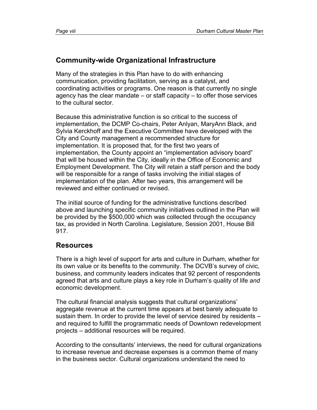### **Community-wide Organizational Infrastructure**

Many of the strategies in this Plan have to do with enhancing communication, providing facilitation, serving as a catalyst, and coordinating activities or programs. One reason is that currently no single agency has the clear mandate – or staff capacity – to offer those services to the cultural sector.

Because this administrative function is so critical to the success of implementation, the DCMP Co-chairs, Peter Anlyan, MaryAnn Black, and Sylvia Kerckhoff and the Executive Committee have developed with the City and County management a recommended structure for implementation. It is proposed that, for the first two years of implementation, the County appoint an "implementation advisory board" that will be housed within the City, ideally in the Office of Economic and Employment Development. The City will retain a staff person and the body will be responsible for a range of tasks involving the initial stages of implementation of the plan. After two years, this arrangement will be reviewed and either continued or revised.

The initial source of funding for the administrative functions described above and launching specific community initiatives outlined in the Plan will be provided by the \$500,000 which was collected through the occupancy tax, as provided in North Carolina. Legislature, Session 2001, House Bill 917.

### **Resources**

There is a high level of support for arts and culture in Durham, whether for its own value or its benefits to the community. The DCVB's survey of civic, business, and community leaders indicates that 92 percent of respondents agreed that arts and culture plays a key role in Durham's quality of life *and* economic development.

The cultural financial analysis suggests that cultural organizations' aggregate revenue at the current time appears at best barely adequate to sustain them. In order to provide the level of service desired by residents – and required to fulfill the programmatic needs of Downtown redevelopment projects – additional resources will be required.

According to the consultants' interviews, the need for cultural organizations to increase revenue and decrease expenses is a common theme of many in the business sector. Cultural organizations understand the need to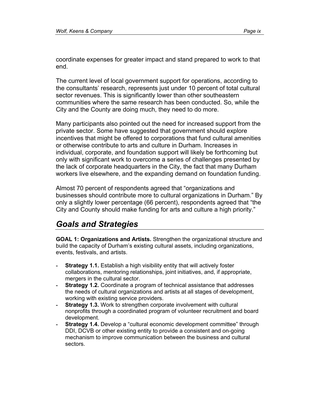coordinate expenses for greater impact and stand prepared to work to that end.

The current level of local government support for operations, according to the consultants' research, represents just under 10 percent of total cultural sector revenues. This is significantly lower than other southeastern communities where the same research has been conducted. So, while the City and the County are doing much, they need to do more.

Many participants also pointed out the need for increased support from the private sector. Some have suggested that government should explore incentives that might be offered to corporations that fund cultural amenities or otherwise contribute to arts and culture in Durham. Increases in individual, corporate, and foundation support will likely be forthcoming but only with significant work to overcome a series of challenges presented by the lack of corporate headquarters in the City, the fact that many Durham workers live elsewhere, and the expanding demand on foundation funding.

Almost 70 percent of respondents agreed that "organizations and businesses should contribute more to cultural organizations in Durham." By only a slightly lower percentage (66 percent), respondents agreed that "the City and County should make funding for arts and culture a high priority."

### *Goals and Strategies*

**GOAL 1: Organizations and Artists.** Strengthen the organizational structure and build the capacity of Durham's existing cultural assets, including organizations, events, festivals, and artists.

- **Strategy 1.1.** Establish a high visibility entity that will actively foster collaborations, mentoring relationships, joint initiatives, and, if appropriate, mergers in the cultural sector.
- **Strategy 1.2.** Coordinate a program of technical assistance that addresses the needs of cultural organizations and artists at all stages of development, working with existing service providers.
- **Strategy 1.3.** Work to strengthen corporate involvement with cultural nonprofits through a coordinated program of volunteer recruitment and board development.
- **Strategy 1.4.** Develop a "cultural economic development committee" through DDI, DCVB or other existing entity to provide a consistent and on-going mechanism to improve communication between the business and cultural sectors.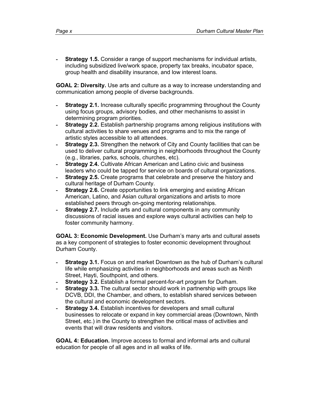**- Strategy 1.5.** Consider a range of support mechanisms for individual artists, including subsidized live/work space, property tax breaks, incubator space, group health and disability insurance, and low interest loans.

**GOAL 2: Diversity.** Use arts and culture as a way to increase understanding and communication among people of diverse backgrounds.

- **Strategy 2.1.** Increase culturally specific programming throughout the County using focus groups, advisory bodies, and other mechanisms to assist in determining program priorities.
- **Strategy 2.2.** Establish partnership programs among religious institutions with cultural activities to share venues and programs and to mix the range of artistic styles accessible to all attendees.
- **Strategy 2.3.** Strengthen the network of City and County facilities that can be used to deliver cultural programming in neighborhoods throughout the County (e.g., libraries, parks, schools, churches, etc).
- **Strategy 2.4.** Cultivate African American and Latino civic and business leaders who could be tapped for service on boards of cultural organizations.
- **Strategy 2.5.** Create programs that celebrate and preserve the history and cultural heritage of Durham County.
- **Strategy 2.6.** Create opportunities to link emerging and existing African American, Latino, and Asian cultural organizations and artists to more established peers through on-going mentoring relationships.
- **Strategy 2.7.** Include arts and cultural components in any community discussions of racial issues and explore ways cultural activities can help to foster community harmony.

**GOAL 3: Economic Development.** Use Durham's many arts and cultural assets as a key component of strategies to foster economic development throughout Durham County.

- **Strategy 3.1.** Focus on and market Downtown as the hub of Durham's cultural life while emphasizing activities in neighborhoods and areas such as Ninth Street, Hayti, Southpoint, and others.
- **Strategy 3.2.** Establish a formal percent-for-art program for Durham.
- **Strategy 3.3.** The cultural sector should work in partnership with groups like DCVB, DDI, the Chamber, and others, to establish shared services between the cultural and economic development sectors.
- **Strategy 3.4.** Establish incentives for developers and small cultural businesses to relocate or expand in key commercial areas (Downtown, Ninth Street, etc.) in the County to strengthen the critical mass of activities and events that will draw residents and visitors.

**GOAL 4: Education.** Improve access to formal and informal arts and cultural education for people of all ages and in all walks of life.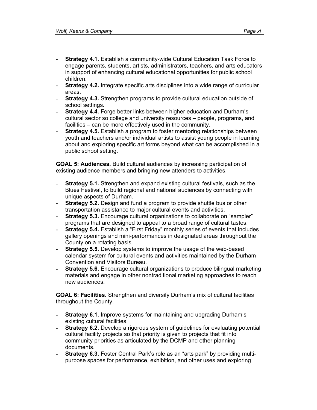- **Strategy 4.1.** Establish a community-wide Cultural Education Task Force to engage parents, students, artists, administrators, teachers, and arts educators in support of enhancing cultural educational opportunities for public school children.
- **Strategy 4.2.** Integrate specific arts disciplines into a wide range of curricular areas.
- **Strategy 4.3.** Strengthen programs to provide cultural education outside of school settings.
- **Strategy 4.4.** Forge better links between higher education and Durham's cultural sector so college and university resources – people, programs, and facilities – can be more effectively used in the community.
- **Strategy 4.5.** Establish a program to foster mentoring relationships between youth and teachers and/or individual artists to assist young people in learning about and exploring specific art forms beyond what can be accomplished in a public school setting.

**GOAL 5: Audiences.** Build cultural audiences by increasing participation of existing audience members and bringing new attenders to activities.

- **Strategy 5.1.** Strengthen and expand existing cultural festivals, such as the Blues Festival, to build regional and national audiences by connecting with unique aspects of Durham.
- **Strategy 5.2.** Design and fund a program to provide shuttle bus or other transportation assistance to major cultural events and activities.
- **Strategy 5.3.** Encourage cultural organizations to collaborate on "sampler" programs that are designed to appeal to a broad range of cultural tastes.
- **Strategy 5.4.** Establish a "First Friday" monthly series of events that includes gallery openings and mini-performances in designated areas throughout the County on a rotating basis.
- **Strategy 5.5.** Develop systems to improve the usage of the web-based calendar system for cultural events and activities maintained by the Durham Convention and Visitors Bureau.
- **Strategy 5.6.** Encourage cultural organizations to produce bilingual marketing materials and engage in other nontraditional marketing approaches to reach new audiences.

**GOAL 6: Facilities.** Strengthen and diversify Durham's mix of cultural facilities throughout the County.

- **Strategy 6.1.** Improve systems for maintaining and upgrading Durham's existing cultural facilities.
- **Strategy 6.2.** Develop a rigorous system of guidelines for evaluating potential cultural facility projects so that priority is given to projects that fit into community priorities as articulated by the DCMP and other planning documents.
- **Strategy 6.3.** Foster Central Park's role as an "arts park" by providing multipurpose spaces for performance, exhibition, and other uses and exploring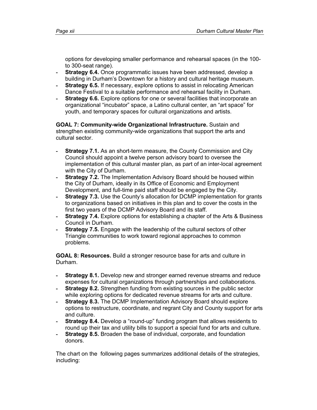options for developing smaller performance and rehearsal spaces (in the 100 to 300-seat range).

- **Strategy 6.4.** Once programmatic issues have been addressed, develop a building in Durham's Downtown for a history and cultural heritage museum.
- **Strategy 6.5.** If necessary, explore options to assist in relocating American Dance Festival to a suitable performance and rehearsal facility in Durham.
- **Strategy 6.6.** Explore options for one or several facilities that incorporate an organizational "incubator" space, a Latino cultural center, an "art space" for youth, and temporary spaces for cultural organizations and artists.

**GOAL 7: Community-wide Organizational Infrastructure.** Sustain and strengthen existing community-wide organizations that support the arts and cultural sector.

- **Strategy 7.1.** As an short-term measure, the County Commission and City Council should appoint a twelve person advisory board to oversee the implementation of this cultural master plan, as part of an inter-local agreement with the City of Durham.
- **Strategy 7.2.** The Implementation Advisory Board should be housed within the City of Durham, ideally in its Office of Economic and Employment Development, and full-time paid staff should be engaged by the City.
- **Strategy 7.3.** Use the County's allocation for DCMP implementation for grants to organizations based on initiatives in this plan and to cover the costs in the first two years of the DCMP Advisory Board and its staff.
- **Strategy 7.4.** Explore options for establishing a chapter of the Arts & Business Council in Durham.
- **Strategy 7.5.** Engage with the leadership of the cultural sectors of other Triangle communities to work toward regional approaches to common problems.

**GOAL 8: Resources.** Build a stronger resource base for arts and culture in Durham.

- **Strategy 8.1.** Develop new and stronger earned revenue streams and reduce expenses for cultural organizations through partnerships and collaborations.
- **Strategy 8.2.** Strengthen funding from existing sources in the public sector while exploring options for dedicated revenue streams for arts and culture.
- **Strategy 8.3.** The DCMP Implementation Advisory Board should explore options to restructure, coordinate, and regrant City and County support for arts and culture.
- **Strategy 8.4.** Develop a "round-up" funding program that allows residents to round up their tax and utility bills to support a special fund for arts and culture.
- **Strategy 8.5.** Broaden the base of individual, corporate, and foundation donors.

The chart on the following pages summarizes additional details of the strategies, including: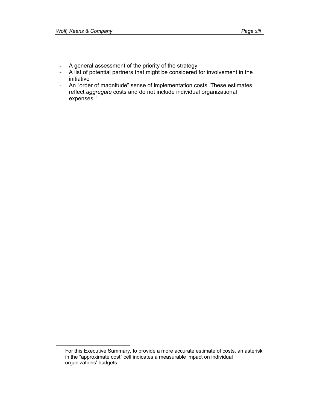- A general assessment of the priority of the strategy
- A list of potential partners that might be considered for involvement in the initiative
- An "order of magnitude" sense of implementation costs. These estimates reflect *aggregate* costs and do not include individual organizational expenses. $1$

<sup>-&</sup>lt;br>1 For this Executive Summary, to provide a more accurate estimate of costs, an asterisk in the "approximate cost" cell indicates a measurable impact on individual organizations' budgets.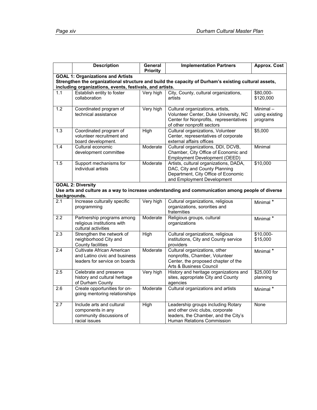|                  | <b>Description</b>                                                                           | General<br><b>Priority</b> | <b>Implementation Partners</b>                                                                                                                    | <b>Approx. Cost</b>                    |
|------------------|----------------------------------------------------------------------------------------------|----------------------------|---------------------------------------------------------------------------------------------------------------------------------------------------|----------------------------------------|
|                  | <b>GOAL 1: Organizations and Artists</b>                                                     |                            |                                                                                                                                                   |                                        |
|                  |                                                                                              |                            | Strengthen the organizational structure and build the capacity of Durham's existing cultural assets,                                              |                                        |
| 1.1              | including organizations, events, festivals, and artists.<br>Establish entity to foster       | Very high                  | City, County, cultural organizations,                                                                                                             | \$80,000-                              |
|                  | collaboration                                                                                |                            | artists                                                                                                                                           | \$120,000                              |
| 1.2              | Coordinated program of<br>technical assistance                                               | Very high                  | Cultural organizations, artists,<br>Volunteer Center, Duke University, NC<br>Center for Nonprofits, representatives<br>of other nonprofit sectors | Minimal-<br>using existing<br>programs |
| 1.3              | Coordinated program of<br>volunteer recruitment and<br>board development.                    | High                       | Cultural organizations, Volunteer<br>Center, representatives of corporate<br>external affairs offices                                             | \$5,000                                |
| 1.4              | Cultural economic<br>development committee                                                   | Moderate                   | Cultural organizations, DDI, DCVB,<br>Chamber, City Office of Economic and<br>Employment Development (OEED)                                       | Minimal                                |
| 1.5              | Support mechanisms for<br>individual artists                                                 | Moderate                   | Artists, cultural organizations, DADA,<br>DAC, City and County Planning<br>Department, City Office of Economic<br>and Employment Development      | \$10,000                               |
| backgrounds.     | <b>GOAL 2: Diversity</b>                                                                     |                            | Use arts and culture as a way to increase understanding and communication among people of diverse                                                 |                                        |
| $\overline{2.1}$ | Increase culturally specific<br>programming                                                  | Very high                  | Cultural organizations, religious<br>organizations, sororities and<br>fraternities                                                                | Minimal *                              |
| $\overline{2.2}$ | Partnership programs among<br>religious institutions with<br>cultural activities             | Moderate                   | Religious groups, cultural<br>organizations                                                                                                       | Minimal *                              |
| $\overline{2.3}$ | Strengthen the network of<br>neighborhood City and<br>County facilities                      | High                       | Cultural organizations, religious<br>institutions, City and County service<br>providers                                                           | $$10,000-$<br>\$15,000                 |
| $\overline{2.4}$ | Cultivate African American<br>and Latino civic and business<br>leaders for service on boards | Moderate                   | Cultural organizations, other<br>nonprofits, Chamber, Volunteer<br>Center, the proposed chapter of the<br>Arts & Business Council                 | Minimal *                              |
| 2.5              | Celebrate and preserve<br>history and cultural heritage<br>of Durham County                  | Very high                  | History and heritage organizations and<br>sites, appropriate City and County<br>agencies                                                          | \$25,000 for<br>planning               |
| $\overline{2.6}$ | Create opportunities for on-<br>going mentoring relationships                                | Moderate                   | Cultural organizations and artists                                                                                                                | Minimal *                              |
| $\overline{2.7}$ | Include arts and cultural<br>components in any<br>community discussions of<br>racial issues  | High                       | Leadership groups including Rotary<br>and other civic clubs, corporate<br>leaders, the Chamber, and the City's<br>Human Relations Commission      | None                                   |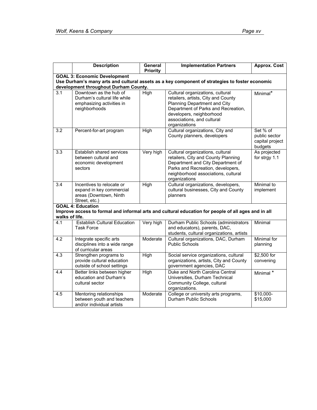|                | <b>Description</b>                                                                                   | General<br><b>Priority</b> | <b>Implementation Partners</b>                                                                                                                                                                                            | <b>Approx. Cost</b>                                     |
|----------------|------------------------------------------------------------------------------------------------------|----------------------------|---------------------------------------------------------------------------------------------------------------------------------------------------------------------------------------------------------------------------|---------------------------------------------------------|
|                | <b>GOAL 3: Economic Development</b><br>development throughout Durham County.                         |                            | Use Durham's many arts and cultural assets as a key component of strategies to foster economic                                                                                                                            |                                                         |
| 3.1            | Downtown as the hub of<br>Durham's cultural life while<br>emphasizing activities in<br>neighborhoods | High                       | Cultural organizations, cultural<br>retailers, artists, City and County<br>Planning Department and City<br>Department of Parks and Recreation,<br>developers, neighborhood<br>associations, and cultural<br>organizations | Minimal*                                                |
| 3.2            | Percent-for-art program                                                                              | High                       | Cultural organizations, City and<br>County planners, developers                                                                                                                                                           | Set % of<br>public sector<br>capital project<br>budgets |
| 3.3            | Establish shared services<br>between cultural and<br>economic development<br>sectors                 | Very high                  | Cultural organizations, cultural<br>retailers, City and County Planning<br>Department and City Department of<br>Parks and Recreation, developers,<br>neighborhood associations, cultural<br>organizations                 | As projected<br>for strgy 1.1                           |
| 3.4            | Incentives to relocate or<br>expand in key commercial<br>areas (Downtown, Ninth<br>Street, etc.)     | High                       | Cultural organizations, developers,<br>cultural businesses, City and County<br>planners                                                                                                                                   | Minimal to<br>implement                                 |
| walks of life. | <b>GOAL 4: Education</b>                                                                             |                            | Improve access to formal and informal arts and cultural education for people of all ages and in all                                                                                                                       |                                                         |
| 4.1            | <b>Establish Cultural Education</b><br><b>Task Force</b>                                             | Very high                  | Durham Public Schools (administrators<br>and educators), parents, DAC,<br>students, cultural organizations, artists                                                                                                       | Minimal                                                 |
| 4.2            | Integrate specific arts<br>disciplines into a wide range<br>of curricular areas                      | Moderate                   | Cultural organizations, DAC, Durham<br><b>Public Schools</b>                                                                                                                                                              | Minimal for<br>planning                                 |
| 4.3            | Strengthen programs to<br>provide cultural education<br>outside of school settings                   | High                       | Social service organizations, cultural<br>organizations, artists, City and County<br>government agencies, DAC                                                                                                             | \$2,500 for<br>convening                                |
| 4.4            | Better links between higher<br>education and Durham's<br>cultural sector                             | <b>High</b>                | Duke and North Carolina Central<br>Universities, Durham Technical<br>Community College, cultural<br>organizations.                                                                                                        | Minimal *                                               |
| 4.5            | Mentoring relationships<br>between youth and teachers<br>and/or individual artists                   | Moderate                   | College or university arts programs,<br>Durham Public Schools                                                                                                                                                             | $$10,000-$<br>\$15,000                                  |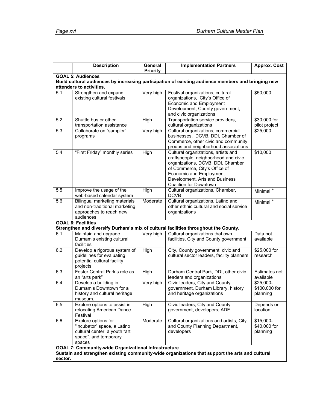|                                                                                                                                                                | <b>Description</b>                                                                                                     | General         | <b>Implementation Partners</b>                                                                                                                                                                                                           | <b>Approx. Cost</b>                     |
|----------------------------------------------------------------------------------------------------------------------------------------------------------------|------------------------------------------------------------------------------------------------------------------------|-----------------|------------------------------------------------------------------------------------------------------------------------------------------------------------------------------------------------------------------------------------------|-----------------------------------------|
|                                                                                                                                                                | <b>GOAL 5: Audiences</b>                                                                                               | <b>Priority</b> |                                                                                                                                                                                                                                          |                                         |
|                                                                                                                                                                |                                                                                                                        |                 | Build cultural audiences by increasing participation of existing audience members and bringing new                                                                                                                                       |                                         |
|                                                                                                                                                                | attenders to activities.                                                                                               |                 |                                                                                                                                                                                                                                          |                                         |
| 5.1                                                                                                                                                            | Strengthen and expand<br>existing cultural festivals                                                                   | Very high       | Festival organizations, cultural<br>organizations, City's Office of<br>Economic and Employment<br>Development, County government,<br>and civic organizations                                                                             | $\overline{$}50,000$                    |
| 5.2                                                                                                                                                            | Shuttle bus or other<br>transportation assistance                                                                      | High            | Transportation service providers,<br>cultural organizations                                                                                                                                                                              | \$30,000 for<br>pilot project           |
| 5.3                                                                                                                                                            | Collaborate on "sampler"<br>programs                                                                                   | Very high       | Cultural organizations, commercial<br>businesses, DCVB, DDI, Chamber of<br>Commerce, other civic and community<br>groups and neighborhood associations                                                                                   | \$25,000                                |
| 5.4                                                                                                                                                            | "First Friday" monthly series                                                                                          | <b>High</b>     | Cultural organizations, artists and<br>craftspeople, neighborhood and civic<br>organizations, DCVB, DDI, Chamber<br>of Commerce, City's Office of<br>Economic and Employment<br>Development, Arts and Business<br>Coalition for Downtown | \$10,000                                |
| 5.5                                                                                                                                                            | Improve the usage of the<br>web-based calendar system                                                                  | High            | Cultural organizations, Chamber,<br><b>DCVB</b>                                                                                                                                                                                          | Minimal *                               |
| 5.6                                                                                                                                                            | <b>Bilingual marketing materials</b><br>and non-traditional marketing<br>approaches to reach new<br>audiences          | Moderate        | Cultural organizations, Latino and<br>other ethnic cultural and social service<br>organizations                                                                                                                                          | Minimal *                               |
|                                                                                                                                                                | <b>GOAL 6: Facilities</b>                                                                                              |                 |                                                                                                                                                                                                                                          |                                         |
|                                                                                                                                                                |                                                                                                                        |                 | Strengthen and diversify Durham's mix of cultural facilities throughout the County.                                                                                                                                                      |                                         |
| 6.1                                                                                                                                                            | Maintain and upgrade<br>Durham's existing cultural<br>facilities                                                       | Very high       | Cultural organizations that own<br>facilities, City and County government                                                                                                                                                                | Data not<br>available                   |
| 6.2                                                                                                                                                            | Develop a rigorous system of<br>guidelines for evaluating<br>potential cultural facility<br>projects                   | High            | City, County government, civic and<br>cultural sector leaders, facility planners                                                                                                                                                         | \$25,000 for<br>research                |
| 6.3                                                                                                                                                            | Foster Central Park's role as<br>an "arts park"                                                                        | High            | Durham Central Park, DDI, other civic<br>leaders and organizations                                                                                                                                                                       | Estimates not<br>available              |
| 6.4                                                                                                                                                            | Develop a building in<br>Durham's Downtown for a<br>history and cultural heritage<br>museum.                           | Very high       | Civic leaders, City and County<br>government, Durham Library, history<br>and heritage organizations                                                                                                                                      | $$25,000-$<br>\$100,000 for<br>planning |
| 6.5                                                                                                                                                            | Explore options to assist in<br>relocating American Dance<br>Festival                                                  | High            | Civic leaders, City and County<br>government, developers, ADF                                                                                                                                                                            | Depends on<br>location                  |
| 6.6                                                                                                                                                            | Explore options for<br>"incubator" space, a Latino<br>cultural center, a youth "art<br>space", and temporary<br>spaces | Moderate        | Cultural organizations and artists, City<br>and County Planning Department,<br>developers                                                                                                                                                | $$15,000-$<br>\$40,000 for<br>planning  |
| <b>GOAL 7: Community-wide Organizational Infrastructure</b><br>Sustain and strengthen existing community-wide organizations that support the arts and cultural |                                                                                                                        |                 |                                                                                                                                                                                                                                          |                                         |
| sector.                                                                                                                                                        |                                                                                                                        |                 |                                                                                                                                                                                                                                          |                                         |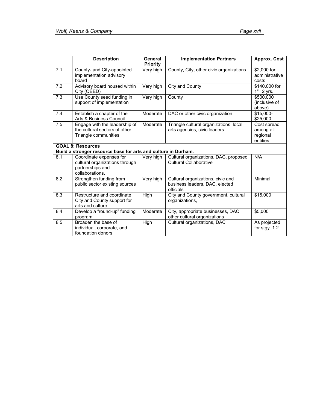|     | <b>Description</b>                                                                               | General<br><b>Priority</b> | <b>Implementation Partners</b>                                                   | <b>Approx. Cost</b>                              |
|-----|--------------------------------------------------------------------------------------------------|----------------------------|----------------------------------------------------------------------------------|--------------------------------------------------|
| 7.1 | County- and City-appointed<br>implementation advisory<br>board                                   | Very high                  | County, City, other civic organizations.                                         | \$2,000 for<br>administrative<br>costs           |
| 7.2 | Advisory board housed within<br>City (OEED)                                                      | Very high                  | City and County                                                                  | \$140,000 for<br>$1st$ 2 yrs.                    |
| 7.3 | Use County seed funding in<br>support of implementation                                          | Very high                  | County                                                                           | \$500,000<br>(inclusive of<br>above)             |
| 7.4 | Establish a chapter of the<br>Arts & Business Council                                            | Moderate                   | DAC or other civic organization                                                  | \$15,000-<br>\$25,000                            |
| 7.5 | Engage with the leadership of<br>the cultural sectors of other<br>Triangle communities           | Moderate                   | Triangle cultural organizations, local<br>arts agencies, civic leaders           | Cost spread<br>among all<br>regional<br>entities |
|     | <b>GOAL 8: Resources</b><br>Build a stronger resource base for arts and culture in Durham.       |                            |                                                                                  |                                                  |
| 8.1 | Coordinate expenses for<br>cultural organizations through<br>partnerships and<br>collaborations. | Very high                  | Cultural organizations, DAC, proposed<br><b>Cultural Collaborative</b>           | N/A                                              |
| 8.2 | Strengthen funding from<br>public sector existing sources                                        | Very high                  | Cultural organizations, civic and<br>business leaders, DAC, elected<br>officials | Minimal                                          |
| 8.3 | Restructure and coordinate<br>City and County support for<br>arts and culture                    | <b>High</b>                | City and County government, cultural<br>organizations,                           | \$15,000                                         |
| 8.4 | Develop a "round-up" funding<br>program                                                          | Moderate                   | City, appropriate businesses, DAC,<br>other cultural organizations               | \$5,000                                          |
| 8.5 | Broaden the base of<br>individual, corporate, and<br>foundation donors                           | High                       | Cultural organizations, DAC                                                      | As projected<br>for stgy. $1.2$                  |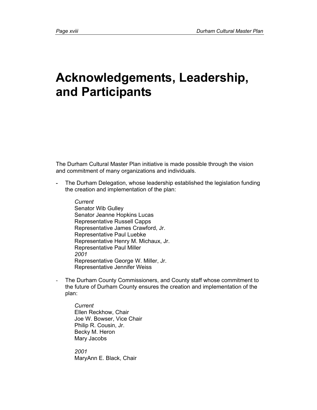# **Acknowledgements, Leadership, and Participants**

The Durham Cultural Master Plan initiative is made possible through the vision and commitment of many organizations and individuals.

- The Durham Delegation, whose leadership established the legislation funding the creation and implementation of the plan:
	- *Current*  Senator Wib Gulley Senator Jeanne Hopkins Lucas Representative Russell Capps Representative James Crawford, Jr. Representative Paul Luebke Representative Henry M. Michaux, Jr. Representative Paul Miller *2001*  Representative George W. Miller, Jr. Representative Jennifer Weiss
- The Durham County Commissioners, and County staff whose commitment to the future of Durham County ensures the creation and implementation of the plan:

*Current*  Ellen Reckhow, Chair Joe W. Bowser, Vice Chair Philip R. Cousin, Jr. Becky M. Heron Mary Jacobs

*2001*  MaryAnn E. Black, Chair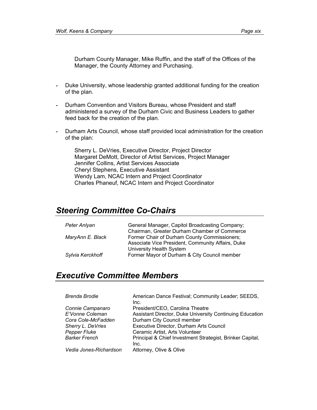Durham County Manager, Mike Ruffin, and the staff of the Offices of the Manager, the County Attorney and Purchasing.

- Duke University, whose leadership granted additional funding for the creation of the plan.
- Durham Convention and Visitors Bureau, whose President and staff administered a survey of the Durham Civic and Business Leaders to gather feed back for the creation of the plan.
- Durham Arts Council, whose staff provided local administration for the creation of the plan:

Sherry L. DeVries, Executive Director, Project Director Margaret DeMott, Director of Artist Services, Project Manager Jennifer Collins, Artist Services Associate Cheryl Stephens, Executive Assistant Wendy Lam, NCAC Intern and Project Coordinator Charles Phaneuf, NCAC Intern and Project Coordinator

### *Steering Committee Co-Chairs*

| Peter Anlyan     | General Manager, Capitol Broadcasting Company;    |
|------------------|---------------------------------------------------|
|                  | Chairman, Greater Durham Chamber of Commerce      |
| MaryAnn E. Black | Former Chair of Durham County Commissioners;      |
|                  | Associate Vice President, Community Affairs, Duke |
|                  | University Health System                          |
| Sylvia Kerckhoff | Former Mayor of Durham & City Council member      |

### *Executive Committee Members*

| <b>Brenda Brodie</b>   | American Dance Festival; Community Leader; SEEDS,<br>Inc.         |
|------------------------|-------------------------------------------------------------------|
| Connie Campanaro       | President/CEO, Carolina Theatre                                   |
| E'Vonne Coleman        | Assistant Director, Duke University Continuing Education          |
| Cora Cole-McFadden     | Durham City Council member                                        |
| Sherry L. DeVries      | Executive Director, Durham Arts Council                           |
| <b>Pepper Fluke</b>    | Ceramic Artist, Arts Volunteer                                    |
| <b>Barker French</b>   | Principal & Chief Investment Strategist, Brinker Capital,<br>Inc. |
| Vedia Jones-Richardson | Attorney, Olive & Olive                                           |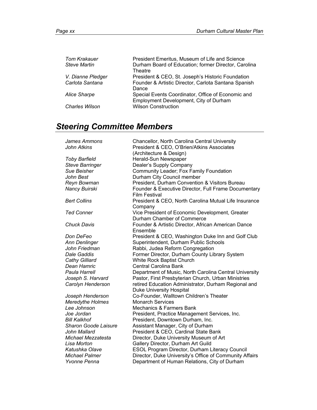| Tom Krakauer          | President Emeritus, Museum of Life and Science                                               |
|-----------------------|----------------------------------------------------------------------------------------------|
| <b>Steve Martin</b>   | Durham Board of Education; former Director, Carolina<br>Theatre                              |
| V. Dianne Pledger     | President & CEO, St. Joseph's Historic Foundation                                            |
| Carlota Santana       | Founder & Artistic Director, Carlota Santana Spanish<br>Dance                                |
| Alice Sharpe          | Special Events Coordinator, Office of Economic and<br>Employment Development, City of Durham |
| <b>Charles Wilson</b> | <b>Wilson Construction</b>                                                                   |

# *Steering Committee Members*

| James Ammons                | Chancellor, North Carolina Central University                                 |
|-----------------------------|-------------------------------------------------------------------------------|
| John Atkins                 | President & CEO, O'Brien/Atkins Associates                                    |
|                             | (Architecture & Design)                                                       |
| <b>Toby Barfield</b>        | Herald-Sun Newspaper                                                          |
| <b>Steve Barringer</b>      | Dealer's Supply Company                                                       |
| Sue Beisher                 | Community Leader; Fox Family Foundation                                       |
| John Best                   | Durham City Council member                                                    |
| Reyn Bowman                 | President, Durham Convention & Visitors Bureau                                |
| Nancy Buirski               | Founder & Executive Director, Full Frame Documentary<br><b>Film Festival</b>  |
| <b>Bert Collins</b>         | President & CEO, North Carolina Mutual Life Insurance<br>Company              |
| <b>Ted Conner</b>           | Vice President of Economic Development, Greater<br>Durham Chamber of Commerce |
| <b>Chuck Davis</b>          | Founder & Artistic Director, African American Dance<br>Ensemble               |
| Don DeFeo                   | President & CEO, Washington Duke Inn and Golf Club                            |
| Ann Denlinger               | Superintendent, Durham Public Schools                                         |
| John Friedman               | Rabbi, Judea Reform Congregation                                              |
| Dale Gaddis                 | Former Director, Durham County Library System                                 |
| Cathy Gilliard              | White Rock Baptist Church                                                     |
| Dean Hamric                 | Central Carolina Bank                                                         |
| Paula Harrell               | Department of Music, North Carolina Central University                        |
| Joseph S. Harvard           | Pastor, First Presbyterian Church, Urban Ministries                           |
| Carolyn Henderson           | retired Education Administrator, Durham Regional and                          |
|                             | <b>Duke University Hospital</b>                                               |
| Joseph Henderson            | Co-Founder, Walltown Children's Theater                                       |
| Meredythe Holmes            | <b>Monarch Services</b>                                                       |
| Lee Johnson                 | Mechanics & Farmers Bank                                                      |
| Joe Jordan                  | President, Practice Management Services, Inc.                                 |
| Bill Kalkhof                | President, Downtown Durham, Inc.                                              |
| <b>Sharon Goode Laisure</b> | Assistant Manager, City of Durham                                             |
| John Mallard                | President & CEO, Cardinal State Bank                                          |
| Michael Mezzatesta          | Director, Duke University Museum of Art                                       |
| Lisa Morton                 | Gallery Director, Durham Art Guild                                            |
| Katushka Olave              | <b>ESOL Program Director, Durham Literacy Council</b>                         |
| Michael Palmer              | Director, Duke University's Office of Community Affairs                       |
| Yvonne Penna                | Department of Human Relations, City of Durham                                 |
|                             |                                                                               |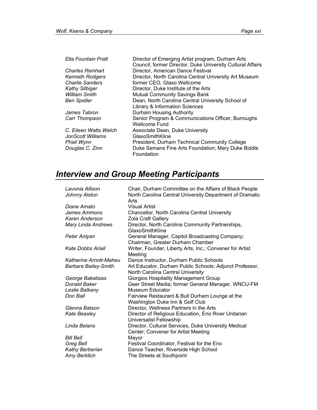| Ella Fountain Pratt     | Director of Emerging Artist program, Durham Arts           |
|-------------------------|------------------------------------------------------------|
|                         | Council; former Director, Duke University Cultural Affairs |
| <b>Charles Reinhart</b> | Director, American Dance Festival                          |
| <b>Kenneth Rodgers</b>  | Director, North Carolina Central University Art Museum     |
| <b>Charlie Sanders</b>  | former CEO, Glaxo Wellcome                                 |
| <b>Kathy Silbiger</b>   | Director, Duke Institute of the Arts                       |
| <b>William Smith</b>    | <b>Mutual Community Savings Bank</b>                       |
| <b>Ben Speller</b>      | Dean, North Carolina Central University School of          |
|                         | Library & Information Sciences                             |
| James Tabron            | Durham Housing Authority                                   |
| Carr Thompson           | Senior Program & Communications Officer, Burroughs         |
|                         | <b>Wellcome Fund</b>                                       |
| C. Eileen Watts Welch   | Associate Dean, Duke University                            |
| JonScott Williams       | GlaxoSmithKline                                            |
| Phail Wynn              | President, Durham Technical Community College              |
| Douglas C. Zinn         | Duke Semans Fine Arts Foundation; Mary Duke Biddle         |
|                         | Foundation                                                 |

### *Interview and Group Meeting Participants*

| Chair, Durham Committee on the Affairs of Black People                                       |
|----------------------------------------------------------------------------------------------|
| North Carolina Central University Department of Dramatic<br>Arts                             |
| <b>Visual Artist</b>                                                                         |
| <b>Chancellor, North Carolina Central University</b>                                         |
| Zola Craft Gallery                                                                           |
| Director, North Carolina Community Partnerships,<br>GlaxoSmithKline                          |
| General Manager, Capitol Broadcasting Company;<br>Chairman, Greater Durham Chamber           |
| Writer, Founder, Liberty Arts, Inc.; Convener for Artist<br>Meeting                          |
| Dance Instructor, Durham Public Schools                                                      |
| Art Educator, Durham Public Schools; Adjunct Professor,<br>North Carolina Central University |
| <b>Giorgios Hospitality Management Group</b>                                                 |
| Geer Street Media; former General Manager, WNCU-FM                                           |
| Museum Educator                                                                              |
| Fairview Restaurant & Bull Durham Lounge at the<br>Washington Duke Inn & Golf Club           |
| Director, Wellness Partners in the Arts                                                      |
| Director of Religious Education, Eno River Unitarian<br>Universalist Fellowship              |
| Director, Cultural Services, Duke University Medical<br>Center; Convener for Artist Meeting  |
| Mayor                                                                                        |
| Festival Coordinator, Festival for the Eno                                                   |
| Dance Teacher, Riverside High School                                                         |
| The Streets at Southpoint                                                                    |
|                                                                                              |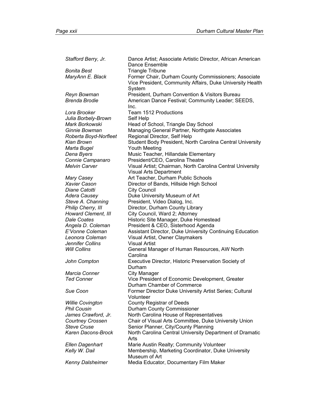*Stafford Berry, Jr.* Dance Artist; Associate Artistic Director, African American Dance Ensemble **Bonita Best Triangle Tribune**<br> *MaryAnn E. Black* Former Chair, Du Former Chair, Durham County Commissioners; Associate Vice President, Community Affairs, Duke University Health System *Reyn Bowman* President, Durham Convention & Visitors Bureau *Brenda Brodie* American Dance Festival; Community Leader; SEEDS, Inc. *Lora Brooker* Team 1512 Productions Julia Borbely-Brown Self Help *Mark Borkowski* Head of School, Triangle Day School *Ginnie Bowman* Managing General Partner*,* Northgate Associates *Roberta Boyd-Norfleet* Regional Director, Self Help *Kian Brown* Student Body President, North Carolina Central University *Marta Bugel* Youth Meeting **Dena Byers Communist Communist Communist Communist Communist Communist Communist Communist Communist Communist Communist Communist Communist Communist Communist Communist Communist Communist Communist Communist Communist** *Connie Campanaro* President/CEO, Carolina Theatre *Melvin Carver* Visual Artist; Chairman, North Carolina Central University Visual Arts Department *Mary Casey* **Art Teacher, Durham Public Schools** *Xavier Cason* Director of Bands, Hillside High School *Diane Catotti* **City Council** Adera Causey **Duke University Museum of Art Steve A. Channing President, Video Dialog, Inc. Philip Cherry, III Ching County Cherry, III** Director, Durham County Library Howard Clement, III City Council, Ward 2; Attorney **Dale Coates • The Historic Site Manager, Duke Homestead • Historic Site Manager, Duke Homestead** *Angela D. Coleman* President & CEO, Sisterhood Agenda *E'Vonne Coleman* Assistant Director, Duke University Continuing Education *Leonora Coleman* Visual Artist, Owner Claymakers *Jennifer Collins* Visual Artist Will Collins **Ceneral Manager of Human Resources, AW North** Carolina *John Compton* Executive Director, Historic Preservation Society of Durham *Marcia Conner* **City Manager** *Ted Conner* Vice President of Economic Development, Greater Durham Chamber of Commerce *Sue Coon* Former Director Duke University Artist Series; Cultural Volunteer *Willie Covington* **County Registrar of Deeds Phil Cousin County Commissioner Phil Cousin** James Crawford, Jr. North Carolina House of Representatives *Courtney Crossen* Chair of Visual Arts Committee, Duke University Union **Steve Cruse Cruse Cruse Senior Planner, City/County Planning** Karen Dacons-Brock North Carolina Central University Department of Dramatic Arts *Ellen Dagenhart* Marie Austin Realty; Community Volunteer Kelly W. Dail **Membership, Marketing Coordinator**, Duke University Museum of Art *Kenny Dalsheimer* Media Educator, Documentary Film Maker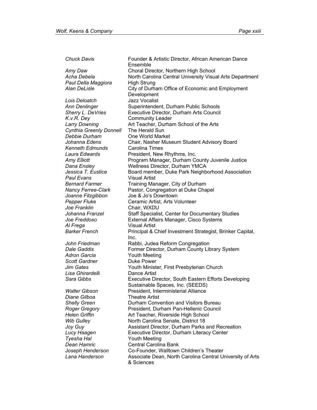Ensemble *Amy Daw* Choral Director, Northern High School Acha Debela **North Carolina Central University Visual Arts Department Paul Della Maggiora** High Strung *Alan DeLisle* City of Durham Office of Economic and Employment Development *Lois Deloatch* Jazz Vocalist *Ann Denlinger* Superintendent, Durham Public Schools *Sherry L. DeVries* Executive Director, Durham Arts Council *K.v.R. Dey* Community Leader *Larry Downing* Art Teacher, Durham School of the Arts *Cynthia Greenly Donnell* The Herald Sun **Debbie Durham Chine World Market** *Johanna Edens* Chair, Nasher Museum Student Advisory Board *Kenneth Edmunds* Carolina Times *Laura Edwards* President, New Rhythms, Inc. *Amy Elliott* Program Manager, Durham County Juvenile Justice *Dana Ensley* **Wellness Director, Durham YMCA** *Jessica T. Eustice* **Board member, Duke Park Neighborhood Association** *Paul Evans* Visual Artist *Bernard Farmer* Training Manager, City of Durham *Nancy Ferree-Clark* Pastor, Congregation at Duke Chapel *Joanne Fitzgibbon* Joe & Jo's Downtown **Pepper Fluke Ceramic Artist, Arts Volunteer** *Joe Franklin* Chair, WXDU Johanna Franzel **Staff Specialist, Center for Documentary Studies** *Joe Freddoso* External Affairs Manager, Cisco Systems *Al Frega* Visual Artist *Barker French* Principal & Chief Investment Strategist, Brinker Capital, Inc. *John Friedman* Rabbi, Judea Reform Congregation *Dale Gaddis* Former Director, Durham County Library System *Adron Garcia* Youth Meeting **Scott Gardner Duke Power** *Jim Gates* Youth Minister, First Presbyterian Church *Lisa Ghirardelli* Dance Artist *Sara Gibbs* Executive Director, South Eastern Efforts Developing Sustainable Spaces, Inc. (SEEDS) *Walter Gibson* President, Interministerial Alliance *Diane Gilboa* Theatre Artist **Shelly Green <b>Durham Convention** and Visitors Bureau *Roger Gregory* President, Durham Pan-Hellenic Council *Helen Griffin* Art Teacher, Riverside High School *Wib Gulley* **North Carolina Senate, District 18** *Joy Guy* **Assistant Director, Durham Parks and Recreation** *Lucy Haagen* Executive Director, Durham Literacy Center *Tyesha Hal* Youth Meeting *Dean Hamric* Central Carolina Bank *Joseph Henderson* Co-Founder, Walltown Children's Theater *Lana Handerson* Associate Dean, North Carolina Central University of Arts & Sciences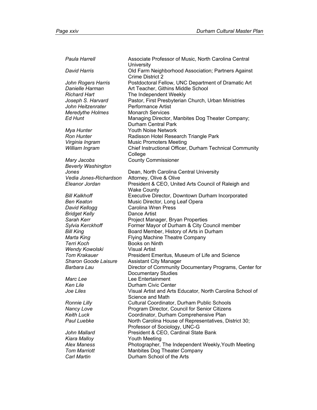*Paula Harrell* Associate Professor of Music, North Carolina Central **University** *David Harris* Old Farm Neighborhood Association; Partners Against Crime District 2 *John Rogers Harris* Postdoctoral Fellow, UNC Department of Dramatic Art *Danielle Harman* Art Teacher, Githins Middle School *Richard Hart* The Independent Weekly *Joseph S. Harvard* Pastor, First Presbyterian Church, Urban Ministries John Heitzenrater Performance Artist *Meredythe Holmes* Monarch Services *Ed Hunt* Managing Director, Manbites Dog Theater Company; Durham Central Park *Mya Hunter* Youth Noise Network **Ron Hunter Radisson Hotel Research Triangle Park** *Virginia Ingram* Music Promoters Meeting *William Ingram* Chief Instructional Officer, Durham Technical Community College *Mary Jacobs* County Commissioner *Beverly Washington Jones* **Dean, North Carolina Central University** *Vedia Jones-Richardson* Attorney, Olive & Olive *Eleanor Jordan* President & CEO, United Arts Council of Raleigh and Wake County *Bill Kalkhoff* Executive Director*,* Downtown Durham Incorporated *Ben Keaton* Music Director*,* Long Leaf Opera **David Kellogg Carolina Wren Press Bridget Kelly Dance Artist Sarah Kerr**  Project Manager, Bryan Properties *Sylvia Kerckhoff* Former Mayor of Durham & City Council member *Bill King* **Bill Allam Board Member, History of Arts in Durham**<br> *Marta King* **Elying Machine Theatre Company Flying Machine Theatre Company Terri Koch Books on Ninth Wendy Kowolski Visual Artist Tom Krakauer President Emeritus, Museum of Life and Science** *Sharon Goode Laisure* Assistant City Manager **Barbara Lau <b>Director of Community Documentary Programs**, Center for Documentary Studies *Marc Lee* Lee Entertainment *Ken Lile* **Durham Civic Center** *Joe Liles* Visual Artist and Arts Educator*,* North Carolina School of Science and Math **Ronnie Lilly Cultural Coordinator, Durham Public Schools** *Nancy Love* Program Director*,* Council for Senior Citizens Keith Luck **Coordinator, Durham Comprehensive Plan Paul Luebke • North Carolina House of Representatives, District 30;** Professor of Sociology, UNC-G *John Mallard* President & CEO, Cardinal State Bank *Kiara Malloy* Youth Meeting *Alex Maness* Photographer*,* The Independent Weekly,Youth Meeting **Tom Marriott Manbites Dog Theater Company Carl Martin Durham School of the Arts**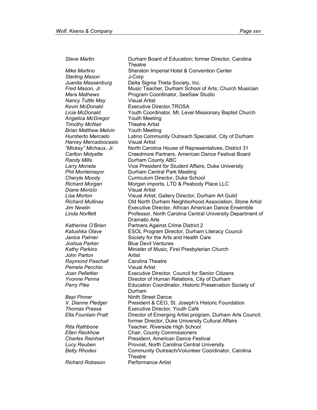**Theatre** *Mike Martino* Sheraton Imperial Hotel & Convention Center *Sterling Mason* J-Corp *Juanita Massenburg* Delta Sigma Theta Society, Inc. **Fred Mason, Jr. Channel Music Teacher, Durham School of Arts; Church Musician** *Mara Mathews* Program Coordinator, SeeSaw Studio **Nancy Tuttle May State Convertsed Visual Artist** *Kevin McDonald* Executive Director*,*TROSA *Licia McDonald* Youth Coordinator, Mt. Level Missionary Baptist Church *Angelica McGregor* Youth Meeting **Timothy McNair Theatre Artist** *Brian Matthew Melvin* Youth Meeting *Humberto Mercado* Latino Community Outreach Specialist, City of Durham *Harvey Mercadoocasio* Visual Artist *"Mickey" Michaux, Jr.* North Carolina House of Representatives, District 31 *Carlton Midyette* Creedmore Partners, American Dance Festival Board *Randy Mills* **Durham County ABC** *Larry Moneta* Vice President for Student Affairs, Duke University **Phil Montemayor Durham Central Park Meeting** *Cheryle Moody* Curriculum Director, Duke School *Richard Morgan* Morgan imports, LTD & Peabody Place LLC *Diane Morizio* Visual Artist *Lisa Morton* Visual Artist; Gallery Director, Durham Art Guild *Richard Mullinax* Old North Durham Neighborhood Association, Stone Artist *Jim Newlin* Executive Director, African American Dance Ensemble *Linda Norflett* Professor, North Carolina Central University Department of Dramatic Arts *Katherine O'Brien* Partners Against Crime District 2 *Katushka Olave* ESOL Program Director, Durham Literacy Council *Janice Palmer* **Society for the Arts and Health Care** *Joshua Parker* Blue Devil Ventures Kathy Parkins **Minister of Music, First Presbyterian Church** *John Parton* Artist *Raymond Paschall* Carolina Theatre *Pemela Pecchio* Visual Artist *Joan Pellettier* Executive Director, Council for Senior Citizens Yvonne Penna **Director of Human Relations, City of Durham Perry Pike Education Coordinator, Historic Preservation Society of** Durham **Bepi Pinner Ninth Street Dance** *V. Dianne Pledger* President & CEO, St. Joseph's Historic Foundation *Thomas Prassa* Executive Director, Youth Café *Ella Fountain Pratt* Director of Emerging Artist program, Durham Arts Council; former Director, Duke University Cultural Affairs *Rita Rathbone* Teacher, Riverside High School *Ellen Reckhow* Chair, County Commissioners *Charles Reinhart* President, American Dance Festival **Lucy Reuben**  Provost, North Carolina Central University **Betty Rhodes Community Outreach/Volunteer Coordinator, Carolina Theatre** *Richard Robeson* Performance Artist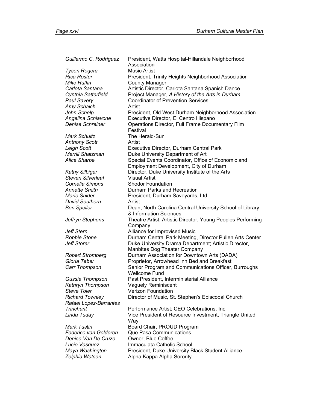| Guillermo C. Rodriguez        | President, Watts Hospital-Hillandale Neighborhood<br>Association       |
|-------------------------------|------------------------------------------------------------------------|
| <b>Tyson Rogers</b>           | <b>Music Artist</b>                                                    |
| <b>Risa Roster</b>            | President, Trinity Heights Neighborhood Association                    |
| <b>Mike Ruffin</b>            | <b>County Manager</b>                                                  |
| Carlota Santana               | Artistic Director, Carlota Santana Spanish Dance                       |
| Cynthia Satterfield           | Project Manager, A History of the Arts in Durham                       |
| <b>Paul Savery</b>            | <b>Coordinator of Prevention Services</b>                              |
| Amy Schaich                   | Artist                                                                 |
| John Schelp                   | President, Old West Durham Neighborhood Association                    |
| Angelina Schiavone            | Executive Director, El Centro Hispano                                  |
| <b>Denise Schreiner</b>       | Operations Director, Full Frame Documentary Film                       |
|                               | Festival                                                               |
| <b>Mark Schultz</b>           | The Herald-Sun                                                         |
| <b>Anthony Scott</b>          | Artist                                                                 |
| Leigh Scott                   | Executive Director, Durham Central Park                                |
| <b>Merrill Shatzman</b>       | Duke University Department of Art                                      |
| <b>Alice Sharpe</b>           | Special Events Coordinator, Office of Economic and                     |
|                               | Employment Development, City of Durham                                 |
| <b>Kathy Silbiger</b>         | Director, Duke University Institute of the Arts                        |
| <b>Steven Silverleaf</b>      | <b>Visual Artist</b>                                                   |
| Cornelia Simons               | <b>Shodor Foundation</b>                                               |
| <b>Annette Smith</b>          | Durham Parks and Recreation                                            |
| Marie Snider                  | President, Durham Savoyards, Ltd.                                      |
| <b>David Southern</b>         | Artist                                                                 |
| <b>Ben Speller</b>            | Dean, North Carolina Central University School of Library              |
|                               | & Information Sciences                                                 |
| Jeffryn Stephens              | Theatre Artist; Artistic Director, Young Peoples Performing<br>Company |
| <b>Jeff Stern</b>             | Alliance for Improvised Music                                          |
| <b>Robbie Stone</b>           | Durham Central Park Meeting, Director Pullen Arts Center               |
| Jeff Storer                   | Duke University Drama Department; Artistic Director,                   |
|                               | Manbites Dog Theater Company                                           |
| <b>Robert Stromberg</b>       | Durham Association for Downtown Arts (DADA)                            |
| Gloria Teber                  | Proprietor, Arrowhead Inn Bed and Breakfast                            |
| Carr Thompson                 | Senior Program and Communications Officer, Burroughs                   |
|                               | <b>Wellcome Fund</b>                                                   |
| <b>Gussie Thompson</b>        | Past President, Interministerial Alliance                              |
| Kathryn Thompson              | <b>Vaguely Reminiscent</b>                                             |
| <b>Steve Toler</b>            | Verizon Foundation                                                     |
| <b>Richard Townley</b>        | Director of Music, St. Stephen's Episcopal Church                      |
| <b>Rafael Lopez-Barrantes</b> |                                                                        |
| Trinchant                     | Performance Artist; CEO Celebrations, Inc.                             |
| Linda Tuday                   | Vice President of Resource Investment, Triangle United<br>Way          |
| <b>Mark Tustin</b>            | Board Chair, PROUD Program                                             |
| Federico van Gelderen         | Que Pasa Communications                                                |
| Denise Van De Cruze           | Owner, Blue Coffee                                                     |
| Lucio Vasquez                 | Immaculata Catholic School                                             |
| Maya Washington               | President, Duke University Black Student Alliance                      |
| Zelphia Watson                | Alpha Kappa Alpha Sorority                                             |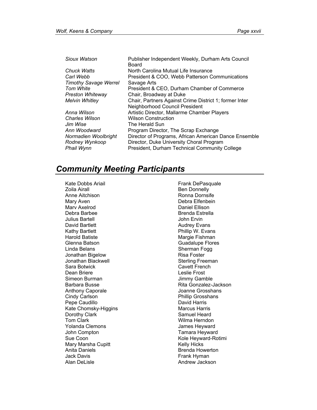| Sioux Watson                 | Publisher Independent Weekly, Durham Arts Council<br>Board |
|------------------------------|------------------------------------------------------------|
| Chuck Watts                  | North Carolina Mutual Life Insurance                       |
| Carl Webb                    | President & COO, Webb Patterson Communications             |
| <b>Timothy Savage Werrel</b> | Savage Arts                                                |
| Tom White                    | President & CEO, Durham Chamber of Commerce                |
| <b>Preston Whiteway</b>      | Chair, Broadway at Duke                                    |
| <b>Melvin Whitley</b>        | Chair, Partners Against Crime District 1; former Inter     |
|                              | Neighborhood Council President                             |
| Anna Wilson                  | Artistic Director, Mallarme Chamber Players                |
| <b>Charles Wilson</b>        | <b>Wilson Construction</b>                                 |
| Jim Wise                     | The Herald Sun                                             |
| Ann Woodward                 | Program Director, The Scrap Exchange                       |
| Normadien Woolbright         | Director of Programs, African American Dance Ensemble      |
| Rodney Wynkoop               | Director, Duke University Choral Program                   |
| Phail Wynn                   | President, Durham Technical Community College              |

### *Community Meeting Participants*

Kate Dobbs Ariail Zoila Airall Anne Aitchison Mary Aven Marv Axelrod Debra Barbee Julius Bartell David Bartlett Kathy Bartlett Harold Batiste Glenna Batson Linda Belans Jonathan Bigelow Jonathan Blackwell Sara Botwick Dean Briere Simeon Burman Barbara Busse Anthony Caporale Cindy Carlson Pepe Caudillo Kate Chomsky-Higgins Dorothy Clark Tom Clark Yolanda Clemons John Compton Sue Coon Mary Marsha Cupitt Anita Daniels Jack Davis Alan DeLisle

Frank DePasquale Ben Donnelly Ronna Dornsife Debra Elfenbein Daniel Ellison Brenda Estrella John Ervin Audrey Evans Phillip W. Evans Margie Fishman Guadalupe Flores Sherman Fogg Risa Foster Sterling Freeman Cavett French Leslie Frost Jimmy Gamble Rita Gonzalez-Jackson Joanne Grosshans Phillip Grosshans David Harris Marcus Harris Samuel Heard Wilma Herndon James Heyward Tamara Heyward Kole Heyward-Rotimi Kelly Hicks Brenda Howerton Frank Hyman Andrew Jackson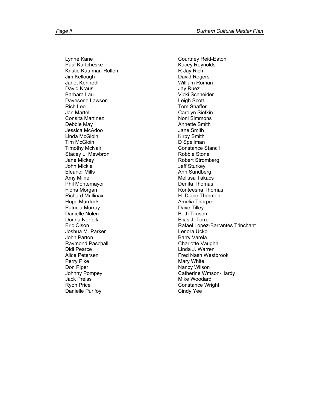Lynne Kane Paul Kartcheske Kristie Kaufman-Rollen Jim Kellough Janet Kenneth David Kraus Barbara Lau Davesene Lawson Rich Lee Jan Martell Consita Martinez Debbie May Jessica McAdoo Linda McGloin Tim McGloin Timothy McNair Stacey L. Mewbron Jane Mickey John Mickle Eleanor Mills Amy Milne Phil Montemayor Fiona Morgan Richard Mullinax Hope Murdock Patricia Murray Danielle Nolen Donna Norfolk Eric Olson Joshua M. Parker John Parton Raymond Paschall Didi Pearce Alice Petersen Perry Pike Don Piper Johnny Pompey Jack Preiss Ryon Price Danielle Purifoy

Courtney Reid-Eaton Kacey Reynolds R Jay Rich David Rogers William Roman Jay Ruez Vicki Schneider Leigh Scott Tom Shaffer Carolyn Siefkin Noni Simmons Annette Smith Jane Smith Kirby Smith D Spellman Constance Stancil Robbie Stone Robert Stromberg Jeff Sturkey Ann Sundberg Melissa Takacs Denita Thomas Ronteesha Thomas H. Diane Thornton Amelia Thorpe Dave Tilley Beth Timson Elias J. Torre Rafael Lopez-Barrantes Trinchant Lenora Ucko Barry Varela Charlotte Vaughn Linda J. Warren Fred Nash Westbrook Mary White Nancy Wilson Catherine Wmson-Hardy Mike Woodard Constance Wright Cindy Yee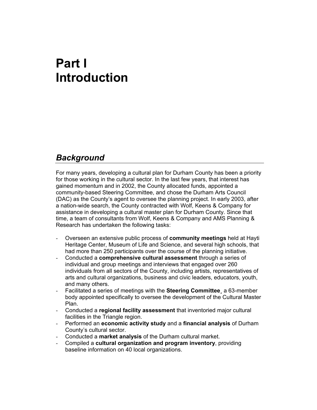# **Part I Introduction**

## *Background*

For many years, developing a cultural plan for Durham County has been a priority for those working in the cultural sector. In the last few years, that interest has gained momentum and in 2002, the County allocated funds, appointed a community-based Steering Committee, and chose the Durham Arts Council (DAC) as the County's agent to oversee the planning project. In early 2003, after a nation-wide search, the County contracted with Wolf, Keens & Company for assistance in developing a cultural master plan for Durham County. Since that time, a team of consultants from Wolf, Keens & Company and AMS Planning & Research has undertaken the following tasks:

- Overseen an extensive public process of **community meetings** held at Hayti Heritage Center, Museum of Life and Science, and several high schools, that had more than 250 participants over the course of the planning initiative.
- Conducted a **comprehensive cultural assessment** through a series of individual and group meetings and interviews that engaged over 260 individuals from all sectors of the County, including artists, representatives of arts and cultural organizations, business and civic leaders, educators, youth, and many others.
- Facilitated a series of meetings with the **Steering Committee**¸ a 63-member body appointed specifically to oversee the development of the Cultural Master Plan.
- Conducted a **regional facility assessment** that inventoried major cultural facilities in the Triangle region.
- Performed an **economic activity study** and a **financial analysis** of Durham County's cultural sector.
- Conducted a **market analysis** of the Durham cultural market.
- Compiled a **cultural organization and program inventory**, providing baseline information on 40 local organizations.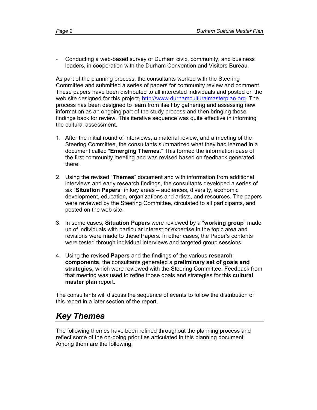Conducting a web-based survey of Durham civic, community, and business leaders, in cooperation with the Durham Convention and Visitors Bureau.

As part of the planning process, the consultants worked with the Steering Committee and submitted a series of papers for community review and comment. These papers have been distributed to all interested individuals and posted on the web site designed for this project, http://www.durhamculturalmasterplan.org. The process has been designed to learn from itself by gathering and assessing new information as an ongoing part of the study process and then bringing those findings back for review. This iterative sequence was quite effective in informing the cultural assessment.

- 1. After the initial round of interviews, a material review, and a meeting of the Steering Committee, the consultants summarized what they had learned in a document called "**Emerging Themes**." This formed the information base of the first community meeting and was revised based on feedback generated there.
- 2. Using the revised "**Themes**" document and with information from additional interviews and early research findings, the consultants developed a series of six "**Situation Papers**" in key areas – audiences, diversity, economic development, education, organizations and artists, and resources. The papers were reviewed by the Steering Committee, circulated to all participants, and posted on the web site.
- 3. In some cases, **Situation Papers** were reviewed by a "**working group**" made up of individuals with particular interest or expertise in the topic area and revisions were made to these Papers. In other cases, the Paper's contents were tested through individual interviews and targeted group sessions.
- 4. Using the revised **Papers** and the findings of the various **research components**, the consultants generated a **preliminary set of goals and strategies,** which were reviewed with the Steering Committee. Feedback from that meeting was used to refine those goals and strategies for this **cultural master plan** report.

The consultants will discuss the sequence of events to follow the distribution of this report in a later section of the report.

## *Key Themes*

The following themes have been refined throughout the planning process and reflect some of the on-going priorities articulated in this planning document. Among them are the following: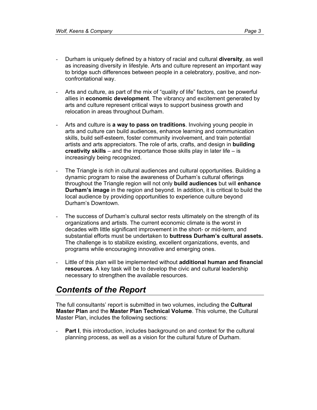- Durham is uniquely defined by a history of racial and cultural **diversity**, as well as increasing diversity in lifestyle. Arts and culture represent an important way to bridge such differences between people in a celebratory, positive, and nonconfrontational way.
- Arts and culture, as part of the mix of "quality of life" factors, can be powerful allies in **economic development**. The vibrancy and excitement generated by arts and culture represent critical ways to support business growth and relocation in areas throughout Durham.
- Arts and culture is **a way to pass on traditions**. Involving young people in arts and culture can build audiences, enhance learning and communication skills, build self-esteem, foster community involvement, and train potential artists and arts appreciators. The role of arts, crafts, and design in **building creativity skills** – and the importance those skills play in later life – is increasingly being recognized.
- The Triangle is rich in cultural audiences and cultural opportunities. Building a dynamic program to raise the awareness of Durham's cultural offerings throughout the Triangle region will not only **build audiences** but will **enhance Durham's image** in the region and beyond. In addition, it is critical to build the local audience by providing opportunities to experience culture beyond Durham's Downtown.
- The success of Durham's cultural sector rests ultimately on the strength of its organizations and artists. The current economic climate is the worst in decades with little significant improvement in the short- or mid-term, and substantial efforts must be undertaken to **buttress Durham's cultural assets.** The challenge is to stabilize existing, excellent organizations, events, and programs while encouraging innovative and emerging ones.
- Little of this plan will be implemented without **additional human and financial resources**. A key task will be to develop the civic and cultural leadership necessary to strengthen the available resources.

# *Contents of the Report*

The full consultants' report is submitted in two volumes, including the **Cultural Master Plan** and the **Master Plan Technical Volume**. This volume, the Cultural Master Plan, includes the following sections:

- **Part I**, this introduction, includes background on and context for the cultural planning process, as well as a vision for the cultural future of Durham.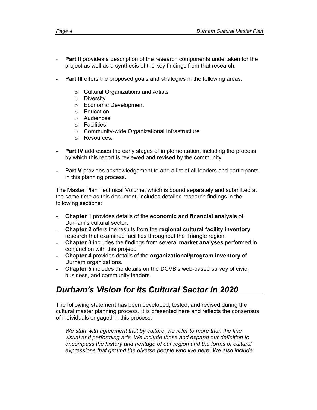- Part II provides a description of the research components undertaken for the project as well as a synthesis of the key findings from that research.
- **Part III** offers the proposed goals and strategies in the following areas:
	- o Cultural Organizations and Artists
	- o Diversity
	- o Economic Development
	- o Education
	- o Audiences
	- o Facilities
	- o Community-wide Organizational Infrastructure
	- o Resources.
- **Part IV** addresses the early stages of implementation, including the process by which this report is reviewed and revised by the community.
- **Part V** provides acknowledgement to and a list of all leaders and participants in this planning process.

The Master Plan Technical Volume, which is bound separately and submitted at the same time as this document, includes detailed research findings in the following sections:

- **Chapter 1** provides details of the **economic and financial analysis** of Durham's cultural sector.
- **Chapter 2** offers the results from the **regional cultural facility inventory** research that examined facilities throughout the Triangle region.
- **Chapter 3** includes the findings from several **market analyses** performed in conjunction with this project.
- **Chapter 4** provides details of the **organizational/program inventory** of Durham organizations.
- **Chapter 5** includes the details on the DCVB's web-based survey of civic, business, and community leaders.

## *Durham's Vision for its Cultural Sector in 2020*

The following statement has been developed, tested, and revised during the cultural master planning process. It is presented here and reflects the consensus of individuals engaged in this process.

*We start with agreement that by culture, we refer to more than the fine visual and performing arts. We include those and expand our definition to encompass the history and heritage of our region and the forms of cultural expressions that ground the diverse people who live here. We also include*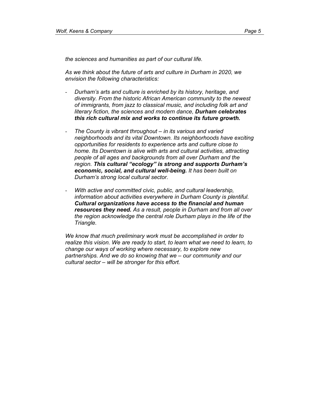*the sciences and humanities as part of our cultural life.* 

*As we think about the future of arts and culture in Durham in 2020, we envision the following characteristics:* 

- *Durham's arts and culture is enriched by its history, heritage, and diversity. From the historic African American community to the newest of immigrants, from jazz to classical music, and including folk art and literary fiction, the sciences and modern dance, Durham celebrates this rich cultural mix and works to continue its future growth.*
- *The County is vibrant throughout in its various and varied neighborhoods and its vital Downtown. Its neighborhoods have exciting opportunities for residents to experience arts and culture close to home. Its Downtown is alive with arts and cultural activities, attracting people of all ages and backgrounds from all over Durham and the region. This cultural "ecology" is strong and supports Durham's economic, social, and cultural well-being. It has been built on Durham's strong local cultural sector.*
- *With active and committed civic, public, and cultural leadership, information about activities everywhere in Durham County is plentiful. Cultural organizations have access to the financial and human resources they need. As a result, people in Durham and from all over the region acknowledge the central role Durham plays in the life of the Triangle.*

*We know that much preliminary work must be accomplished in order to realize this vision. We are ready to start, to learn what we need to learn, to change our ways of working where necessary, to explore new partnerships. And we do so knowing that we – our community and our cultural sector – will be stronger for this effort.*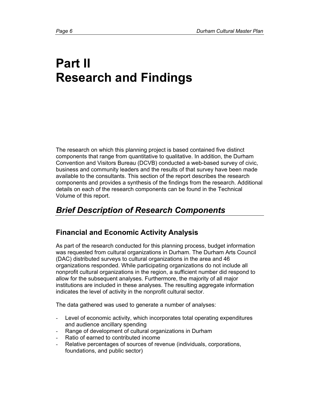# **Part II Research and Findings**

The research on which this planning project is based contained five distinct components that range from quantitative to qualitative. In addition, the Durham Convention and Visitors Bureau (DCVB) conducted a web-based survey of civic, business and community leaders and the results of that survey have been made available to the consultants. This section of the report describes the research components and provides a synthesis of the findings from the research. Additional details on each of the research components can be found in the Technical Volume of this report.

# *Brief Description of Research Components*

## **Financial and Economic Activity Analysis**

As part of the research conducted for this planning process, budget information was requested from cultural organizations in Durham. The Durham Arts Council (DAC) distributed surveys to cultural organizations in the area and 46 organizations responded. While participating organizations do not include all nonprofit cultural organizations in the region, a sufficient number did respond to allow for the subsequent analyses. Furthermore, the majority of all major institutions are included in these analyses. The resulting aggregate information indicates the level of activity in the nonprofit cultural sector.

The data gathered was used to generate a number of analyses:

- Level of economic activity, which incorporates total operating expenditures and audience ancillary spending
- Range of development of cultural organizations in Durham
- Ratio of earned to contributed income
- Relative percentages of sources of revenue (individuals, corporations, foundations, and public sector)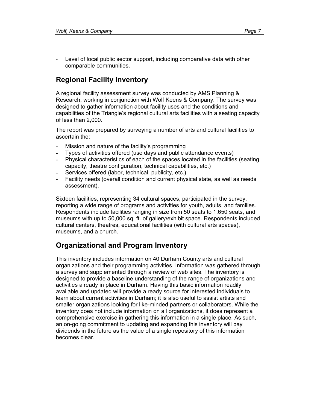Level of local public sector support, including comparative data with other comparable communities.

## **Regional Facility Inventory**

A regional facility assessment survey was conducted by AMS Planning & Research, working in conjunction with Wolf Keens & Company. The survey was designed to gather information about facility uses and the conditions and capabilities of the Triangle's regional cultural arts facilities with a seating capacity of less than 2,000.

The report was prepared by surveying a number of arts and cultural facilities to ascertain the:

- Mission and nature of the facility's programming
- Types of activities offered (use days and public attendance events)
- Physical characteristics of each of the spaces located in the facilities (seating capacity, theatre configuration, technical capabilities, etc.)
- Services offered (labor, technical, publicity, etc.)
- Facility needs (overall condition and current physical state, as well as needs assessment).

Sixteen facilities, representing 34 cultural spaces, participated in the survey, reporting a wide range of programs and activities for youth, adults, and families. Respondents include facilities ranging in size from 50 seats to 1,650 seats, and museums with up to 50,000 sq. ft. of gallery/exhibit space. Respondents included cultural centers, theatres, educational facilities (with cultural arts spaces), museums, and a church.

## **Organizational and Program Inventory**

This inventory includes information on 40 Durham County arts and cultural organizations and their programming activities. Information was gathered through a survey and supplemented through a review of web sites. The inventory is designed to provide a baseline understanding of the range of organizations and activities already in place in Durham. Having this basic information readily available and updated will provide a ready source for interested individuals to learn about current activities in Durham; it is also useful to assist artists and smaller organizations looking for like-minded partners or collaborators. While the inventory does not include information on all organizations, it does represent a comprehensive exercise in gathering this information in a single place. As such, an on-going commitment to updating and expanding this inventory will pay dividends in the future as the value of a single repository of this information becomes clear.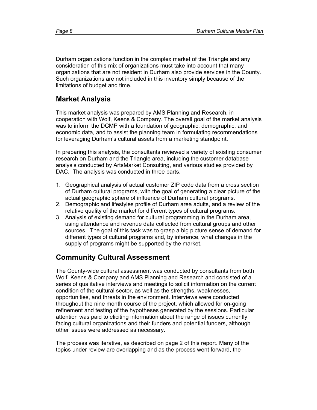Durham organizations function in the complex market of the Triangle and any consideration of this mix of organizations must take into account that many organizations that are not resident in Durham also provide services in the County. Such organizations are not included in this inventory simply because of the limitations of budget and time.

## **Market Analysis**

This market analysis was prepared by AMS Planning and Research, in cooperation with Wolf, Keens & Company. The overall goal of the market analysis was to inform the DCMP with a foundation of geographic, demographic, and economic data, and to assist the planning team in formulating recommendations for leveraging Durham's cultural assets from a marketing standpoint.

In preparing this analysis, the consultants reviewed a variety of existing consumer research on Durham and the Triangle area, including the customer database analysis conducted by ArtsMarket Consulting, and various studies provided by DAC. The analysis was conducted in three parts.

- 1. Geographical analysis of actual customer ZIP code data from a cross section of Durham cultural programs, with the goal of generating a clear picture of the actual geographic sphere of influence of Durham cultural programs.
- 2. Demographic and lifestyles profile of Durham area adults, and a review of the relative quality of the market for different types of cultural programs.
- 3. Analysis of existing demand for cultural programming in the Durham area, using attendance and revenue data collected from cultural groups and other sources. The goal of this task was to grasp a big picture sense of demand for different types of cultural programs and, by inference, what changes in the supply of programs might be supported by the market.

## **Community Cultural Assessment**

The County-wide cultural assessment was conducted by consultants from both Wolf, Keens & Company and AMS Planning and Research and consisted of a series of qualitative interviews and meetings to solicit information on the current condition of the cultural sector, as well as the strengths, weaknesses, opportunities, and threats in the environment. Interviews were conducted throughout the nine month course of the project, which allowed for on-going refinement and testing of the hypotheses generated by the sessions. Particular attention was paid to eliciting information about the range of issues currently facing cultural organizations and their funders and potential funders, although other issues were addressed as necessary.

The process was iterative, as described on page 2 of this report. Many of the topics under review are overlapping and as the process went forward, the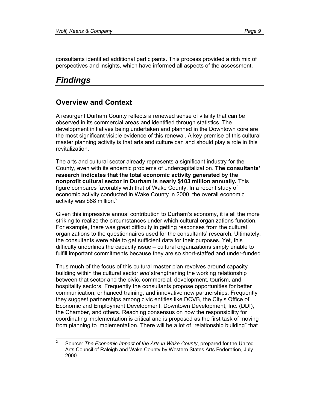consultants identified additional participants. This process provided a rich mix of perspectives and insights, which have informed all aspects of the assessment.

## *Findings*

### **Overview and Context**

A resurgent Durham County reflects a renewed sense of vitality that can be observed in its commercial areas and identified through statistics. The development initiatives being undertaken and planned in the Downtown core are the most significant visible evidence of this renewal. A key premise of this cultural master planning activity is that arts and culture can and should play a role in this revitalization.

The arts and cultural sector already represents a significant industry for the County, even with its endemic problems of undercapitalization. **The consultants' research indicates that the total economic activity generated by the nonprofit cultural sector in Durham is nearly \$103 million annually.** This figure compares favorably with that of Wake County. In a recent study of economic activity conducted in Wake County in 2000, the overall economic activity was \$88 million. $<sup>2</sup>$ </sup>

Given this impressive annual contribution to Durham's economy, it is all the more striking to realize the circumstances under which cultural organizations function. For example, there was great difficulty in getting responses from the cultural organizations to the questionnaires used for the consultants' research. Ultimately, the consultants were able to get sufficient data for their purposes. Yet, this difficulty underlines the capacity issue – cultural organizations simply unable to fulfill important commitments because they are so short-staffed and under-funded.

Thus much of the focus of this cultural master plan revolves around capacity building within the cultural sector *and* strengthening the working relationship between that sector and the civic, commercial, development, tourism, and hospitality sectors. Frequently the consultants propose opportunities for better communication, enhanced training, and innovative new partnerships. Frequently they suggest partnerships among civic entities like DCVB, the City's Office of Economic and Employment Development, Downtown Development, Inc. (DDI), the Chamber, and others. Reaching consensus on how the responsibility for coordinating implementation is critical and is proposed as the first task of moving from planning to implementation. There will be a lot of "relationship building" that

 $\frac{1}{2}$  Source: *The Economic Impact of the Arts in Wake County*, prepared for the United Arts Council of Raleigh and Wake County by Western States Arts Federation, July 2000.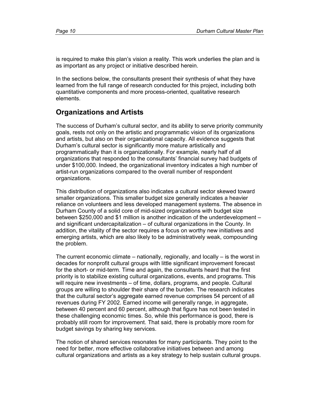is required to make this plan's vision a reality. This work underlies the plan and is as important as any project or initiative described herein.

In the sections below, the consultants present their synthesis of what they have learned from the full range of research conducted for this project, including both quantitative components and more process-oriented, qualitative research elements.

## **Organizations and Artists**

The success of Durham's cultural sector, and its ability to serve priority community goals, rests not only on the artistic and programmatic vision of its organizations and artists, but also on their organizational capacity. All evidence suggests that Durham's cultural sector is significantly more mature artistically and programmatically than it is organizationally. For example, nearly half of all organizations that responded to the consultants' financial survey had budgets of under \$100,000. Indeed, the organizational inventory indicates a high number of artist-run organizations compared to the overall number of respondent organizations.

This distribution of organizations also indicates a cultural sector skewed toward smaller organizations. This smaller budget size generally indicates a heavier reliance on volunteers and less developed management systems. The absence in Durham County of a solid core of mid-sized organizations with budget size between \$250,000 and \$1 million is another indication of the underdevelopment – and significant undercapitalization – of cultural organizations in the County. In addition, the vitality of the sector requires a focus on worthy new initiatives and emerging artists, which are also likely to be administratively weak, compounding the problem.

The current economic climate – nationally, regionally, and locally – is the worst in decades for nonprofit cultural groups with little significant improvement forecast for the short- or mid-term. Time and again, the consultants heard that the first priority is to stabilize existing cultural organizations, events, and programs. This will require new investments – of time, dollars, programs, and people. Cultural groups are willing to shoulder their share of the burden. The research indicates that the cultural sector's aggregate earned revenue comprises 54 percent of all revenues during FY 2002. Earned income will generally range, in aggregate, between 40 percent and 60 percent, although that figure has not been tested in these challenging economic times. So, while this performance is good, there is probably still room for improvement. That said, there is probably more room for budget savings by sharing key services.

The notion of shared services resonates for many participants. They point to the need for better, more effective collaborative initiatives between and among cultural organizations and artists as a key strategy to help sustain cultural groups.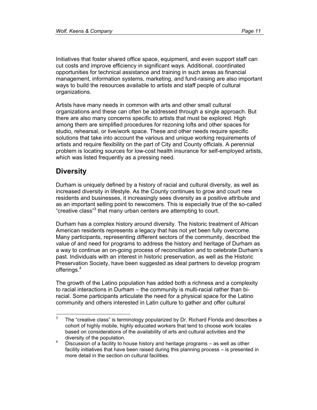Initiatives that foster shared office space, equipment, and even support staff can cut costs and improve efficiency in significant ways. Additional, coordinated opportunities for technical assistance and training in such areas as financial management, information systems, marketing, and fund-raising are also important ways to build the resources available to artists and staff people of cultural organizations.

Artists have many needs in common with arts and other small cultural organizations and these can often be addressed through a single approach. But there are also many concerns specific to artists that must be explored. High among them are simplified procedures for rezoning lofts and other spaces for studio, rehearsal, or live/work space. These and other needs require specific solutions that take into account the various and unique working requirements of artists and require flexibility on the part of City and County officials. A perennial problem is locating sources for low-cost health insurance for self-employed artists, which was listed frequently as a pressing need.

## **Diversity**

Durham is uniquely defined by a history of racial and cultural diversity, as well as increased diversity in lifestyle. As the County continues to grow and court new residents and businesses, it increasingly sees diversity as a positive attribute and as an important selling point to newcomers. This is especially true of the so-called "creative class"<sup>3</sup> that many urban centers are attempting to court.

Durham has a complex history around diversity. The historic treatment of African American residents represents a legacy that has not yet been fully overcome. Many participants, representing different sectors of the community, described the value of and need for programs to address the history and heritage of Durham as a way to continue an on-going process of reconciliation and to celebrate Durham's past. Individuals with an interest in historic preservation, as well as the Historic Preservation Society, have been suggested as ideal partners to develop program offerings.<sup>4</sup>

The growth of the Latino population has added both a richness and a complexity to racial interactions in Durham – the community is multi-racial rather than biracial. Some participants articulate the need for a physical space for the Latino community and others interested in Latin culture to gather and offer cultural

<sup>-&</sup>lt;br>3 The "creative class" is terminology popularized by Dr. Richard Florida and describes a cohort of highly mobile, highly educated workers that tend to choose work locales based on considerations of the availability of arts and cultural activities and the diversity of the population.

Discussion of a facility to house history and heritage programs – as well as other facility initiatives that have been raised during this planning process – is presented in more detail in the section on cultural facilities.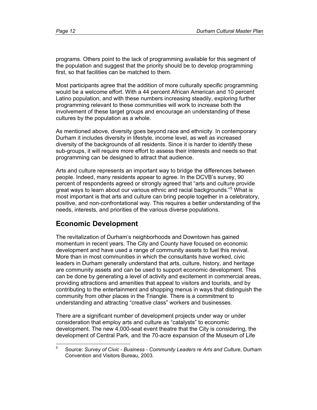programs. Others point to the lack of programming available for this segment of the population and suggest that the priority should be to develop programming first, so that facilities can be matched to them.

Most participants agree that the addition of more culturally specific programming would be a welcome effort. With a 44 percent African American and 10 percent Latino population, and with these numbers increasing steadily, exploring further programming relevant to these communities will work to increase both the involvement of these target groups and encourage an understanding of these cultures by the population as a whole.

As mentioned above, diversity goes beyond race and ethnicity. In contemporary Durham it includes diversity in lifestyle, income level, as well as increased diversity of the backgrounds of all residents. Since it is harder to identify these sub-groups, it will require more effort to assess their interests and needs so that programming can be designed to attract that audience.

Arts and culture represents an important way to bridge the differences between people. Indeed, many residents appear to agree. In the DCVB's survey, 90 percent of respondents agreed or strongly agreed that "arts and culture provide great ways to learn about our various ethnic and racial backgrounds."<sup>5</sup> What is most important is that arts and culture can bring people together in a celebratory, positive, and non-confrontational way. This requires a better understanding of the needs, interests, and priorities of the various diverse populations.

## **Economic Development**

The revitalization of Durham's neighborhoods and Downtown has gained momentum in recent years. The City and County have focused on economic development and have used a range of community assets to fuel this revival. More than in most communities in which the consultants have worked, civic leaders in Durham generally understand that arts, culture, history, and heritage are community assets and can be used to support economic development. This can be done by generating a level of activity and excitement in commercial areas, providing attractions and amenities that appeal to visitors and tourists, and by contributing to the entertainment and shopping menus in ways that distinguish the community from other places in the Triangle. There is a commitment to understanding and attracting "creative class" workers and businesses.

There are a significant number of development projects under way or under consideration that employ arts and culture as "catalysts" to economic development. The new 4,000-seat event theatre that the City is considering, the development of Central Park, and the 70-acre expansion of the Museum of Life

<sup>—&</sup>lt;br>5 Source: *Survey of Civic - Business - Community Leaders re Arts and Culture*, Durham Convention and Visitors Bureau, 2003.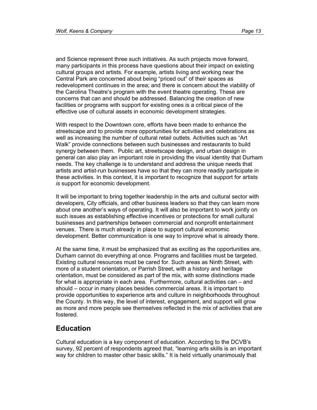and Science represent three such initiatives. As such projects move forward, many participants in this process have questions about their impact on existing cultural groups and artists. For example, artists living and working near the Central Park are concerned about being "priced out" of their spaces as redevelopment continues in the area; and there is concern about the viability of the Carolina Theatre's program with the event theatre operating. These are concerns that can and should be addressed. Balancing the creation of new facilities or programs with support for existing ones is a critical piece of the effective use of cultural assets in economic development strategies.

With respect to the Downtown core, efforts have been made to enhance the streetscape and to provide more opportunities for activities and celebrations as well as increasing the number of cultural retail outlets. Activities such as "Art Walk" provide connections between such businesses and restaurants to build synergy between them. Public art, streetscape design, and urban design in general can also play an important role in providing the visual identity that Durham needs. The key challenge is to understand and address the unique needs that artists and artist-run businesses have so that they can more readily participate in these activities. In this context, it is important to recognize that support for artists *is* support for economic development.

It will be important to bring together leadership in the arts and cultural sector with developers, City officials, and other business leaders so that they can learn more about one another's ways of operating. It will also be important to work jointly on such issues as establishing effective incentives or protections for small cultural businesses and partnerships between commercial and nonprofit entertainment venues. There is much already in place to support cultural economic development. Better communication is one way to improve what is already there.

At the same time, it must be emphasized that as exciting as the opportunities are, Durham cannot do everything at once. Programs and facilities must be targeted. Existing cultural resources must be cared for. Such areas as Ninth Street, with more of a student orientation, or Parrish Street, with a history and heritage orientation, must be considered as part of the mix, with some distinctions made for what is appropriate in each area. Furthermore, cultural activities can – and should – occur in many places besides commercial areas. It is important to provide opportunities to experience arts and culture in neighborhoods throughout the County. In this way, the level of interest, engagement, and support will grow as more and more people see themselves reflected in the mix of activities that are fostered.

### **Education**

Cultural education is a key component of education. According to the DCVB's survey, 92 percent of respondents agreed that, "learning arts skills is an important way for children to master other basic skills." It is held virtually unanimously that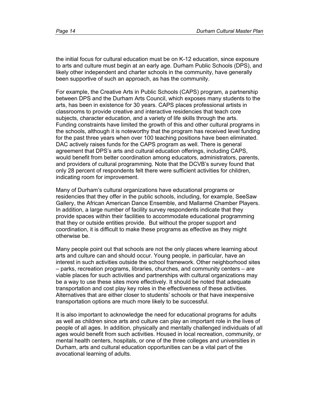the initial focus for cultural education must be on K-12 education, since exposure to arts and culture must begin at an early age. Durham Public Schools (DPS), and likely other independent and charter schools in the community, have generally been supportive of such an approach, as has the community.

For example, the Creative Arts in Public Schools (CAPS) program, a partnership between DPS and the Durham Arts Council, which exposes many students to the arts, has been in existence for 30 years. CAPS places professional artists in classrooms to provide creative and interactive residencies that teach core subjects, character education, and a variety of life skills through the arts. Funding constraints have limited the growth of this and other cultural programs in the schools, although it is noteworthy that the program has received level funding for the past three years when over 100 teaching positions have been eliminated. DAC actively raises funds for the CAPS program as well. There is general agreement that DPS's arts and cultural education offerings, including CAPS, would benefit from better coordination among educators, administrators, parents, and providers of cultural programming. Note that the DCVB's survey found that only 28 percent of respondents felt there were sufficient activities for children, indicating room for improvement.

Many of Durham's cultural organizations have educational programs or residencies that they offer in the public schools, including, for example, SeeSaw Gallery, the African American Dance Ensemble, and Mallarmé Chamber Players. In addition, a large number of facility survey respondents indicate that they provide spaces within their facilities to accommodate educational programming that they or outside entities provide. But without the proper support and coordination, it is difficult to make these programs as effective as they might otherwise be.

Many people point out that schools are not the only places where learning about arts and culture can and should occur. Young people, in particular, have an interest in such activities outside the school framework. Other neighborhood sites – parks, recreation programs, libraries, churches, and community centers – are viable places for such activities and partnerships with cultural organizations may be a way to use these sites more effectively. It should be noted that adequate transportation and cost play key roles in the effectiveness of these activities. Alternatives that are either closer to students' schools or that have inexpensive transportation options are much more likely to be successful.

It is also important to acknowledge the need for educational programs for adults as well as children since arts and culture can play an important role in the lives of people of all ages. In addition, physically and mentally challenged individuals of all ages would benefit from such activities. Housed in local recreation, community, or mental health centers, hospitals, or one of the three colleges and universities in Durham, arts and cultural education opportunities can be a vital part of the avocational learning of adults.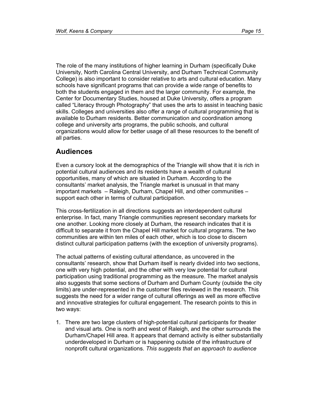The role of the many institutions of higher learning in Durham (specifically Duke University, North Carolina Central University, and Durham Technical Community College) is also important to consider relative to arts and cultural education. Many schools have significant programs that can provide a wide range of benefits to both the students engaged in them and the larger community. For example, the Center for Documentary Studies, housed at Duke University, offers a program called "Literacy through Photography" that uses the arts to assist in teaching basic skills. Colleges and universities also offer a range of cultural programming that is available to Durham residents. Better communication and coordination among college and university arts programs, the public schools, and cultural organizations would allow for better usage of all these resources to the benefit of all parties.

## **Audiences**

Even a cursory look at the demographics of the Triangle will show that it is rich in potential cultural audiences and its residents have a wealth of cultural opportunities, many of which are situated in Durham. According to the consultants' market analysis, the Triangle market is unusual in that many important markets – Raleigh, Durham, Chapel Hill, and other communities – support each other in terms of cultural participation.

This cross-fertilization in all directions suggests an interdependent cultural enterprise. In fact, many Triangle communities represent secondary markets for one another. Looking more closely at Durham, the research indicates that it is difficult to separate it from the Chapel Hill market for cultural programs. The two communities are within ten miles of each other, which is too close to discern distinct cultural participation patterns (with the exception of university programs).

The actual patterns of existing cultural attendance, as uncovered in the consultants' research, show that Durham itself is nearly divided into two sections, one with very high potential, and the other with very low potential for cultural participation using traditional programming as the measure. The market analysis also suggests that some sections of Durham and Durham County (outside the city limits) are under-represented in the customer files reviewed in the research. This suggests the need for a wider range of cultural offerings as well as more effective and innovative strategies for cultural engagement. The research points to this in two ways:

1. There are two large clusters of high-potential cultural participants for theater and visual arts. One is north and west of Raleigh, and the other surrounds the Durham/Chapel Hill area. It appears that demand activity is either substantially underdeveloped in Durham or is happening outside of the infrastructure of nonprofit cultural organizations. *This suggests that an approach to audience*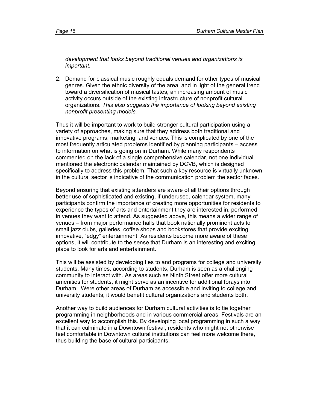*development that looks beyond traditional venues and organizations is important.*

2. Demand for classical music roughly equals demand for other types of musical genres. Given the ethnic diversity of the area, and in light of the general trend toward a diversification of musical tastes, an increasing amount of music activity occurs outside of the existing infrastructure of nonprofit cultural organizations. *This also suggests the importance of looking beyond existing nonprofit presenting models.*

Thus it will be important to work to build stronger cultural participation using a variety of approaches, making sure that they address both traditional and innovative programs, marketing, and venues. This is complicated by one of the most frequently articulated problems identified by planning participants – access to information on what is going on in Durham. While many respondents commented on the lack of a single comprehensive calendar, not one individual mentioned the electronic calendar maintained by DCVB, which is designed specifically to address this problem. That such a key resource is virtually unknown in the cultural sector is indicative of the communication problem the sector faces.

Beyond ensuring that existing attenders are aware of all their options through better use of sophisticated and existing, if underused, calendar system, many participants confirm the importance of creating more opportunities for residents to experience the types of arts and entertainment they are interested in, performed in venues they want to attend. As suggested above, this means a wider range of venues – from major performance halls that book nationally prominent acts to small jazz clubs, galleries, coffee shops and bookstores that provide exciting, innovative, "edgy" entertainment. As residents become more aware of these options, it will contribute to the sense that Durham is an interesting and exciting place to look for arts and entertainment.

This will be assisted by developing ties to and programs for college and university students. Many times, according to students, Durham is seen as a challenging community to interact with. As areas such as Ninth Street offer more cultural amenities for students, it might serve as an incentive for additional forays into Durham. Were other areas of Durham as accessible and inviting to college and university students, it would benefit cultural organizations and students both.

Another way to build audiences for Durham cultural activities is to tie together programming in neighborhoods and in various commercial areas. Festivals are an excellent way to accomplish this. By developing local programming in such a way that it can culminate in a Downtown festival, residents who might not otherwise feel comfortable in Downtown cultural institutions can feel more welcome there, thus building the base of cultural participants.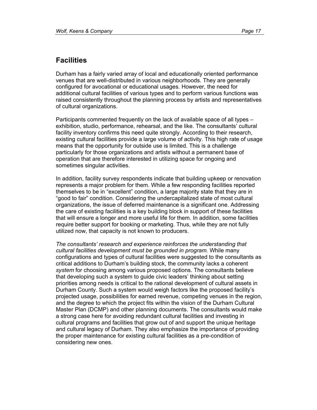## **Facilities**

Durham has a fairly varied array of local and educationally oriented performance venues that are well-distributed in various neighborhoods. They are generally configured for avocational or educational usages. However, the need for additional cultural facilities of various types and to perform various functions was raised consistently throughout the planning process by artists and representatives of cultural organizations.

Participants commented frequently on the lack of available space of all types – exhibition, studio, performance, rehearsal, and the like. The consultants' cultural facility inventory confirms this need quite strongly. According to their research, existing cultural facilities provide a large volume of activity. This high rate of usage means that the opportunity for outside use is limited. This is a challenge particularly for those organizations and artists without a permanent base of operation that are therefore interested in utilizing space for ongoing and sometimes singular activities.

In addition, facility survey respondents indicate that building upkeep or renovation represents a major problem for them. While a few responding facilities reported themselves to be in "excellent" condition, a large majority state that they are in "good to fair" condition. Considering the undercapitalized state of most cultural organizations, the issue of deferred maintenance is a significant one. Addressing the care of existing facilities is a key building block in support of these facilities that will ensure a longer and more useful life for them. In addition, some facilities require better support for booking or marketing. Thus, while they are not fully utilized now, that capacity is not known to producers.

*The consultants' research and experience reinforces the understanding that cultural facilities development must be grounded in program.* While many configurations and types of cultural facilities were suggested to the consultants as critical additions to Durham's building stock, the community lacks a coherent *system* for choosing among various proposed options. The consultants believe that developing such a system to guide civic leaders' thinking about setting priorities among needs is critical to the rational development of cultural assets in Durham County. Such a system would weigh factors like the proposed facility's projected usage, possibilities for earned revenue, competing venues in the region, and the degree to which the project fits within the vision of the Durham Cultural Master Plan (DCMP) and other planning documents. The consultants would make a strong case here for avoiding redundant cultural facilities and investing in cultural programs and facilities that grow out of and support the unique heritage and cultural legacy of Durham. They also emphasize the importance of providing the proper maintenance for existing cultural facilities as a pre-condition of considering new ones.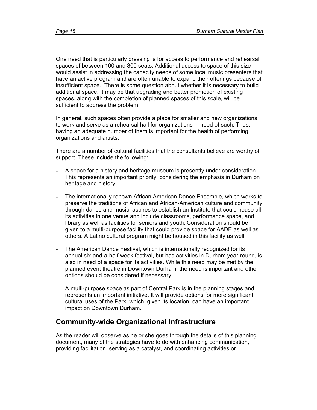One need that is particularly pressing is for access to performance and rehearsal spaces of between 100 and 300 seats. Additional access to space of this size would assist in addressing the capacity needs of some local music presenters that have an active program and are often unable to expand their offerings because of insufficient space. There is some question about whether it is necessary to build additional space. It may be that upgrading and better promotion of existing spaces, along with the completion of planned spaces of this scale, will be sufficient to address the problem.

In general, such spaces often provide a place for smaller and new organizations to work and serve as a rehearsal hall for organizations in need of such. Thus, having an adequate number of them is important for the health of performing organizations and artists.

There are a number of cultural facilities that the consultants believe are worthy of support. These include the following:

- A space for a history and heritage museum is presently under consideration. This represents an important priority, considering the emphasis in Durham on heritage and history.
- The internationally renown African American Dance Ensemble, which works to preserve the traditions of African and African-American culture and community through dance and music, aspires to establish an Institute that could house all its activities in one venue and include classrooms, performance space, and library as well as facilities for seniors and youth. Consideration should be given to a multi-purpose facility that could provide space for AADE as well as others. A Latino cultural program might be housed in this facility as well.
- The American Dance Festival, which is internationally recognized for its annual six-and-a-half week festival, but has activities in Durham year-round, is also in need of a space for its activities. While this need may be met by the planned event theatre in Downtown Durham, the need is important and other options should be considered if necessary.
- A multi-purpose space as part of Central Park is in the planning stages and represents an important initiative. It will provide options for more significant cultural uses of the Park, which, given its location, can have an important impact on Downtown Durham.

## **Community-wide Organizational Infrastructure**

As the reader will observe as he or she goes through the details of this planning document, many of the strategies have to do with enhancing communication, providing facilitation, serving as a catalyst, and coordinating activities or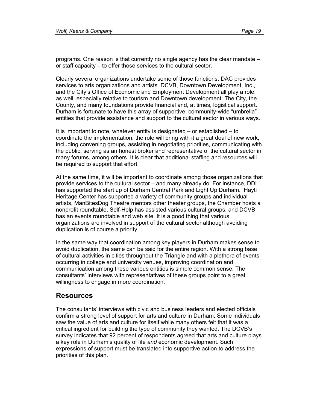programs. One reason is that currently no single agency has the clear mandate – or staff capacity – to offer those services to the cultural sector.

Clearly several organizations undertake some of those functions. DAC provides services to arts organizations and artists. DCVB, Downtown Development, Inc., and the City's Office of Economic and Employment Development all play a role, as well, especially relative to tourism and Downtown development. The City, the County, and many foundations provide financial and, at times, logistical support. Durham is fortunate to have this array of supportive, community-wide "umbrella" entities that provide assistance and support to the cultural sector in various ways.

It is important to note, whatever entity is designated – or established – to coordinate the implementation, the role will bring with it a great deal of new work, including convening groups, assisting in negotiating priorities, communicating with the public, serving as an honest broker and representative of the cultural sector in many forums, among others. It is clear that additional staffing and resources will be required to support that effort.

At the same time, it will be important to coordinate among those organizations that provide services to the cultural sector – and many already do. For instance, DDI has supported the start up of Durham Central Park and Light Up Durham. Hayti Heritage Center has supported a variety of community groups and individual artists, ManBitesDog Theatre mentors other theater groups, the Chamber hosts a nonprofit roundtable, Self-Help has assisted various cultural groups, and DCVB has an events roundtable and web site. It is a good thing that various organizations are involved in support of the cultural sector although avoiding duplication is of course a priority.

In the same way that coordination among key players in Durham makes sense to avoid duplication, the same can be said for the entire region. With a strong base of cultural activities in cities throughout the Triangle and with a plethora of events occurring in college and university venues, improving coordination and communication among these various entities is simple common sense. The consultants' interviews with representatives of these groups point to a great willingness to engage in more coordination.

#### **Resources**

The consultants' interviews with civic and business leaders and elected officials confirm a strong level of support for arts and culture in Durham. Some individuals saw the value of arts and culture for itself while many others felt that it was a critical ingredient for building the type of community they wanted. The DCVB's survey indicates that 92 percent of respondents agreed that arts and culture plays a key role in Durham's quality of life *and* economic development. Such expressions of support must be translated into supportive action to address the priorities of this plan.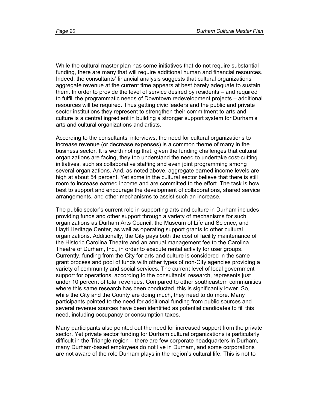While the cultural master plan has some initiatives that do not require substantial funding, there are many that will require additional human and financial resources. Indeed, the consultants' financial analysis suggests that cultural organizations' aggregate revenue at the current time appears at best barely adequate to sustain them. In order to provide the level of service desired by residents – and required to fulfill the programmatic needs of Downtown redevelopment projects – additional resources will be required. Thus getting civic leaders and the public and private sector institutions they represent to strengthen their commitment to arts and culture is a central ingredient in building a stronger support system for Durham's arts and cultural organizations and artists.

According to the consultants' interviews, the need for cultural organizations to increase revenue (or decrease expenses) is a common theme of many in the business sector. It is worth noting that, given the funding challenges that cultural organizations are facing, they too understand the need to undertake cost-cutting initiatives, such as collaborative staffing and even joint programming among several organizations. And, as noted above, aggregate earned income levels are high at about 54 percent. Yet some in the cultural sector believe that there is still room to increase earned income and are committed to the effort. The task is how best to support and encourage the development of collaborations, shared service arrangements, and other mechanisms to assist such an increase.

The public sector's current role in supporting arts and culture in Durham includes providing funds and other support through a variety of mechanisms for such organizations as Durham Arts Council, the Museum of Life and Science, and Hayti Heritage Center, as well as operating support grants to other cultural organizations. Additionally, the City pays both the cost of facility maintenance of the Historic Carolina Theatre and an annual management fee to the Carolina Theatre of Durham, Inc., in order to execute rental activity for user groups. Currently, funding from the City for arts and culture is considered in the same grant process and pool of funds with other types of non-City agencies providing a variety of community and social services. The current level of local government support for operations, according to the consultants' research, represents just under 10 percent of total revenues. Compared to other southeastern communities where this same research has been conducted, this is significantly lower. So, while the City and the County are doing much, they need to do more. Many participants pointed to the need for additional funding from public sources and several revenue sources have been identified as potential candidates to fill this need, including occupancy or consumption taxes.

Many participants also pointed out the need for increased support from the private sector. Yet private sector funding for Durham cultural organizations is particularly difficult in the Triangle region – there are few corporate headquarters in Durham, many Durham-based employees do not live in Durham, and some corporations are not aware of the role Durham plays in the region's cultural life. This is not to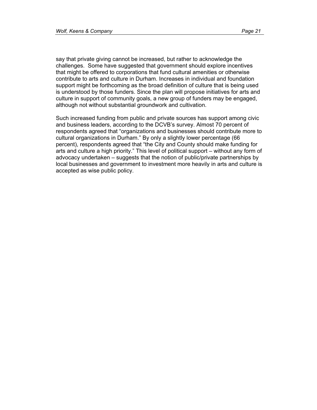say that private giving cannot be increased, but rather to acknowledge the challenges. Some have suggested that government should explore incentives that might be offered to corporations that fund cultural amenities or otherwise contribute to arts and culture in Durham. Increases in individual and foundation support might be forthcoming as the broad definition of culture that is being used is understood by those funders. Since the plan will propose initiatives for arts and culture in support of community goals, a new group of funders may be engaged, although not without substantial groundwork and cultivation.

Such increased funding from public and private sources has support among civic and business leaders, according to the DCVB's survey. Almost 70 percent of respondents agreed that "organizations and businesses should contribute more to cultural organizations in Durham." By only a slightly lower percentage (66 percent), respondents agreed that "the City and County should make funding for arts and culture a high priority." This level of political support – without any form of advocacy undertaken – suggests that the notion of public/private partnerships by local businesses and government to investment more heavily in arts and culture is accepted as wise public policy.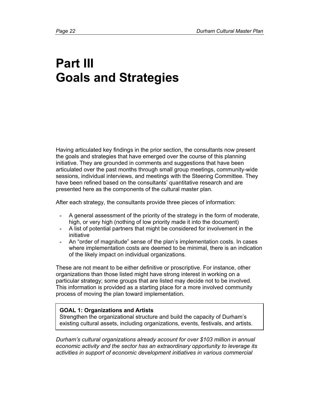# **Part III Goals and Strategies**

Having articulated key findings in the prior section, the consultants now present the goals and strategies that have emerged over the course of this planning initiative. They are grounded in comments and suggestions that have been articulated over the past months through small group meetings, community-wide sessions, individual interviews, and meetings with the Steering Committee. They have been refined based on the consultants' quantitative research and are presented here as the components of the cultural master plan.

After each strategy, the consultants provide three pieces of information:

- A general assessment of the priority of the strategy in the form of moderate, high, or very high (nothing of low priority made it into the document)
- A list of potential partners that might be considered for involvement in the initiative
- An "order of magnitude" sense of the plan's implementation costs. In cases where implementation costs are deemed to be minimal, there is an indication of the likely impact on individual organizations.

These are not meant to be either definitive or proscriptive. For instance, other organizations than those listed might have strong interest in working on a particular strategy; some groups that are listed may decide not to be involved. This information is provided as a starting place for a more involved community process of moving the plan toward implementation.

#### **GOAL 1: Organizations and Artists**

Strengthen the organizational structure and build the capacity of Durham's existing cultural assets, including organizations, events, festivals, and artists.

*Durham's cultural organizations already account for over \$103 million in annual economic activity and the sector has an extraordinary opportunity to leverage its activities in support of economic development initiatives in various commercial*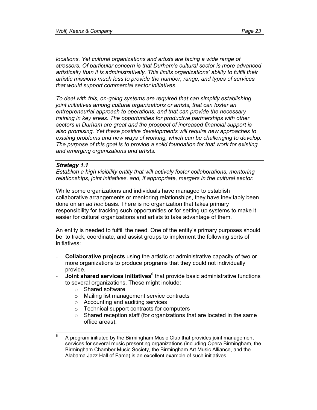*locations. Yet cultural organizations and artists are facing a wide range of stressors. Of particular concern is that Durham's cultural sector is more advanced artistically than it is administratively. This limits organizations' ability to fulfill their artistic missions much less to provide the number, range, and types of services that would support commercial sector initiatives.* 

*To deal with this, on-going systems are required that can simplify establishing joint initiatives among cultural organizations or artists, that can foster an entrepreneurial approach to operations, and that can provide the necessary training in key areas. The opportunities for productive partnerships with other sectors in Durham are great and the prospect of increased financial support is also promising. Yet these positive developments will require new approaches to existing problems and new ways of working, which can be challenging to develop. The purpose of this goal is to provide a solid foundation for that work for existing and emerging organizations and artists.* 

#### *Strategy 1.1*

*Establish a high visibility entity that will actively foster collaborations, mentoring relationships, joint initiatives, and, if appropriate, mergers in the cultural sector.* 

While some organizations and individuals have managed to establish collaborative arrangements or mentoring relationships, they have inevitably been done on an *ad hoc* basis. There is no organization that takes primary responsibility for tracking such opportunities or for setting up systems to make it easier for cultural organizations and artists to take advantage of them.

An entity is needed to fulfill the need. One of the entity's primary purposes should be to track, coordinate, and assist groups to implement the following sorts of initiatives:

- **Collaborative projects** using the artistic or administrative capacity of two or more organizations to produce programs that they could not individually provide.
- **Joint shared services initiatives<sup>6</sup>** that provide basic administrative functions to several organizations. These might include:
	- o Shared software
	- o Mailing list management service contracts
	- o Accounting and auditing services
	- o Technical support contracts for computers
	- $\circ$  Shared reception staff (for organizations that are located in the same office areas).

<sup>—&</sup>lt;br>6 A program initiated by the Birmingham Music Club that provides joint management services for several music presenting organizations (including Opera Birmingham, the Birmingham Chamber Music Society, the Birmingham Art Music Alliance, and the Alabama Jazz Hall of Fame) is an excellent example of such initiatives.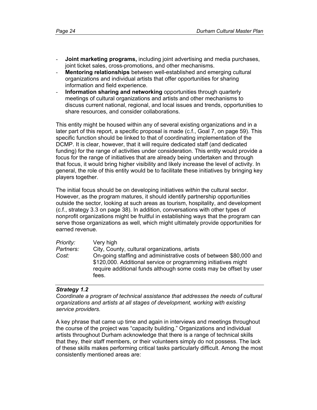- **Joint marketing programs,** including joint advertising and media purchases, joint ticket sales, cross-promotions, and other mechanisms.
- Mentoring relationships between well-established and emerging cultural organizations and individual artists that offer opportunities for sharing information and field experience.
- **Information sharing and networking** opportunities through quarterly meetings of cultural organizations and artists and other mechanisms to discuss current national, regional, and local issues and trends, opportunities to share resources, and consider collaborations.

This entity might be housed within any of several existing organizations and in a later part of this report, a specific proposal is made (c.f., Goal 7, on page 59). This specific function should be linked to that of coordinating implementation of the DCMP. It is clear, however, that it will require dedicated staff (and dedicated funding) for the range of activities under consideration. This entity would provide a focus for the range of initiatives that are already being undertaken and through that focus, it would bring higher visibility and likely increase the level of activity. In general, the role of this entity would be to facilitate these initiatives by bringing key players together.

The initial focus should be on developing initiatives *within* the cultural sector. However, as the program matures, it should identify partnership opportunities outside the sector, looking at such areas as tourism, hospitality, and development (c.f., strategy 3.3 on page 38). In addition, conversations with other types of nonprofit organizations might be fruitful in establishing ways that the program can serve those organizations as well, which might ultimately provide opportunities for earned revenue.

| Priority: | Very high                                                                                                                                                                                                           |
|-----------|---------------------------------------------------------------------------------------------------------------------------------------------------------------------------------------------------------------------|
| Partners: | City, County, cultural organizations, artists                                                                                                                                                                       |
| Cost:     | On-going staffing and administrative costs of between \$80,000 and<br>\$120,000. Additional service or programming initiatives might<br>require additional funds although some costs may be offset by user<br>fees. |

#### *Strategy 1.2*

*Coordinate a program of technical assistance that addresses the needs of cultural organizations and artists at all stages of development, working with existing service providers.* 

A key phrase that came up time and again in interviews and meetings throughout the course of the project was "capacity building." Organizations and individual artists throughout Durham acknowledge that there is a range of technical skills that they, their staff members, or their volunteers simply do not possess. The lack of these skills makes performing critical tasks particularly difficult. Among the most consistently mentioned areas are: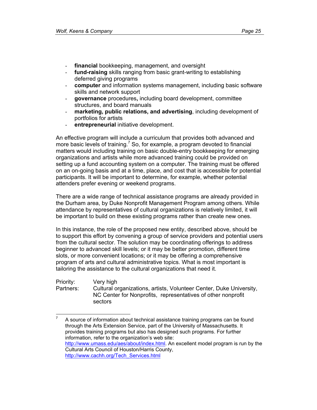- **financial** bookkeeping, management, and oversight
- **fund-raising** skills ranging from basic grant-writing to establishing deferred giving programs
- **computer** and information systems management, including basic software skills and network support
- **governance** procedures**,** including board development, committee structures, and board manuals
- marketing, public relations, and advertising, including development of portfolios for artists
- **entrepreneurial** initiative development.

An effective program will include a curriculum that provides both advanced and more basic levels of training.<sup>7</sup> So, for example, a program devoted to financial matters would including training on basic double-entry bookkeeping for emerging organizations and artists while more advanced training could be provided on setting up a fund accounting system on a computer. The training must be offered on an on-going basis and at a time, place, and cost that is accessible for potential participants. It will be important to determine, for example, whether potential attenders prefer evening or weekend programs.

There are a wide range of technical assistance programs are already provided in the Durham area, by Duke Nonprofit Management Program among others. While attendance by representatives of cultural organizations is relatively limited, it will be important to build on these existing programs rather than create new ones.

In this instance, the role of the proposed new entity, described above, should be to support this effort by convening a group of service providers and potential users from the cultural sector. The solution may be coordinating offerings to address beginner to advanced skill levels; or it may be better promotion, different time slots, or more convenient locations; or it may be offering a comprehensive program of arts and cultural administrative topics. What is most important is tailoring the assistance to the cultural organizations that need it.

Priority: Very high Partners: Cultural organizations, artists, Volunteer Center, Duke University, NC Center for Nonprofits, representatives of other nonprofit sectors

 $\frac{1}{7}$  A source of information about technical assistance training programs can be found through the Arts Extension Service, part of the University of Massachusetts. It provides training programs but also has designed such programs. For further information, refer to the organization's web site: http://www.umass.edu/aes/about/index.html. An excellent model program is run by the Cultural Arts Council of Houston/Harris County, http://www.cachh.org/Tech\_Services.html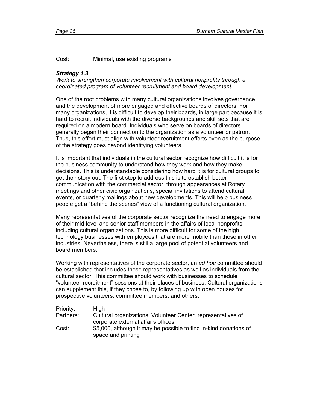#### Cost: Minimal, use existing programs

#### *Strategy 1.3*

*Work to strengthen corporate involvement with cultural nonprofits through a coordinated program of volunteer recruitment and board development.* 

One of the root problems with many cultural organizations involves governance and the development of more engaged and effective boards of directors. For many organizations, it is difficult to develop their boards, in large part because it is hard to recruit individuals with the diverse backgrounds and skill sets that are required on a modern board. Individuals who serve on boards of directors generally began their connection to the organization as a volunteer or patron. Thus, this effort must align with volunteer recruitment efforts even as the purpose of the strategy goes beyond identifying volunteers.

It is important that individuals in the cultural sector recognize how difficult it is for the business community to understand how they work and how they make decisions. This is understandable considering how hard it is for cultural groups to get their story out. The first step to address this is to establish better communication with the commercial sector, through appearances at Rotary meetings and other civic organizations, special invitations to attend cultural events, or quarterly mailings about new developments. This will help business people get a "behind the scenes" view of a functioning cultural organization.

Many representatives of the corporate sector recognize the need to engage more of their mid-level and senior staff members in the affairs of local nonprofits, including cultural organizations. This is more difficult for some of the high technology businesses with employees that are more mobile than those in other industries. Nevertheless, there is still a large pool of potential volunteers and board members.

Working with representatives of the corporate sector, an *ad hoc* committee should be established that includes those representatives as well as individuals from the cultural sector. This committee should work with businesses to schedule "volunteer recruitment" sessions at their places of business. Cultural organizations can supplement this, if they chose to, by following up with open houses for prospective volunteers, committee members, and others.

| Priority: | High                                                                                               |
|-----------|----------------------------------------------------------------------------------------------------|
| Partners: | Cultural organizations, Volunteer Center, representatives of<br>corporate external affairs offices |
| Cost:     | \$5,000, although it may be possible to find in-kind donations of                                  |
|           | space and printing                                                                                 |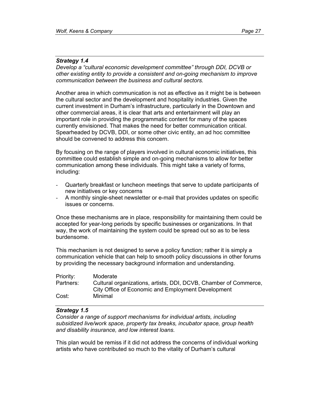#### *Strategy 1.4*

*Develop a "cultural economic development committee" through DDI, DCVB or other existing entity to provide a consistent and on-going mechanism to improve communication between the business and cultural sectors.* 

Another area in which communication is not as effective as it might be is between the cultural sector and the development and hospitality industries. Given the current investment in Durham's infrastructure, particularly in the Downtown and other commercial areas, it is clear that arts and entertainment will play an important role in providing the programmatic content for many of the spaces currently envisioned. That makes the need for better communication critical. Spearheaded by DCVB, DDI, or some other civic entity, an ad hoc committee should be convened to address this concern.

By focusing on the range of players involved in cultural economic initiatives, this committee could establish simple and on-going mechanisms to allow for better communication among these individuals. This might take a variety of forms, including:

- Quarterly breakfast or luncheon meetings that serve to update participants of new initiatives or key concerns
- A monthly single-sheet newsletter or e-mail that provides updates on specific issues or concerns.

Once these mechanisms are in place, responsibility for maintaining them could be accepted for year-long periods by specific businesses or organizations. In that way, the work of maintaining the system could be spread out so as to be less burdensome.

This mechanism is not designed to serve a policy function; rather it is simply a communication vehicle that can help to smooth policy discussions in other forums by providing the necessary background information and understanding.

| Priority: | Moderate                                                                                                               |
|-----------|------------------------------------------------------------------------------------------------------------------------|
| Partners: | Cultural organizations, artists, DDI, DCVB, Chamber of Commerce,<br>City Office of Economic and Employment Development |
| Cost:     | Minimal                                                                                                                |

#### *Strategy 1.5*

*Consider a range of support mechanisms for individual artists, including subsidized live/work space, property tax breaks, incubator space, group health and disability insurance, and low interest loans.* 

This plan would be remiss if it did not address the concerns of individual working artists who have contributed so much to the vitality of Durham's cultural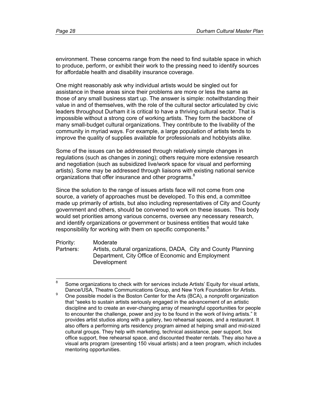environment. These concerns range from the need to find suitable space in which to produce, perform, or exhibit their work to the pressing need to identify sources for affordable health and disability insurance coverage.

One might reasonably ask why individual artists would be singled out for assistance in these areas since their problems are more or less the same as those of any small business start up. The answer is simple: notwithstanding their value in and of themselves, with the role of the cultural sector articulated by civic leaders throughout Durham it is critical to have a thriving cultural sector. That is impossible without a strong core of working artists. They form the backbone of many small-budget cultural organizations. They contribute to the livability of the community in myriad ways. For example, a large population of artists tends to improve the quality of supplies available for professionals and hobbyists alike.

Some of the issues can be addressed through relatively simple changes in regulations (such as changes in zoning); others require more extensive research and negotiation (such as subsidized live/work space for visual and performing artists). Some may be addressed through liaisons with existing national service organizations that offer insurance and other programs.<sup>8</sup>

Since the solution to the range of issues artists face will not come from one source, a variety of approaches must be developed. To this end, a committee made up primarily of artists, but also including representatives of City and County government and others, should be convened to work on these issues. This body would set priorities among various concerns, oversee any necessary research, and identify organizations or government or business entities that would take responsibility for working with them on specific components.<sup>9</sup>

Priority: Moderate Partners: Artists, cultural organizations, DADA, City and County Planning Department, City Office of Economic and Employment Development

 $\frac{1}{8}$  Some organizations to check with for services include Artists' Equity for visual artists, Dance/USA, Theatre Communications Group, and New York Foundation for Artists.

One possible model is the Boston Center for the Arts (BCA), a nonprofit organization that "seeks to sustain artists seriously engaged in the advancement of an artistic discipline and to create an ever-changing array of meaningful opportunities for people to encounter the challenge, power and joy to be found in the work of living artists." It provides artist studios along with a gallery, two rehearsal spaces, and a restaurant. It also offers a performing arts residency program aimed at helping small and mid-sized cultural groups. They help with marketing, technical assistance, peer support, box office support, free rehearsal space, and discounted theater rentals. They also have a visual arts program (presenting 150 visual artists) and a teen program, which includes mentoring opportunities.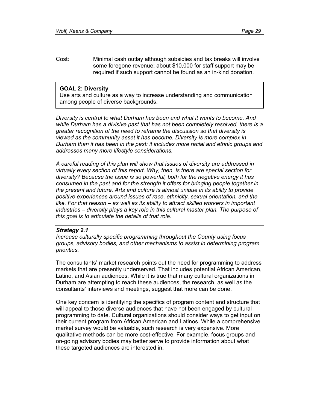Cost: Minimal cash outlay although subsidies and tax breaks will involve some foregone revenue; about \$10,000 for staff support may be required if such support cannot be found as an in-kind donation.

#### **GOAL 2: Diversity**

Use arts and culture as a way to increase understanding and communication among people of diverse backgrounds.

*Diversity is central to what Durham has been and what it wants to become. And while Durham has a divisive past that has not been completely resolved, there is a greater recognition of the need to reframe the discussion so that diversity is viewed as the community asset it has become. Diversity is more complex in Durham than it has been in the past: it includes more racial and ethnic groups and addresses many more lifestyle considerations.* 

*A careful reading of this plan will show that issues of diversity are addressed in virtually every section of this report. Why, then, is there are special section for diversity? Because the issue is so powerful, both for the negative energy it has consumed in the past and for the strength it offers for bringing people together in the present and future. Arts and culture is almost unique in its ability to provide positive experiences around issues of race, ethnicity, sexual orientation, and the*  like. For that reason – as well as its ability to attract skilled workers in important *industries – diversity plays a key role in this cultural master plan. The purpose of this goal is to articulate the details of that role.* 

#### *Strategy 2.1*

*Increase culturally specific programming throughout the County using focus groups, advisory bodies, and other mechanisms to assist in determining program priorities.* 

The consultants' market research points out the need for programming to address markets that are presently underserved. That includes potential African American, Latino, and Asian audiences. While it is true that many cultural organizations in Durham are attempting to reach these audiences, the research, as well as the consultants' interviews and meetings, suggest that more can be done.

One key concern is identifying the specifics of program content and structure that will appeal to those diverse audiences that have not been engaged by cultural programming to date. Cultural organizations should consider ways to get input on their current program from African American and Latinos. While a comprehensive market survey would be valuable, such research is very expensive. More qualitative methods can be more cost-effective. For example, focus groups and on-going advisory bodies may better serve to provide information about what these targeted audiences are interested in.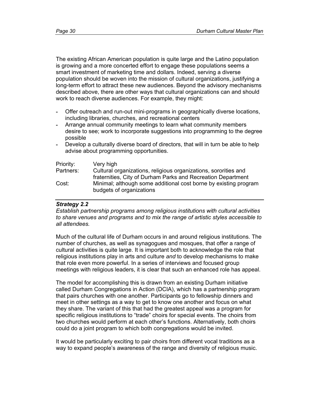The existing African American population is quite large and the Latino population is growing and a more concerted effort to engage these populations seems a smart investment of marketing time and dollars. Indeed, serving a diverse population should be woven into the mission of cultural organizations, justifying a long-term effort to attract these new audiences. Beyond the advisory mechanisms described above, there are other ways that cultural organizations can and should work to reach diverse audiences. For example, they might:

- Offer outreach and run-out mini-programs in geographically diverse locations, including libraries, churches, and recreational centers
- Arrange annual community meetings to learn what community members desire to see; work to incorporate suggestions into programming to the degree possible
- Develop a culturally diverse board of directors, that will in turn be able to help advise about programming opportunities.

| Priority: | Very high                                                        |
|-----------|------------------------------------------------------------------|
| Partners: | Cultural organizations, religious organizations, sororities and  |
|           | fraternities, City of Durham Parks and Recreation Department     |
| Cost:     | Minimal; although some additional cost borne by existing program |
|           | budgets of organizations                                         |

#### *Strategy 2.2*

*Establish partnership programs among religious institutions with cultural activities to share venues and programs and to mix the range of artistic styles accessible to all attendees.* 

Much of the cultural life of Durham occurs in and around religious institutions. The number of churches, as well as synagogues and mosques, that offer a range of cultural activities is quite large. It is important both to acknowledge the role that religious institutions play in arts and culture *and* to develop mechanisms to make that role even more powerful. In a series of interviews and focused group meetings with religious leaders, it is clear that such an enhanced role has appeal.

The model for accomplishing this is drawn from an existing Durham initiative called Durham Congregations in Action (DCIA), which has a partnership program that pairs churches with one another. Participants go to fellowship dinners and meet in other settings as a way to get to know one another and focus on what they share. The variant of this that had the greatest appeal was a program for specific religious institutions to "trade" choirs for special events. The choirs from two churches would perform at each other's functions. Alternatively, both choirs could do a joint program to which both congregations would be invited.

It would be particularly exciting to pair choirs from different vocal traditions as a way to expand people's awareness of the range and diversity of religious music.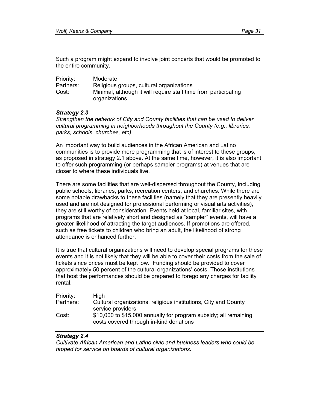Such a program might expand to involve joint concerts that would be promoted to the entire community.

| Priority: | Moderate                                                                         |
|-----------|----------------------------------------------------------------------------------|
| Partners: | Religious groups, cultural organizations                                         |
| Cost:     | Minimal, although it will require staff time from participating<br>organizations |

#### *Strategy 2.3*

*Strengthen the network of City and County facilities that can be used to deliver cultural programming in neighborhoods throughout the County (e.g., libraries, parks, schools, churches, etc).* 

An important way to build audiences in the African American and Latino communities is to provide more programming that is of interest to these groups, as proposed in strategy 2.1 above. At the same time, however, it is also important to offer such programming (or perhaps sampler programs) at venues that are closer to where these individuals live.

There are some facilities that are well-dispersed throughout the County, including public schools, libraries, parks, recreation centers, and churches. While there are some notable drawbacks to these facilities (namely that they are presently heavily used and are not designed for professional performing or visual arts activities), they are still worthy of consideration. Events held at local, familiar sites, with programs that are relatively short and designed as "sampler" events, will have a greater likelihood of attracting the target audiences. If promotions are offered, such as free tickets to children who bring an adult, the likelihood of strong attendance is enhanced further.

It is true that cultural organizations will need to develop special programs for these events and it is not likely that they will be able to cover their costs from the sale of tickets since prices must be kept low. Funding should be provided to cover approximately 50 percent of the cultural organizations' costs. Those institutions that host the performances should be prepared to forego any charges for facility rental.

| Priority: | High                                                                                                        |
|-----------|-------------------------------------------------------------------------------------------------------------|
| Partners: | Cultural organizations, religious institutions, City and County                                             |
|           | service providers                                                                                           |
| Cost:     | \$10,000 to \$15,000 annually for program subsidy; all remaining<br>costs covered through in-kind donations |

#### *Strategy 2.4*

*Cultivate African American and Latino civic and business leaders who could be tapped for service on boards of cultural organizations.*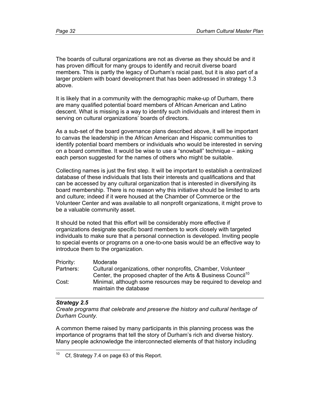The boards of cultural organizations are not as diverse as they should be and it has proven difficult for many groups to identify and recruit diverse board members. This is partly the legacy of Durham's racial past, but it is also part of a larger problem with board development that has been addressed in strategy 1.3 above.

It is likely that in a community with the demographic make-up of Durham, there are many qualified potential board members of African American and Latino descent. What is missing is a way to identify such individuals and interest them in serving on cultural organizations' boards of directors.

As a sub-set of the board governance plans described above, it will be important to canvas the leadership in the African American and Hispanic communities to identify potential board members or individuals who would be interested in serving on a board committee. It would be wise to use a "snowball" technique – asking each person suggested for the names of others who might be suitable.

Collecting names is just the first step. It will be important to establish a centralized database of these individuals that lists their interests and qualifications and that can be accessed by any cultural organization that is interested in diversifying its board membership. There is no reason why this initiative should be limited to arts and culture; indeed if it were housed at the Chamber of Commerce or the Volunteer Center and was available to all nonprofit organizations, it might prove to be a valuable community asset.

It should be noted that this effort will be considerably more effective if organizations designate specific board members to work closely with targeted individuals to make sure that a personal connection is developed. Inviting people to special events or programs on a one-to-one basis would be an effective way to introduce them to the organization.

| Priority: | Moderate                                                                  |
|-----------|---------------------------------------------------------------------------|
| Partners: | Cultural organizations, other nonprofits, Chamber, Volunteer              |
|           | Center, the proposed chapter of the Arts & Business Council <sup>10</sup> |
| Cost:     | Minimal, although some resources may be required to develop and           |
|           | maintain the database                                                     |

#### *Strategy 2.5*

*Create programs that celebrate and preserve the history and cultural heritage of Durham County.* 

A common theme raised by many participants in this planning process was the importance of programs that tell the story of Durham's rich and diverse history. Many people acknowledge the interconnected elements of that history including

 $10\,$ Cf, Strategy 7.4 on page 63 of this Report.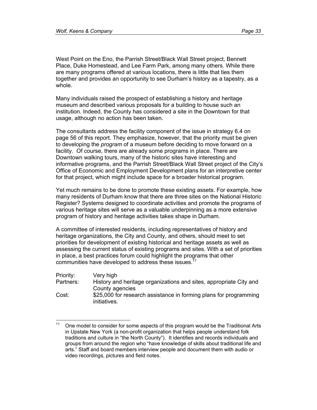West Point on the Eno, the Parrish Street/Black Wall Street project, Bennett Place, Duke Homestead, and Lee Farm Park, among many others. While there are many programs offered at various locations, there is little that ties them together and provides an opportunity to see Durham's history as a tapestry, as a whole.

Many individuals raised the prospect of establishing a history and heritage museum and described various proposals for a building to house such an institution. Indeed, the County has considered a site in the Downtown for that usage, although no action has been taken.

The consultants address the facility component of the issue in strategy 6.4 on page 56 of this report. They emphasize, however, that the priority must be given to developing the *program* of a museum before deciding to move forward on a facility. Of course, there are already some programs in place. There are Downtown walking tours, many of the historic sites have interesting and informative programs, and the Parrish Street/Black Wall Street project of the City's Office of Economic and Employment Development plans for an interpretive center for that project, which might include space for a broader historical program.

Yet much remains to be done to promote these existing assets. For example, how many residents of Durham know that there are three sites on the National Historic Register? Systems designed to coordinate activities and promote the programs of various heritage sites will serve as a valuable underpinning as a more extensive program of history and heritage activities takes shape in Durham.

A committee of interested residents, including representatives of history and heritage organizations, the City and County, and others, should meet to set priorities for development of existing historical and heritage assets as well as assessing the current status of existing programs and sites. With a set of priorities in place, a best practices forum could highlight the programs that other communities have developed to address these issues.<sup>1</sup>

| Priority: | Very high                                                          |
|-----------|--------------------------------------------------------------------|
| Partners: | History and heritage organizations and sites, appropriate City and |
|           | County agencies                                                    |
| Cost:     | \$25,000 for research assistance in forming plans for programming  |
|           | initiatives.                                                       |

 $11$ One model to consider for some aspects of this program would be the Traditional Arts in Upstate New York (a non-profit organization that helps people understand folk traditions and culture in "the North County"). It identifies and records individuals and groups from around the region who "have knowledge of skills about traditional life and arts." Staff and board members interview people and document them with audio or video recordings, pictures and field notes.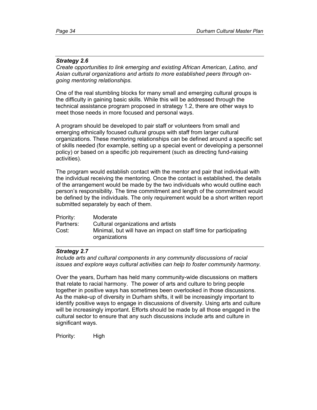#### *Strategy 2.6*

*Create opportunities to link emerging and existing African American, Latino, and Asian cultural organizations and artists to more established peers through ongoing mentoring relationships.* 

One of the real stumbling blocks for many small and emerging cultural groups is the difficulty in gaining basic skills. While this will be addressed through the technical assistance program proposed in strategy 1.2, there are other ways to meet those needs in more focused and personal ways.

A program should be developed to pair staff or volunteers from small and emerging ethnically focused cultural groups with staff from larger cultural organizations. These mentoring relationships can be defined around a specific set of skills needed (for example, setting up a special event or developing a personnel policy) or based on a specific job requirement (such as directing fund-raising activities).

The program would establish contact with the mentor and pair that individual with the individual receiving the mentoring. Once the contact is established, the details of the arrangement would be made by the two individuals who would outline each person's responsibility. The time commitment and length of the commitment would be defined by the individuals. The only requirement would be a short written report submitted separately by each of them.

| Priority: | Moderate                                                                          |
|-----------|-----------------------------------------------------------------------------------|
| Partners: | Cultural organizations and artists                                                |
| Cost:     | Minimal, but will have an impact on staff time for participating<br>organizations |

#### *Strategy 2.7*

*Include arts and cultural components in any community discussions of racial issues and explore ways cultural activities can help to foster community harmony.* 

Over the years, Durham has held many community-wide discussions on matters that relate to racial harmony. The power of arts and culture to bring people together in positive ways has sometimes been overlooked in those discussions. As the make-up of diversity in Durham shifts, it will be increasingly important to identify positive ways to engage in discussions of diversity. Using arts and culture will be increasingly important. Efforts should be made by all those engaged in the cultural sector to ensure that any such discussions include arts and culture in significant ways.

Priority: High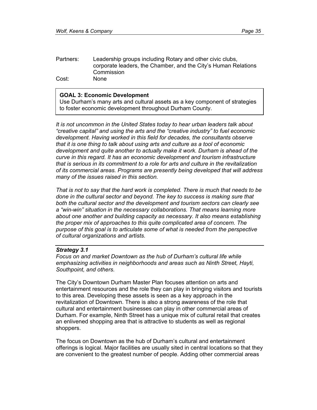| Partners: | Leadership groups including Rotary and other civic clubs,      |
|-----------|----------------------------------------------------------------|
|           | corporate leaders, the Chamber, and the City's Human Relations |
|           | Commission                                                     |
| Cost:     | <b>None</b>                                                    |

#### **GOAL 3: Economic Development**

Use Durham's many arts and cultural assets as a key component of strategies to foster economic development throughout Durham County.

*It is not uncommon in the United States today to hear urban leaders talk about "creative capital" and using the arts and the "creative industry" to fuel economic development. Having worked in this field for decades, the consultants observe that it is one thing to talk about using arts and culture as a tool of economic development and quite another to actually make it work. Durham is ahead of the curve in this regard. It has an economic development and tourism infrastructure that is serious in its commitment to a role for arts and culture in the revitalization of its commercial areas. Programs are presently being developed that will address many of the issues raised in this section.* 

*That is not to say that the hard work is completed. There is much that needs to be done in the cultural sector and beyond. The key to success is making sure that both the cultural sector and the development and tourism sectors can clearly see a "win-win" situation in the necessary collaborations. That means learning more about one another and building capacity as necessary. It also means establishing the proper mix of approaches to this quite complicated area of concern. The purpose of this goal is to articulate some of what is needed from the perspective of cultural organizations and artists.* 

#### *Strategy 3.1*

*Focus on and market Downtown as the hub of Durham's cultural life while emphasizing activities in neighborhoods and areas such as Ninth Street, Hayti, Southpoint, and others.* 

The City's Downtown Durham Master Plan focuses attention on arts and entertainment resources and the role they can play in bringing visitors and tourists to this area. Developing these assets is seen as a key approach in the revitalization of Downtown. There is also a strong awareness of the role that cultural and entertainment businesses can play in other commercial areas of Durham. For example, Ninth Street has a unique mix of cultural retail that creates an enlivened shopping area that is attractive to students as well as regional shoppers.

The focus on Downtown as the hub of Durham's cultural and entertainment offerings is logical. Major facilities are usually sited in central locations so that they are convenient to the greatest number of people. Adding other commercial areas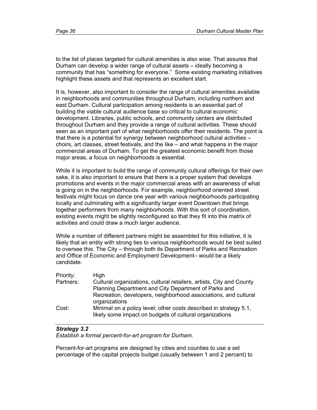to the list of places targeted for cultural amenities is also wise. That assures that Durham can develop a wider range of cultural assets – ideally becoming a community that has "something for everyone." Some existing marketing initiatives highlight these assets and that represents an excellent start.

It is, however, also important to consider the range of cultural amenities available in neighborhoods and communities throughout Durham, including northern and east Durham. Cultural participation among residents is an essential part of building the viable cultural audience base so critical to cultural economic development. Libraries, public schools, and community centers are distributed throughout Durham and they provide a range of cultural activities. These should seen as an important part of what neighborhoods offer their residents. The point is that there is a potential for synergy between neighborhood cultural activities – choirs, art classes, street festivals, and the like – and what happens in the major commercial areas of Durham. To get the greatest economic benefit from those major areas, a focus on neighborhoods is essential.

While it is important to build the range of community cultural offerings for their own sake, it is also important to ensure that there is a proper system that develops promotions and events in the major commercial areas with an awareness of what is going on in the neighborhoods. For example, neighborhood oriented street festivals might focus on dance one year with various neighborhoods participating locally and culminating with a significantly larger event Downtown that brings together performers from many neighborhoods. With this sort of coordination, existing events might be slightly reconfigured so that they fit into this matrix of activities and could draw a much larger audience.

While a number of different partners might be assembled for this initiative, it is likely that an entity with strong ties to various neighborhoods would be best suited to oversee this. The City – through both its Department of Parks and Recreation and Office of Economic and Employment Development– would be a likely candidate.

| Priority: | High                                                                                                                         |
|-----------|------------------------------------------------------------------------------------------------------------------------------|
| Partners: | Cultural organizations, cultural retailers, artists, City and County                                                         |
|           | Planning Department and City Department of Parks and                                                                         |
|           | Recreation, developers, neighborhood associations, and cultural                                                              |
|           | organizations                                                                                                                |
| Cost:     | Minimal on a policy level; other costs described in strategy 5.1,<br>likely some impact on budgets of cultural organizations |

# *Strategy 3.2*

*Establish a formal percent-for-art program for Durham.* 

Percent-for-art programs are designed by cities and counties to use a set percentage of the capital projects budget (usually between 1 and 2 percent) to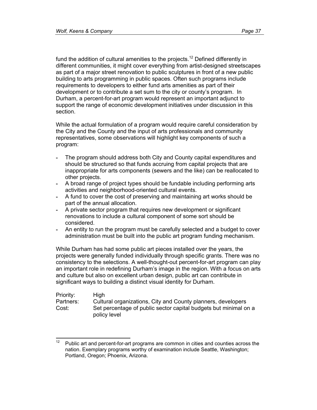fund the addition of cultural amenities to the projects.<sup>12</sup> Defined differently in different communities, it might cover everything from artist-designed streetscapes as part of a major street renovation to public sculptures in front of a new public building to arts programming in public spaces. Often such programs include requirements to developers to either fund arts amenities as part of their development or to contribute a set sum to the city or county's program. In Durham, a percent-for-art program would represent an important adjunct to support the range of economic development initiatives under discussion in this section.

While the actual formulation of a program would require careful consideration by the City and the County and the input of arts professionals and community representatives, some observations will highlight key components of such a program:

- The program should address both City and County capital expenditures and should be structured so that funds accruing from capital projects that are inappropriate for arts components (sewers and the like) can be reallocated to other projects.
- A broad range of project types should be fundable including performing arts activities and neighborhood-oriented cultural events.
- A fund to cover the cost of preserving and maintaining art works should be part of the annual allocation.
- A private sector program that requires new development or significant renovations to include a cultural component of some sort should be considered.
- An entity to run the program must be carefully selected and a budget to cover administration must be built into the public art program funding mechanism.

While Durham has had some public art pieces installed over the years, the projects were generally funded individually through specific grants. There was no consistency to the selections. A well-thought-out percent-for-art program can play an important role in redefining Durham's image in the region. With a focus on arts and culture but also on excellent urban design, public art can contribute in significant ways to building a distinct visual identity for Durham.

| Priority: | <b>High</b>                                                                      |
|-----------|----------------------------------------------------------------------------------|
| Partners: | Cultural organizations, City and County planners, developers                     |
| Cost:     | Set percentage of public sector capital budgets but minimal on a<br>policy level |

 $12$ Public art and percent-for-art programs are common in cities and counties across the nation. Exemplary programs worthy of examination include Seattle, Washington; Portland, Oregon; Phoenix, Arizona.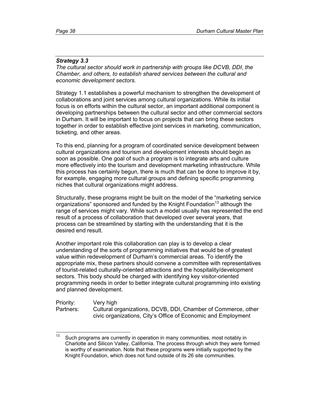## *Strategy 3.3*

*The cultural sector should work in partnership with groups like DCVB, DDI, the Chamber, and others, to establish shared services between the cultural and economic development sectors.* 

Strategy 1.1 establishes a powerful mechanism to strengthen the development of collaborations and joint services among cultural organizations. While its initial focus is on efforts within the cultural sector, an important additional component is developing partnerships between the cultural sector and other commercial sectors in Durham. It will be important to focus on projects that can bring these sectors together in order to establish effective joint services in marketing, communication, ticketing, and other areas.

To this end, planning for a program of coordinated service development between cultural organizations and tourism and development interests should begin as soon as possible. One goal of such a program is to integrate arts and culture more effectively into the tourism and development marketing infrastructure. While this process has certainly begun, there is much that can be done to improve it by, for example, engaging more cultural groups and defining specific programming niches that cultural organizations might address.

Structurally, these programs might be built on the model of the "marketing service organizations" sponsored and funded by the Knight Foundation<sup>13</sup> although the range of services might vary. While such a model usually has represented the end result of a process of collaboration that developed over several years, that process can be streamlined by starting with the understanding that it is the desired end result.

Another important role this collaboration can play is to develop a clear understanding of the sorts of programming initiatives that would be of greatest value within redevelopment of Durham's commercial areas. To identify the appropriate mix, these partners should convene a committee with representatives of tourist-related culturally-oriented attractions and the hospitality/development sectors. This body should be charged with identifying key visitor-oriented programming needs in order to better integrate cultural programming into existing and planned development.

| Priority: | Very high                                                     |
|-----------|---------------------------------------------------------------|
| Partners: | Cultural organizations, DCVB, DDI, Chamber of Commerce, other |
|           | civic organizations, City's Office of Economic and Employment |

 $13$ Such programs are currently in operation in many communities, most notably in Charlotte and Silicon Valley, California. The process through which they were formed is worthy of examination. Note that these programs were initially supported by the Knight Foundation, which does not fund outside of its 26 site communities.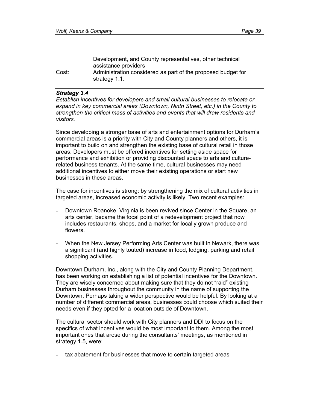|       | Development, and County representatives, other technical<br>assistance providers |
|-------|----------------------------------------------------------------------------------|
| Cost: | Administration considered as part of the proposed budget for<br>strategy 1.1.    |

#### *Strategy 3.4*

*Establish incentives for developers and small cultural businesses to relocate or expand in key commercial areas (Downtown, Ninth Street, etc.) in the County to strengthen the critical mass of activities and events that will draw residents and visitors.* 

Since developing a stronger base of arts and entertainment options for Durham's commercial areas is a priority with City and County planners and others, it is important to build on and strengthen the existing base of cultural retail in those areas. Developers must be offered incentives for setting aside space for performance and exhibition or providing discounted space to arts and culturerelated business tenants. At the same time, cultural businesses may need additional incentives to either move their existing operations or start new businesses in these areas.

The case for incentives is strong: by strengthening the mix of cultural activities in targeted areas, increased economic activity is likely. Two recent examples:

- Downtown Roanoke, Virginia is been revived since Center in the Square, an arts center, became the focal point of a redevelopment project that now includes restaurants, shops, and a market for locally grown produce and flowers.
- When the New Jersey Performing Arts Center was built in Newark, there was a significant (and highly touted) increase in food, lodging, parking and retail shopping activities.

Downtown Durham, Inc., along with the City and County Planning Department, has been working on establishing a list of potential incentives for the Downtown. They are wisely concerned about making sure that they do not "raid" existing Durham businesses throughout the community in the name of supporting the Downtown. Perhaps taking a wider perspective would be helpful. By looking at a number of different commercial areas, businesses could choose which suited their needs even if they opted for a location outside of Downtown.

The cultural sector should work with City planners and DDI to focus on the specifics of what incentives would be most important to them. Among the most important ones that arose during the consultants' meetings, as mentioned in strategy 1.5, were:

**-** tax abatement for businesses that move to certain targeted areas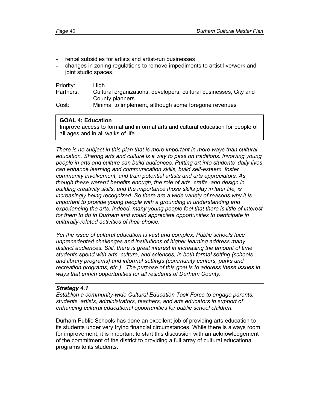- rental subsidies for artists and artist-run businesses
- changes in zoning regulations to remove impediments to artist live/work and joint studio spaces.

| Priority: | <b>High</b>                                                       |
|-----------|-------------------------------------------------------------------|
| Partners: | Cultural organizations, developers, cultural businesses, City and |
|           | County planners                                                   |
| Cost:     | Minimal to implement, although some foregone revenues             |

## **GOAL 4: Education**

Improve access to formal and informal arts and cultural education for people of all ages and in all walks of life.

*There is no subject in this plan that is more important in more ways than cultural education. Sharing arts and culture is a way to pass on traditions. Involving young people in arts and culture can build audiences. Putting art into students' daily lives can enhance learning and communication skills, build self-esteem, foster community involvement, and train potential artists and arts appreciators. As though these weren't benefits enough, the role of arts, crafts, and design in building creativity skills, and the importance those skills play in later life, is increasingly being recognized. So there are a wide variety of reasons why it is important to provide young people with a grounding in understanding and experiencing the arts. Indeed, many young people feel that there is little of interest*  for them to do in Durham and would appreciate opportunities to participate in *culturally-related activities of their choice.* 

*Yet the issue of cultural education is vast and complex. Public schools face unprecedented challenges and institutions of higher learning address many distinct audiences. Still, there is great interest in increasing the amount of time students spend with arts, culture, and sciences, in both formal setting (schools and library programs) and informal settings (community centers, parks and recreation programs, etc.). The purpose of this goal is to address these issues in ways that enrich opportunities for all residents of Durham County.*

### *Strategy 4.1*

*Establish a community-wide Cultural Education Task Force to engage parents, students, artists, administrators, teachers, and arts educators in support of enhancing cultural educational opportunities for public school children.* 

Durham Public Schools has done an excellent job of providing arts education to its students under very trying financial circumstances. While there is always room for improvement, it is important to start this discussion with an acknowledgement of the commitment of the district to providing a full array of cultural educational programs to its students.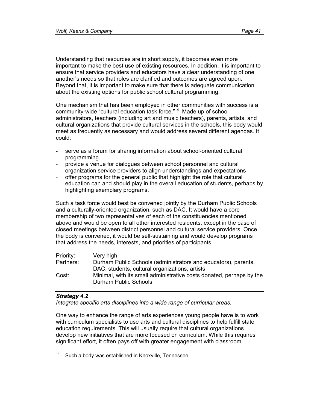Understanding that resources are in short supply, it becomes even more important to make the best use of existing resources. In addition, it is important to ensure that service providers and educators have a clear understanding of one another's needs so that roles are clarified and outcomes are agreed upon. Beyond that, it is important to make sure that there is adequate communication about the existing options for public school cultural programming.

One mechanism that has been employed in other communities with success is a community-wide "cultural education task force."14 Made up of school administrators, teachers (including art and music teachers), parents, artists, and cultural organizations that provide cultural services in the schools, this body would meet as frequently as necessary and would address several different agendas. It could:

- serve as a forum for sharing information about school-oriented cultural programming
- provide a venue for dialogues between school personnel and cultural organization service providers to align understandings and expectations
- offer programs for the general public that highlight the role that cultural education can and should play in the overall education of students, perhaps by highlighting exemplary programs.

Such a task force would best be convened jointly by the Durham Public Schools and a culturally-oriented organization, such as DAC. It would have a core membership of two representatives of each of the constituencies mentioned above and would be open to all other interested residents, except in the case of closed meetings between district personnel and cultural service providers. Once the body is convened, it would be self-sustaining and would develop programs that address the needs, interests, and priorities of participants.

| Priority: | Very high                                                                                     |
|-----------|-----------------------------------------------------------------------------------------------|
| Partners: | Durham Public Schools (administrators and educators), parents,                                |
|           | DAC, students, cultural organizations, artists                                                |
| Cost:     | Minimal, with its small administrative costs donated, perhaps by the<br>Durham Public Schools |

### *Strategy 4.2*

*Integrate specific arts disciplines into a wide range of curricular areas.* 

One way to enhance the range of arts experiences young people have is to work with curriculum specialists to use arts and cultural disciplines to help fulfill state education requirements. This will usually require that cultural organizations develop new initiatives that are more focused on curriculum. While this requires significant effort, it often pays off with greater engagement with classroom

 $14$ Such a body was established in Knoxville, Tennessee.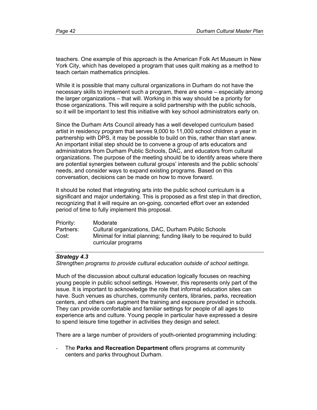teachers. One example of this approach is the American Folk Art Museum in New York City, which has developed a program that uses quilt making as a method to teach certain mathematics principles.

While it is possible that many cultural organizations in Durham do not have the necessary skills to implement such a program, there are some – especially among the larger organizations – that will. Working in this way should be a priority for those organizations. This will require a solid partnership with the public schools, so it will be important to test this initiative with key school administrators early on.

Since the Durham Arts Council already has a well developed curriculum based artist in residency program that serves 9,000 to 11,000 school children a year in partnership with DPS, it may be possible to build on this, rather than start anew. An important initial step should be to convene a group of arts educators and administrators from Durham Public Schools, DAC, and educators from cultural organizations. The purpose of the meeting should be to identify areas where there are potential synergies between cultural groups' interests and the public schools' needs, and consider ways to expand existing programs. Based on this conversation, decisions can be made on how to move forward.

It should be noted that integrating arts into the public school curriculum is a significant and major undertaking. This is proposed as a first step in that direction, recognizing that it will require an on-going, concerted effort over an extended period of time to fully implement this proposal.

| Priority: | Moderate                                                             |
|-----------|----------------------------------------------------------------------|
| Partners: | Cultural organizations, DAC, Durham Public Schools                   |
| Cost:     | Minimal for initial planning; funding likely to be required to build |
|           | curricular programs                                                  |

# *Strategy 4.3*

*Strengthen programs to provide cultural education outside of school settings.* 

Much of the discussion about cultural education logically focuses on reaching young people in public school settings. However, this represents only part of the issue. It is important to acknowledge the role that informal education sites can have. Such venues as churches, community centers, libraries, parks, recreation centers, and others can augment the training and exposure provided in schools. They can provide comfortable and familiar settings for people of all ages to experience arts and culture. Young people in particular have expressed a desire to spend leisure time together in activities they design and select.

There are a large number of providers of youth-oriented programming including:

- The **Parks and Recreation Department** offers programs at community centers and parks throughout Durham.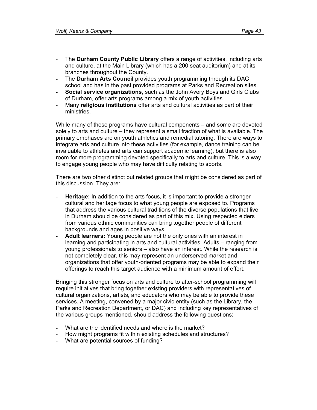- The **Durham County Public Library** offers a range of activities, including arts and culture, at the Main Library (which has a 200 seat auditorium) and at its branches throughout the County.
- The **Durham Arts Council** provides youth programming through its DAC school and has in the past provided programs at Parks and Recreation sites.
- **Social service organizations**, such as the John Avery Boys and Girls Clubs of Durham, offer arts programs among a mix of youth activities.
- Many **religious institutions** offer arts and cultural activities as part of their ministries.

While many of these programs have cultural components – and some are devoted solely to arts and culture – they represent a small fraction of what is available. The primary emphases are on youth athletics and remedial tutoring. There are ways to integrate arts and culture into these activities (for example, dance training can be invaluable to athletes and arts can support academic learning), but there is also room for more programming devoted specifically to arts and culture. This is a way to engage young people who may have difficulty relating to sports.

There are two other distinct but related groups that might be considered as part of this discussion. They are:

- **Heritage:** In addition to the arts focus, it is important to provide a stronger cultural and heritage focus to what young people are exposed to. Programs that address the various cultural traditions of the diverse populations that live in Durham should be considered as part of this mix. Using respected elders from various ethnic communities can bring together people of different backgrounds and ages in positive ways.
- Adult learners: Young people are not the only ones with an interest in learning and participating in arts and cultural activities. Adults – ranging from young professionals to seniors – also have an interest. While the research is not completely clear, this may represent an underserved market and organizations that offer youth-oriented programs may be able to expand their offerings to reach this target audience with a minimum amount of effort.

Bringing this stronger focus on arts and culture to after-school programming will require initiatives that bring together existing providers with representatives of cultural organizations, artists, and educators who may be able to provide these services. A meeting, convened by a major civic entity (such as the Library, the Parks and Recreation Department, or DAC) and including key representatives of the various groups mentioned, should address the following questions:

- What are the identified needs and where is the market?
- How might programs fit within existing schedules and structures?
- What are potential sources of funding?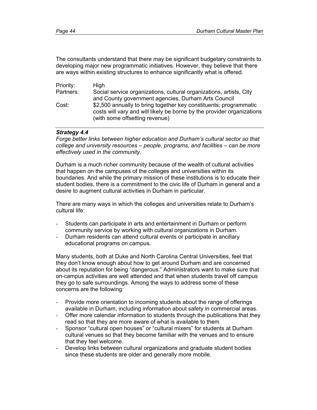The consultants understand that there may be significant budgetary constraints to developing major new programmatic initiatives. However, they believe that there are ways within existing structures to enhance significantly what is offered.

| Priority: | High                                                                   |
|-----------|------------------------------------------------------------------------|
| Partners: | Social service organizations, cultural organizations, artists, City    |
|           | and County government agencies, Durham Arts Council                    |
| Cost:     | \$2,500 annually to bring together key constituents; programmatic      |
|           | costs will vary and will likely be borne by the provider organizations |
|           | (with some offsetting revenue)                                         |

# *Strategy 4.4*

*Forge better links between higher education and Durham's cultural sector so that college and university resources – people, programs, and facilities – can be more effectively used in the community.* 

Durham is a much richer community because of the wealth of cultural activities that happen on the campuses of the colleges and universities within its boundaries. And while the primary mission of these institutions is to educate their student bodies, there is a commitment to the civic life of Durham in general and a desire to augment cultural activities in Durham in particular.

There are many ways in which the colleges and universities relate to Durham's cultural life:

- Students can participate in arts and entertainment in Durham or perform community service by working with cultural organizations in Durham.
- Durham residents can attend cultural events or participate in ancillary educational programs on campus.

Many students, both at Duke and North Carolina Central Universities, feel that they don't know enough about how to get around Durham and are concerned about its reputation for being "dangerous." Administrators want to make sure that on-campus activities are well attended and that when students travel off campus they go to safe surroundings. Among the ways to address some of these concerns are the following:

- Provide more orientation to incoming students about the range of offerings available in Durham, including information about safety in commercial areas.
- Offer more calendar information to students through the publications that they read so that they are more aware of what is available to them
- Sponsor "cultural open houses" or "cultural mixers" for students at Durham cultural venues so that they become familiar with the venues and to ensure that they feel welcome.
- Develop links between cultural organizations and graduate student bodies since these students are older and generally more mobile.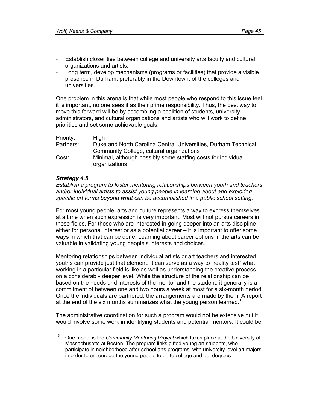- Establish closer ties between college and university arts faculty and cultural organizations and artists.
- Long term, develop mechanisms (programs or facilities) that provide a visible presence in Durham, preferably in the Downtown, of the colleges and universities.

One problem in this arena is that while most people who respond to this issue feel it is important, no one sees it as their prime responsibility. Thus, the best way to move this forward will be by assembling a coalition of students, university administrators, and cultural organizations and artists who will work to define priorities and set some achievable goals.

| <b>High</b>                                                                    |
|--------------------------------------------------------------------------------|
| Duke and North Carolina Central Universities, Durham Technical                 |
| Community College, cultural organizations                                      |
| Minimal, although possibly some staffing costs for individual<br>organizations |
|                                                                                |

## *Strategy 4.5*

*Establish a program to foster mentoring relationships between youth and teachers and/or individual artists to assist young people in learning about and exploring specific art forms beyond what can be accomplished in a public school setting.* 

For most young people, arts and culture represents a way to express themselves at a time when such expression is very important. Most will not pursue careers in these fields. For those who are interested in going deeper into an arts discipline – either for personal interest or as a potential career – it is important to offer some ways in which that can be done. Learning about career options in the arts can be valuable in validating young people's interests and choices.

Mentoring relationships between individual artists or art teachers and interested youths can provide just that element. It can serve as a way to "reality test" what working in a particular field is like as well as understanding the creative process on a considerably deeper level. While the structure of the relationship can be based on the needs and interests of the mentor and the student, it generally is a commitment of between one and two hours a week at most for a six-month period. Once the individuals are partnered, the arrangements are made by them. A report at the end of the six months summarizes what the young person learned.<sup>15</sup>

The administrative coordination for such a program would not be extensive but it would involve some work in identifying students and potential mentors. It could be

 $15$ 15 One model is the *Community Mentoring Project* which takes place at the University of Massachusetts at Boston. The program links gifted young art students, who participate in neighborhood after-school arts programs, with university level art majors in order to encourage the young people to go to college and get degrees.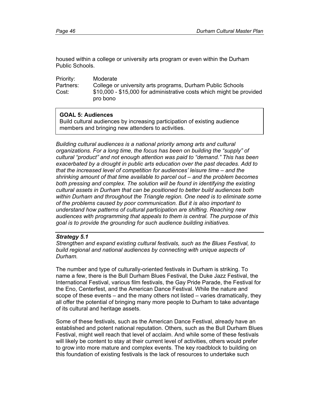housed within a college or university arts program or even within the Durham Public Schools.

| Priority: | Moderate                                                                         |
|-----------|----------------------------------------------------------------------------------|
| Partners: | College or university arts programs, Durham Public Schools                       |
| Cost:     | \$10,000 - \$15,000 for administrative costs which might be provided<br>pro bono |

# **GOAL 5: Audiences**

Build cultural audiences by increasing participation of existing audience members and bringing new attenders to activities.

*Building cultural audiences is a national priority among arts and cultural organizations. For a long time, the focus has been on building the "supply" of cultural "product" and not enough attention was paid to "demand." This has been exacerbated by a drought in public arts education over the past decades. Add to that the increased level of competition for audiences' leisure time – and the shrinking amount of that time available to parcel out – and the problem becomes both pressing and complex. The solution will be found in identifying the existing cultural assets in Durham that can be positioned to better build audiences both within Durham and throughout the Triangle region. One need is to eliminate some of the problems caused by poor communication. But it is also important to understand how patterns of cultural participation are shifting. Reaching new audiences with programming that appeals to them is central. The purpose of this goal is to provide the grounding for such audience building initiatives.* 

### *Strategy 5.1*

*Strengthen and expand existing cultural festivals, such as the Blues Festival, to build regional and national audiences by connecting with unique aspects of Durham.* 

The number and type of culturally-oriented festivals in Durham is striking. To name a few, there is the Bull Durham Blues Festival, the Duke Jazz Festival, the International Festival, various film festivals, the Gay Pride Parade, the Festival for the Eno, Centerfest, and the American Dance Festival. While the nature and scope of these events – and the many others not listed – varies dramatically, they all offer the potential of bringing many more people to Durham to take advantage of its cultural and heritage assets.

Some of these festivals, such as the American Dance Festival, already have an established and potent national reputation. Others, such as the Bull Durham Blues Festival, might well reach that level of acclaim. And while some of these festivals will likely be content to stay at their current level of activities, others would prefer to grow into more mature and complex events. The key roadblock to building on this foundation of existing festivals is the lack of resources to undertake such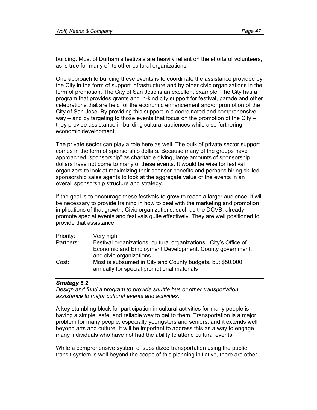building. Most of Durham's festivals are heavily reliant on the efforts of volunteers, as is true for many of its other cultural organizations.

One approach to building these events is to coordinate the assistance provided by the City in the form of support infrastructure and by other civic organizations in the form of promotion. The City of San Jose is an excellent example. The City has a program that provides grants and in-kind city support for festival, parade and other celebrations that are held for the economic enhancement and/or promotion of the City of San Jose. By providing this support in a coordinated and comprehensive way – and by targeting to those events that focus on the promotion of the City – they provide assistance in building cultural audiences while also furthering economic development.

The private sector can play a role here as well. The bulk of private sector support comes in the form of sponsorship dollars. Because many of the groups have approached "sponsorship" as charitable giving, large amounts of sponsorship dollars have not come to many of these events. It would be wise for festival organizers to look at maximizing their sponsor benefits and perhaps hiring skilled sponsorship sales agents to look at the aggregate value of the events in an overall sponsorship structure and strategy.

If the goal is to encourage these festivals to grow to reach a larger audience, it will be necessary to provide training in how to deal with the marketing and promotion implications of that growth. Civic organizations, such as the DCVB, already promote special events and festivals quite effectively. They are well positioned to provide that assistance.

| Priority: | Very high                                                        |
|-----------|------------------------------------------------------------------|
| Partners: | Festival organizations, cultural organizations, City's Office of |
|           | Economic and Employment Development, County government,          |
|           | and civic organizations                                          |
| Cost:     | Most is subsumed in City and County budgets, but \$50,000        |
|           | annually for special promotional materials                       |

### *Strategy 5.2*

*Design and fund a program to provide shuttle bus or other transportation assistance to major cultural events and activities.* 

A key stumbling block for participation in cultural activities for many people is having a simple, safe, and reliable way to get to them. Transportation is a major problem for many people, especially youngsters and seniors, and it extends well beyond arts and culture. It will be important to address this as a way to engage many individuals who have not had the ability to attend cultural events.

While a comprehensive system of subsidized transportation using the public transit system is well beyond the scope of this planning initiative, there are other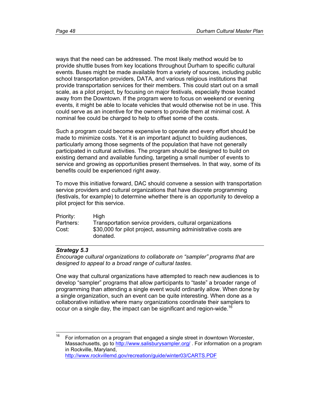ways that the need can be addressed. The most likely method would be to provide shuttle buses from key locations throughout Durham to specific cultural events. Buses might be made available from a variety of sources, including public school transportation providers, DATA, and various religious institutions that provide transportation services for their members. This could start out on a small scale, as a pilot project, by focusing on major festivals, especially those located away from the Downtown. If the program were to focus on weekend or evening events, it might be able to locate vehicles that would otherwise not be in use. This could serve as an incentive for the owners to provide them at minimal cost. A nominal fee could be charged to help to offset some of the costs.

Such a program could become expensive to operate and every effort should be made to minimize costs. Yet it is an important adjunct to building audiences, particularly among those segments of the population that have not generally participated in cultural activities. The program should be designed to build on existing demand and available funding, targeting a small number of events to service and growing as opportunities present themselves. In that way, some of its benefits could be experienced right away.

To move this initiative forward, DAC should convene a session with transportation service providers and cultural organizations that have discrete programming (festivals, for example) to determine whether there is an opportunity to develop a pilot project for this service.

| Priority: | High                                                                      |
|-----------|---------------------------------------------------------------------------|
| Partners: | Transportation service providers, cultural organizations                  |
| Cost:     | \$30,000 for pilot project, assuming administrative costs are<br>donated. |

# *Strategy 5.3*

*Encourage cultural organizations to collaborate on "sampler" programs that are designed to appeal to a broad range of cultural tastes.* 

One way that cultural organizations have attempted to reach new audiences is to develop "sampler" programs that allow participants to "taste" a broader range of programming than attending a single event would ordinarily allow. When done by a single organization, such an event can be quite interesting. When done as a collaborative initiative where many organizations coordinate their samplers to occur on a single day, the impact can be significant and region-wide.<sup>16</sup>

<sup>16</sup> For information on a program that engaged a single street in downtown Worcester, Massachusetts, go to http://www.salisburysampler.org/ . For information on a program in Rockville, Maryland, http://www.rockvillemd.gov/recreation/guide/winter03/CARTS.PDF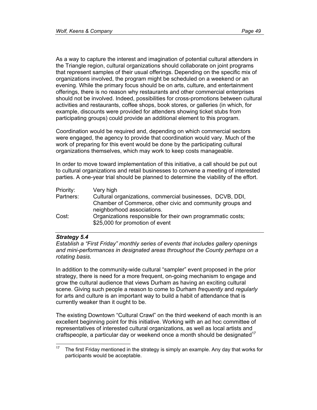As a way to capture the interest and imagination of potential cultural attenders in the Triangle region, cultural organizations should collaborate on joint programs that represent samples of their usual offerings. Depending on the specific mix of organizations involved, the program might be scheduled on a weekend or an evening. While the primary focus should be on arts, culture, and entertainment offerings, there is no reason why restaurants and other commercial enterprises should not be involved. Indeed, possibilities for cross-promotions between cultural activities and restaurants, coffee shops, book stores, or galleries (in which, for example, discounts were provided for attenders showing ticket stubs from participating groups) could provide an additional element to this program.

Coordination would be required and, depending on which commercial sectors were engaged, the agency to provide that coordination would vary. Much of the work of preparing for this event would be done by the participating cultural organizations themselves, which may work to keep costs manageable.

In order to move toward implementation of this initiative, a call should be put out to cultural organizations and retail businesses to convene a meeting of interested parties. A one-year trial should be planned to determine the viability of the effort.

| Priority: | Very high                                                   |
|-----------|-------------------------------------------------------------|
| Partners: | Cultural organizations, commercial businesses, DCVB, DDI,   |
|           | Chamber of Commerce, other civic and community groups and   |
|           | neighborhood associations.                                  |
| Cost:     | Organizations responsible for their own programmatic costs; |
|           | \$25,000 for promotion of event                             |

### *Strategy 5.4*

*Establish a "First Friday" monthly series of events that includes gallery openings*  and mini-performances in designated areas throughout the County perhaps on a *rotating basis.* 

In addition to the community-wide cultural "sampler" event proposed in the prior strategy, there is need for a more frequent, on-going mechanism to engage and grow the cultural audience that views Durham as having an exciting cultural scene. Giving such people a reason to come to Durham *frequently* and *regularly*  for arts and culture is an important way to build a habit of attendance that is currently weaker than it ought to be.

The existing Downtown "Cultural Crawl" on the third weekend of each month is an excellent beginning point for this initiative. Working with an ad hoc committee of representatives of interested cultural organizations, as well as local artists and craftspeople, a particular day or weekend once a month should be designated<sup>17</sup>

 $17\,$ 17 The first Friday mentioned in the strategy is simply an example. Any day that works for participants would be acceptable.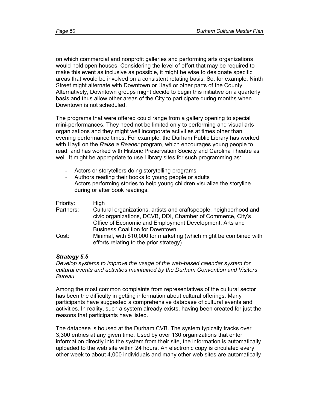on which commercial and nonprofit galleries and performing arts organizations would hold open houses. Considering the level of effort that may be required to make this event as inclusive as possible, it might be wise to designate specific areas that would be involved on a consistent rotating basis. So, for example, Ninth Street might alternate with Downtown or Hayti or other parts of the County. Alternatively, Downtown groups might decide to begin this initiative on a quarterly basis and thus allow other areas of the City to participate during months when Downtown is not scheduled.

The programs that were offered could range from a gallery opening to special mini-performances. They need not be limited only to performing and visual arts organizations and they might well incorporate activities at times other than evening performance times. For example, the Durham Public Library has worked with Hayti on the *Raise a Reader* program, which encourages young people to read, and has worked with Historic Preservation Society and Carolina Theatre as well. It might be appropriate to use Library sites for such programming as:

- Actors or storytellers doing storytelling programs
- Authors reading their books to young people or adults
- Actors performing stories to help young children visualize the storyline during or after book readings.

| Priority: | High                                                                                                                              |
|-----------|-----------------------------------------------------------------------------------------------------------------------------------|
| Partners: | Cultural organizations, artists and craftspeople, neighborhood and<br>civic organizations, DCVB, DDI, Chamber of Commerce, City's |
|           | Office of Economic and Employment Development, Arts and<br><b>Business Coalition for Downtown</b>                                 |
| Cost:     | Minimal, with \$10,000 for marketing (which might be combined with<br>efforts relating to the prior strategy)                     |

### *Strategy 5.5*

*Develop systems to improve the usage of the web-based calendar system for cultural events and activities maintained by the Durham Convention and Visitors Bureau.* 

Among the most common complaints from representatives of the cultural sector has been the difficulty in getting information about cultural offerings. Many participants have suggested a comprehensive database of cultural events and activities. In reality, such a system already exists, having been created for just the reasons that participants have listed.

The database is housed at the Durham CVB. The system typically tracks over 3,300 entries at any given time. Used by over 130 organizations that enter information directly into the system from their site, the information is automatically uploaded to the web site within 24 hours. An electronic copy is circulated every other week to about 4,000 individuals and many other web sites are automatically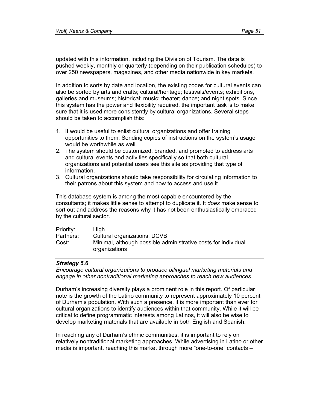updated with this information, including the Division of Tourism. The data is pushed weekly, monthly or quarterly (depending on their publication schedules) to over 250 newspapers, magazines, and other media nationwide in key markets.

In addition to sorts by date and location, the existing codes for cultural events can also be sorted by arts and crafts; cultural/heritage; festivals/events; exhibitions, galleries and museums; historical; music; theater; dance; and night spots. Since this system has the power and flexibility required, the important task is to make sure that it is used more consistently by cultural organizations. Several steps should be taken to accomplish this:

- 1. It would be useful to enlist cultural organizations and offer training opportunities to them. Sending copies of instructions on the system's usage would be worthwhile as well.
- 2. The system should be customized, branded, and promoted to address arts and cultural events and activities specifically so that both cultural organizations and potential users see this site as providing that type of information.
- 3. Cultural organizations should take responsibility for circulating information to their patrons about this system and how to access and use it.

This database system is among the most capable encountered by the consultants; it makes little sense to attempt to duplicate it. It *does* make sense to sort out and address the reasons why it has not been enthusiastically embraced by the cultural sector.

| Priority: | High                                                                            |
|-----------|---------------------------------------------------------------------------------|
| Partners: | Cultural organizations, DCVB                                                    |
| Cost:     | Minimal, although possible administrative costs for individual<br>organizations |

### *Strategy 5.6*

*Encourage cultural organizations to produce bilingual marketing materials and engage in other nontraditional marketing approaches to reach new audiences.* 

Durham's increasing diversity plays a prominent role in this report. Of particular note is the growth of the Latino community to represent approximately 10 percent of Durham's population. With such a presence, it is more important than ever for cultural organizations to identify audiences within that community. While it will be critical to define programmatic interests among Latinos, it will also be wise to develop marketing materials that are available in both English and Spanish.

In reaching any of Durham's ethnic communities, it is important to rely on relatively nontraditional marketing approaches. While advertising in Latino or other media is important, reaching this market through more "one-to-one" contacts –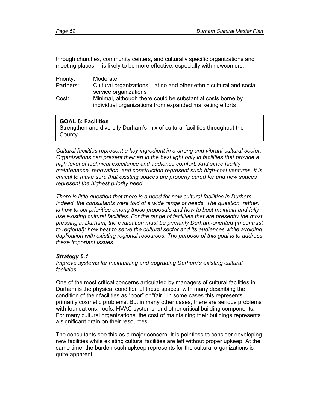through churches, community centers, and culturally specific organizations and meeting places – is likely to be more effective, especially with newcomers.

| Priority: | Moderate                                                                                                                |
|-----------|-------------------------------------------------------------------------------------------------------------------------|
| Partners: | Cultural organizations, Latino and other ethnic cultural and social                                                     |
|           | service organizations                                                                                                   |
| Cost:     | Minimal, although there could be substantial costs borne by<br>individual organizations from expanded marketing efforts |
|           |                                                                                                                         |

### **GOAL 6: Facilities**

Strengthen and diversify Durham's mix of cultural facilities throughout the County.

*Cultural facilities represent a key ingredient in a strong and vibrant cultural sector. Organizations can present their art in the best light only in facilities that provide a high level of technical excellence and audience comfort. And since facility maintenance, renovation, and construction represent such high-cost ventures, it is critical to make sure that existing spaces are properly cared for and new spaces represent the highest priority need.* 

*There is little question that there is a need for new cultural facilities in Durham. Indeed, the consultants were told of a wide range of needs. The question, rather, is how to set priorities among those proposals and how to best maintain and fully use existing cultural facilities. For the range of facilities that are presently the most pressing in Durham, the evaluation must be primarily Durham-oriented (in contrast to regional): how best to serve the cultural sector and its audiences while avoiding duplication with existing regional resources. The purpose of this goal is to address these important issues.* 

### *Strategy 6.1*

*Improve systems for maintaining and upgrading Durham's existing cultural facilities.* 

One of the most critical concerns articulated by managers of cultural facilities in Durham is the physical condition of these spaces, with many describing the condition of their facilities as "poor" or "fair." In some cases this represents primarily cosmetic problems. But in many other cases, there are serious problems with foundations, roofs, HVAC systems, and other critical building components. For many cultural organizations, the cost of maintaining their buildings represents a significant drain on their resources.

The consultants see this as a major concern. It is pointless to consider developing new facilities while existing cultural facilities are left without proper upkeep. At the same time, the burden such upkeep represents for the cultural organizations is quite apparent.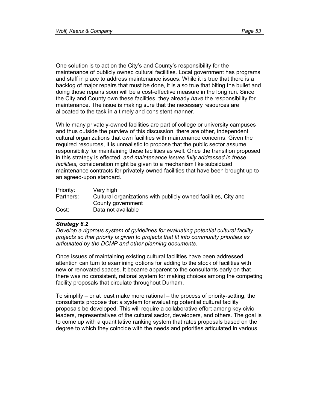One solution is to act on the City's and County's responsibility for the maintenance of publicly owned cultural facilities. Local government has programs and staff in place to address maintenance issues. While it is true that there is a backlog of major repairs that must be done, it is also true that biting the bullet and doing those repairs soon will be a cost-effective measure in the long run. Since the City and County own these facilities, they already *have* the responsibility for maintenance. The issue is making sure that the necessary resources are allocated to the task in a timely and consistent manner.

While many privately-owned facilities are part of college or university campuses and thus outside the purview of this discussion, there are other, independent cultural organizations that own facilities with maintenance concerns. Given the required resources, it is unrealistic to propose that the public sector assume responsibility for maintaining these facilities as well. Once the transition proposed in this strategy is effected, *and maintenance issues fully addressed in these facilities,* consideration might be given to a mechanism like subsidized maintenance contracts for privately owned facilities that have been brought up to an agreed-upon standard.

| Priority: | Very high                                                       |
|-----------|-----------------------------------------------------------------|
| Partners: | Cultural organizations with publicly owned facilities, City and |
|           | County government                                               |
| Cost:     | Data not available                                              |

# *Strategy 6.2*

*Develop a rigorous system of guidelines for evaluating potential cultural facility projects so that priority is given to projects that fit into community priorities as articulated by the DCMP and other planning documents.* 

Once issues of maintaining existing cultural facilities have been addressed, attention can turn to examining options for adding to the stock of facilities with new or renovated spaces. It became apparent to the consultants early on that there was no consistent, rational system for making choices among the competing facility proposals that circulate throughout Durham.

To simplify – or at least make more rational – the process of priority-setting, the consultants propose that a system for evaluating potential cultural facility proposals be developed. This will require a collaborative effort among key civic leaders, representatives of the cultural sector, developers, and others. The goal is to come up with a quantitative ranking system that rates proposals based on the degree to which they coincide with the needs and priorities articulated in various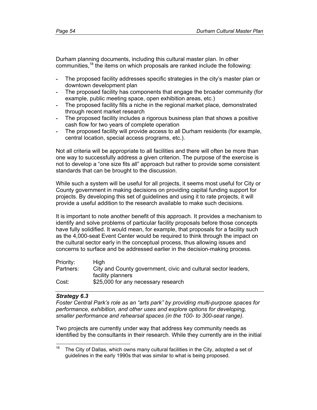Durham planning documents, including this cultural master plan. In other communities,<sup>18</sup> the items on which proposals are ranked include the following:

- The proposed facility addresses specific strategies in the city's master plan or downtown development plan
- The proposed facility has components that engage the broader community (for example, public meeting space, open exhibition areas, etc.)
- The proposed facility fills a niche in the regional market place, demonstrated through recent market research
- The proposed facility includes a rigorous business plan that shows a positive cash flow for two years of complete operation
- The proposed facility will provide access to all Durham residents (for example, central location, special access programs, etc.).

Not all criteria will be appropriate to all facilities and there will often be more than one way to successfully address a given criterion. The purpose of the exercise is not to develop a "one size fits all" approach but rather to provide some consistent standards that can be brought to the discussion.

While such a system will be useful for all projects, it seems most useful for City or County government in making decisions on providing capital funding support for projects. By developing this set of guidelines and using it to rate projects, it will provide a useful addition to the research available to make such decisions.

It is important to note another benefit of this approach. It provides a mechanism to identify and solve problems of particular facility proposals before those concepts have fully solidified. It would mean, for example, that proposals for a facility such as the 4,000-seat Event Center would be required to think through the impact on the cultural sector early in the conceptual process, thus allowing issues and concerns to surface and be addressed earlier in the decision-making process.

| Priority: | Hiah                                                           |
|-----------|----------------------------------------------------------------|
| Partners: | City and County government, civic and cultural sector leaders, |
|           | facility planners                                              |
| Cost:     | \$25,000 for any necessary research                            |

### *Strategy 6.3*

*Foster Central Park's role as an "arts park" by providing multi-purpose spaces for performance, exhibition, and other uses and explore options for developing, smaller performance and rehearsal spaces (in the 100- to 300-seat range).* 

Two projects are currently under way that address key community needs as identified by the consultants in their research. While they currently are in the initial

<sup>18</sup> The City of Dallas, which owns many cultural facilities in the City, adopted a set of guidelines in the early 1990s that was similar to what is being proposed.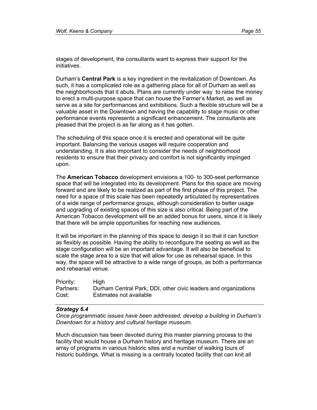stages of development, the consultants want to express their support for the initiatives.

Durham's **Central Park** is a key ingredient in the revitalization of Downtown. As such, it has a complicated role as a gathering place for all of Durham as well as the neighborhoods that it abuts. Plans are currently under way to raise the money to erect a multi-purpose space that can house the Farmer's Market, as well as serve as a site for performances and exhibitions. Such a flexible structure will be a valuable asset in the Downtown and having the capability to stage music or other performance events represents a significant enhancement. The consultants are pleased that the project is as far along as it has gotten.

The scheduling of this space once it is erected and operational will be quite important. Balancing the various usages will require cooperation and understanding. It is also important to consider the needs of neighborhood residents to ensure that their privacy and comfort is not significantly impinged upon.

The **American Tobacco** development envisions a 100- to 300-seat performance space that will be integrated into its development. Plans for this space are moving forward and are likely to be realized as part of the first phase of this project. The need for a space of this scale has been repeatedly articulated by representatives of a wide range of performance groups, although consideration to better usage and upgrading of existing spaces of this size is also critical. Being part of the American Tobacco development will be an added bonus for users, since it is likely that there will be ample opportunities for reaching new audiences.

It will be important in the planning of this space to design it so that it can function as flexibly as possible. Having the ability to reconfigure the seating as well as the stage configuration will be an important advantage. It will also be beneficial to scale the stage area to a size that will allow for use as rehearsal space. In this way, the space will be attractive to a wide range of groups, as both a performance and rehearsal venue.

| Priority: | High                                                            |
|-----------|-----------------------------------------------------------------|
| Partners: | Durham Central Park, DDI, other civic leaders and organizations |
| Cost:     | Estimates not available                                         |

#### *Strategy 6.4*

*Once programmatic issues have been addressed, develop a building in Durham's Downtown for a history and cultural heritage museum.* 

Much discussion has been devoted during this master planning process to the facility that would house a Durham history and heritage museum. There are an array of programs in various historic sites and a number of walking tours of historic buildings. What is missing is a centrally located facility that can knit all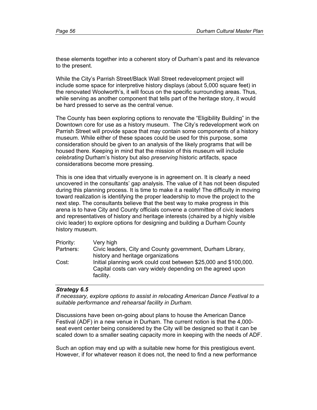these elements together into a coherent story of Durham's past and its relevance to the present.

While the City's Parrish Street/Black Wall Street redevelopment project will include some space for interpretive history displays (about 5,000 square feet) in the renovated Woolworth's, it will focus on the specific surrounding areas. Thus, while serving as another component that tells part of the heritage story, it would be hard pressed to serve as the central venue.

The County has been exploring options to renovate the "Eligibility Building" in the Downtown core for use as a history museum. The City's redevelopment work on Parrish Street will provide space that may contain some components of a history museum. While either of these spaces could be used for this purpose, some consideration should be given to an analysis of the likely programs that will be housed there. Keeping in mind that the mission of this museum will include *celebrating* Durham's history but also *preserving* historic artifacts, space considerations become more pressing.

This is one idea that virtually everyone is in agreement on. It is clearly a need uncovered in the consultants' gap analysis. The value of it has not been disputed during this planning process. It is time to make it a reality! The difficulty in moving toward realization is identifying the proper leadership to move the project to the next step. The consultants believe that the best way to make progress in this arena is to have City and County officials convene a committee of civic leaders and representatives of history and heritage interests (chaired by a highly visible civic leader) to explore options for designing and building a Durham County history museum.

| Priority: | Very high                                                        |
|-----------|------------------------------------------------------------------|
| Partners: | Civic leaders, City and County government, Durham Library,       |
|           | history and heritage organizations                               |
| Cost:     | Initial planning work could cost between \$25,000 and \$100,000. |
|           | Capital costs can vary widely depending on the agreed upon       |
|           | facility.                                                        |

### *Strategy 6.5*

*If necessary, explore options to assist in relocating American Dance Festival to a suitable performance and rehearsal facility in Durham.* 

Discussions have been on-going about plans to house the American Dance Festival (ADF) in a new venue in Durham. The current notion is that the 4,000 seat event center being considered by the City will be designed so that it can be scaled down to a smaller seating capacity more in keeping with the needs of ADF.

Such an option may end up with a suitable new home for this prestigious event. However, if for whatever reason it does not, the need to find a new performance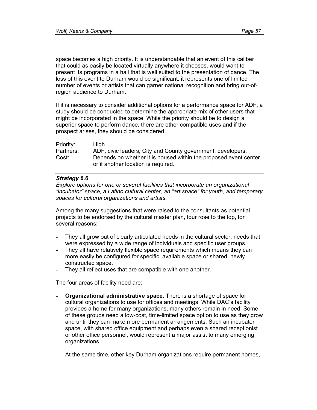space becomes a high priority. It is understandable that an event of this caliber that could as easily be located virtually anywhere it chooses, would want to present its programs in a hall that is well suited to the presentation of dance. The loss of this event to Durham would be significant: it represents one of limited number of events or artists that can garner national recognition and bring out-ofregion audience to Durham.

If it is necessary to consider additional options for a performance space for ADF, a study should be conducted to determine the appropriate mix of other users that might be incorporated in the space. While the priority should be to design a superior space to perform dance, there are other compatible uses and if the prospect arises, they should be considered.

| Priority: | <b>High</b>                                                                                             |
|-----------|---------------------------------------------------------------------------------------------------------|
| Partners: | ADF, civic leaders, City and County government, developers,                                             |
| Cost:     | Depends on whether it is housed within the proposed event center<br>or if another location is required. |

### *Strategy 6.6*

*Explore options for one or several facilities that incorporate an organizational "incubator" space, a Latino cultural center, an "art space" for youth, and temporary spaces for cultural organizations and artists.* 

Among the many suggestions that were raised to the consultants as potential projects to be endorsed by the cultural master plan, four rose to the top, for several reasons:

- They all grow out of clearly articulated needs in the cultural sector, needs that were expressed by a wide range of individuals and specific user groups.
- They all have relatively flexible space requirements which means they can more easily be configured for specific, available space or shared, newly constructed space.
- They all reflect uses that are compatible with one another.

The four areas of facility need are:

**- Organizational administrative space.** There is a shortage of space for cultural organizations to use for offices and meetings. While DAC's facility provides a home for many organizations, many others remain in need. Some of these groups need a low-cost, time-limited space option to use as they grow and until they can make more permanent arrangements. Such an incubator space, with shared office equipment and perhaps even a shared receptionist or other office personnel, would represent a major assist to many emerging organizations.

At the same time, other key Durham organizations require permanent homes,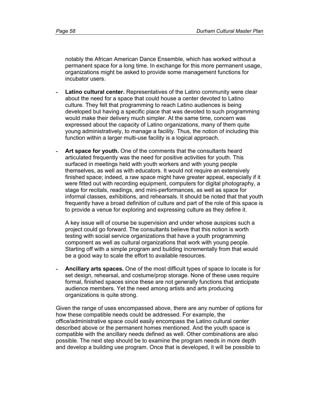notably the African American Dance Ensemble, which has worked without a permanent space for a long time. In exchange for this more permanent usage, organizations might be asked to provide some management functions for incubator users.

- Latino cultural center. Representatives of the Latino community were clear about the need for a space that could house a center devoted to Latino culture. They felt that programming to reach Latino audiences is being developed but having a specific place that was devoted to such programming would make their delivery much simpler. At the same time, concern was expressed about the capacity of Latino organizations, many of them quite young administratively, to manage a facility. Thus, the notion of including this function within a larger multi-use facility is a logical approach.
- Art space for youth. One of the comments that the consultants heard articulated frequently was the need for positive activities for youth. This surfaced in meetings held with youth workers and with young people themselves, as well as with educators. It would not require an extensively finished space; indeed, a raw space might have greater appeal, especially if it were fitted out with recording equipment, computers for digital photography, a stage for recitals, readings, and mini-performances, as well as space for informal classes, exhibitions, and rehearsals. It should be noted that that youth frequently have a broad definition of culture and part of the role of this space is to provide a venue for exploring and expressing culture as they define it.

A key issue will of course be supervision and under whose auspices such a project could go forward. The consultants believe that this notion is worth testing with social service organizations that have a youth programming component as well as cultural organizations that work with young people. Starting off with a simple program and building incrementally from that would be a good way to scale the effort to available resources.

**- Ancillary arts spaces.** One of the most difficult types of space to locate is for set design, rehearsal, and costume/prop storage. None of these uses require formal, finished spaces since these are not generally functions that anticipate audience members. Yet the need among artists and arts producing organizations is quite strong.

Given the range of uses encompassed above, there are any number of options for how these compatible needs could be addressed. For example, the office/administrative space could easily encompass the Latino cultural center described above or the permanent homes mentioned. And the youth space is compatible with the ancillary needs defined as well. Other combinations are also possible. The next step should be to examine the program needs in more depth and develop a building use program. Once that is developed, it will be possible to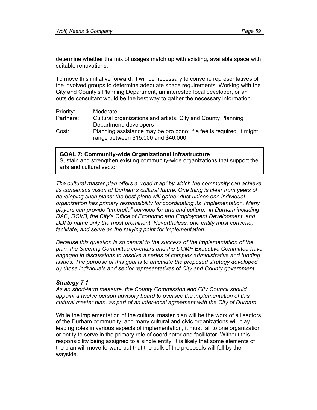determine whether the mix of usages match up with existing, available space with suitable renovations.

To move this initiative forward, it will be necessary to convene representatives of the involved groups to determine adequate space requirements. Working with the City and County's Planning Department, an interested local developer, or an outside consultant would be the best way to gather the necessary information.

| Priority: | Moderate                                                            |
|-----------|---------------------------------------------------------------------|
| Partners: | Cultural organizations and artists, City and County Planning        |
|           | Department, developers                                              |
| Cost:     | Planning assistance may be pro bono; if a fee is required, it might |
|           | range between \$15,000 and \$40,000                                 |

#### **GOAL 7: Community-wide Organizational Infrastructure**

Sustain and strengthen existing community-wide organizations that support the arts and cultural sector.

*The cultural master plan offers a "road map" by which the community can achieve its consensus vision of Durham's cultural future. One thing is clear from years of developing such plans: the best plans will gather dust unless one individual organization has primary responsibility for coordinating its implementation. Many players can provide "umbrella" services for arts and culture, in Durham including*  DAC, DCVB, the City's Office of Economic and Employment Development, and *DDI to name only the most prominent. Nevertheless, one entity must convene, facilitate, and serve as the rallying point for implementation.* 

*Because this question is so central to the success of the implementation of the plan, the Steering Committee co-chairs and the DCMP Executive Committee have engaged in discussions to resolve a series of complex administrative and funding issues. The purpose of this goal is to articulate the proposed strategy developed by those individuals and senior representatives of City and County government.* 

#### *Strategy 7.1*

*As an short-term measure, the County Commission and City Council should appoint a twelve person advisory board to oversee the implementation of this cultural master plan, as part of an inter-local agreement with the City of Durham.* 

While the implementation of the cultural master plan will be the work of all sectors of the Durham community, and many cultural and civic organizations will play leading roles in various aspects of implementation, it must fall to one organization or entity to serve in the primary role of coordinator and facilitator. Without this responsibility being assigned to a single entity, it is likely that some elements of the plan will move forward but that the bulk of the proposals will fall by the wayside.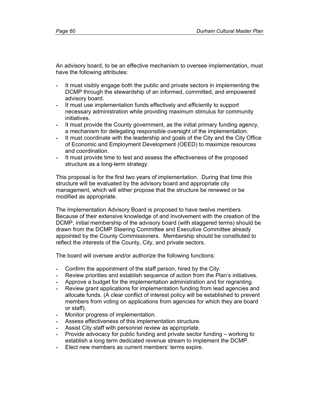An advisory board, to be an effective mechanism to oversee implementation, must have the following attributes:

- It must visibly engage both the public and private sectors in implementing the DCMP through the stewardship of an informed, committed, and empowered advisory board.
- It must use implementation funds effectively and efficiently to support necessary administration while providing maximum stimulus for community initiatives.
- It must provide the County government, as the initial primary funding agency, a mechanism for delegating responsible oversight of the implementation.
- It must coordinate with the leadership and goals of the City and the City Office of Economic and Employment Development (OEED) to maximize resources and coordination.
- It must provide time to test and assess the effectiveness of the proposed structure as a long-term strategy.

This proposal is for the first two years of implementation. During that time this structure will be evaluated by the advisory board and appropriate city management, which will either propose that the structure be renewed or be modified as appropriate.

The Implementation Advisory Board is proposed to have twelve members. Because of their extensive knowledge of and involvement with the creation of the DCMP, initial membership of the advisory board (with staggered terms) should be drawn from the DCMP Steering Committee and Executive Committee already appointed by the County Commissioners. Membership should be constituted to reflect the interests of the County, City, and private sectors.

The board will oversee and/or authorize the following functions:

- Confirm the appointment of the staff person, hired by the City.
- Review priorities and establish sequence of action from the Plan's initiatives.
- Approve a budget for the implementation administration and for regranting.
- Review grant applications for implementation funding from lead agencies and allocate funds. (A clear conflict of interest policy will be established to prevent members from voting on applications from agencies for which they are board or staff).
- Monitor progress of implementation.
- Assess effectiveness of this implementation structure.
- Assist City staff with personnel review as appropriate.
- Provide advocacy for public funding and private sector funding working to establish a long term dedicated revenue stream to implement the DCMP.
- Elect new members as current members' terms expire.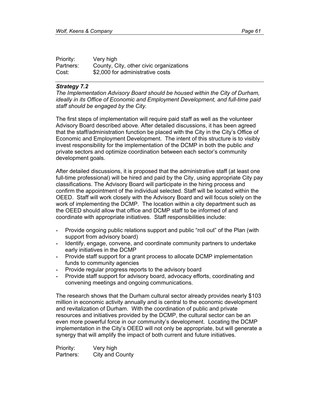| Priority: | Very high                               |
|-----------|-----------------------------------------|
| Partners: | County, City, other civic organizations |
| Cost:     | \$2,000 for administrative costs        |

#### *Strategy 7.2*

*The Implementation Advisory Board should be housed within the City of Durham, ideally in its Office of Economic and Employment Development, and full-time paid staff should be engaged by the City.* 

The first steps of implementation will require paid staff as well as the volunteer Advisory Board described above. After detailed discussions, it has been agreed that the staff/administration function be placed with the City in the City's Office of Economic and Employment Development. The intent of this structure is to visibly invest responsibility for the implementation of the DCMP in both the public *and* private sectors and optimize coordination between each sector's community development goals.

After detailed discussions, it is proposed that the administrative staff (at least one full-time professional) will be hired and paid by the City, using appropriate City pay classifications. The Advisory Board will participate in the hiring process and confirm the appointment of the individual selected. Staff will be located within the OEED. Staff will work closely with the Advisory Board and will focus solely on the work of implementing the DCMP. The location within a city department such as the OEED should allow that office and DCMP staff to be informed of and coordinate with appropriate initiatives. Staff responsibilities include:

- Provide ongoing public relations support and public "roll out" of the Plan (with support from advisory board)
- Identify, engage, convene, and coordinate community partners to undertake early initiatives in the DCMP
- Provide staff support for a grant process to allocate DCMP implementation funds to community agencies
- Provide regular progress reports to the advisory board
- Provide staff support for advisory board, advocacy efforts, coordinating and convening meetings and ongoing communications.

The research shows that the Durham cultural sector already provides nearly \$103 million in economic activity annually and is central to the economic development and revitalization of Durham. With the coordination of public and private resources and initiatives provided by the DCMP, the cultural sector can be an even more powerful force in our community's development. Locating the DCMP implementation in the City's OEED will not only be appropriate, but will generate a synergy that will amplify the impact of both current and future initiatives.

Priority: Very high Partners: City and County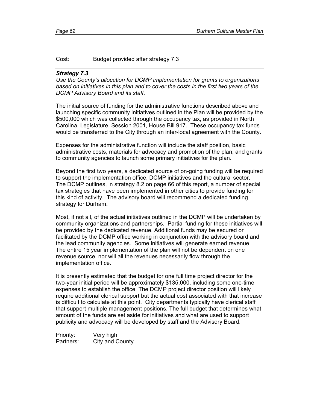## Cost: Budget provided after strategy 7.3

#### *Strategy 7.3*

*Use the County's allocation for DCMP implementation for grants to organizations based on initiatives in this plan and to cover the costs in the first two years of the DCMP Advisory Board and its staff.* 

The initial source of funding for the administrative functions described above and launching specific community initiatives outlined in the Plan will be provided by the \$500,000 which was collected through the occupancy tax, as provided in North Carolina. Legislature, Session 2001, House Bill 917. These occupancy tax funds would be transferred to the City through an inter-local agreement with the County.

Expenses for the administrative function will include the staff position, basic administrative costs, materials for advocacy and promotion of the plan, and grants to community agencies to launch some primary initiatives for the plan.

Beyond the first two years, a dedicated source of on-going funding will be required to support the implementation office, DCMP initiatives and the cultural sector. The DCMP outlines, in strategy 8.2 on page 66 of this report, a number of special tax strategies that have been implemented in other cities to provide funding for this kind of activity. The advisory board will recommend a dedicated funding strategy for Durham.

Most, if not all, of the actual initiatives outlined in the DCMP will be undertaken by community organizations and partnerships. Partial funding for these initiatives will be provided by the dedicated revenue. Additional funds may be secured or facilitated by the DCMP office working in conjunction with the advisory board and the lead community agencies. Some initiatives will generate earned revenue. The entire 15 year implementation of the plan will not be dependent on one revenue source, nor will all the revenues necessarily flow through the implementation office.

It is presently estimated that the budget for one full time project director for the two-year initial period will be approximately \$135,000, including some one-time expenses to establish the office. The DCMP project director position will likely require additional clerical support but the actual cost associated with that increase is difficult to calculate at this point*.* City departments typically have clerical staff that support multiple management positions. The full budget that determines what amount of the funds are set aside for initiatives and what are used to support publicity and advocacy will be developed by staff and the Advisory Board.

Priority: Very high Partners: City and County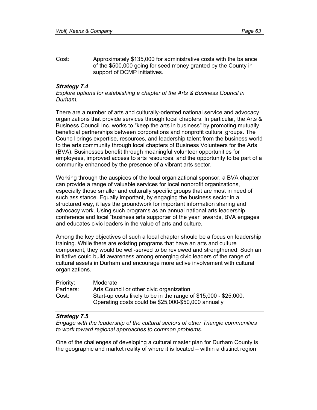Cost: Approximately \$135,000 for administrative costs with the balance of the \$500,000 going for seed money granted by the County in support of DCMP initiatives.

### *Strategy 7.4*

*Explore options for establishing a chapter of the Arts & Business Council in Durham.* 

There are a number of arts and culturally-oriented national service and advocacy organizations that provide services through local chapters. In particular, the Arts & Business Council Inc. works to "keep the arts in business" by promoting mutually beneficial partnerships between corporations and nonprofit cultural groups. The Council brings expertise, resources, and leadership talent from the business world to the arts community through local chapters of Business Volunteers for the Arts (BVA). Businesses benefit through meaningful volunteer opportunities for employees, improved access to arts resources, and the opportunity to be part of a community enhanced by the presence of a vibrant arts sector.

Working through the auspices of the local organizational sponsor, a BVA chapter can provide a range of valuable services for local nonprofit organizations, especially those smaller and culturally specific groups that are most in need of such assistance. Equally important, by engaging the business sector in a structured way, it lays the groundwork for important information sharing and advocacy work. Using such programs as an annual national arts leadership conference and local "business arts supporter of the year" awards, BVA engages and educates civic leaders in the value of arts and culture.

Among the key objectives of such a local chapter should be a focus on leadership training. While there are existing programs that have an arts and culture component, they would be well-served to be reviewed and strengthened. Such an initiative could build awareness among emerging civic leaders of the range of cultural assets in Durham and encourage more active involvement with cultural organizations.

| Priority: | Moderate                                                         |
|-----------|------------------------------------------------------------------|
| Partners: | Arts Council or other civic organization                         |
| Cost:     | Start-up costs likely to be in the range of \$15,000 - \$25,000. |
|           | Operating costs could be \$25,000-\$50,000 annually              |

#### *Strategy 7.5*

*Engage with the leadership of the cultural sectors of other Triangle communities to work toward regional approaches to common problems.* 

One of the challenges of developing a cultural master plan for Durham County is the geographic and market reality of where it is located – within a distinct region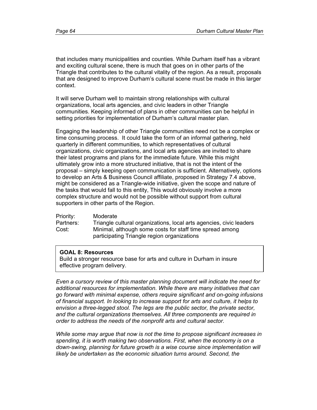that includes many municipalities and counties. While Durham itself has a vibrant and exciting cultural scene, there is much that goes on in other parts of the Triangle that contributes to the cultural vitality of the region. As a result, proposals that are designed to improve Durham's cultural scene must be made in this larger context.

It will serve Durham well to maintain strong relationships with cultural organizations, local arts agencies, and civic leaders in other Triangle communities. Keeping informed of plans in other communities can be helpful in setting priorities for implementation of Durham's cultural master plan.

Engaging the leadership of other Triangle communities need not be a complex or time consuming process. It could take the form of an informal gathering, held quarterly in different communities, to which representatives of cultural organizations, civic organizations, and local arts agencies are invited to share their latest programs and plans for the immediate future. While this might ultimately grow into a more structured initiative, that is not the intent of the proposal – simply keeping open communication is sufficient. Alternatively, options to develop an Arts & Business Council affiliate, proposed in Strategy 7.4 above, might be considered as a Triangle-wide initiative, given the scope and nature of the tasks that would fall to this entity, This would obviously involve a more complex structure and would not be possible without support from cultural supporters in other parts of the Region.

Priority: Moderate Partners: Triangle cultural organizations, local arts agencies, civic leaders Cost: Minimal, although some costs for staff time spread among participating Triangle region organizations

# **GOAL 8: Resources**

Build a stronger resource base for arts and culture in Durham in insure effective program delivery.

*Even a cursory review of this master planning document will indicate the need for additional resources for implementation. While there are many initiatives that can go forward with minimal expense, others require significant and on-going infusions of financial support. In looking to increase support for arts and culture, it helps to envision a three-legged stool. The legs are the public sector, the private sector, and the cultural organizations themselves. All three components are required in order to address the needs of the nonprofit arts and cultural sector.* 

*While some may argue that now is not the time to propose significant increases in spending, it is worth making two observations. First, when the economy is on a down-swing, planning for future growth is a wise course since implementation will*  likely be undertaken as the economic situation turns around. Second, the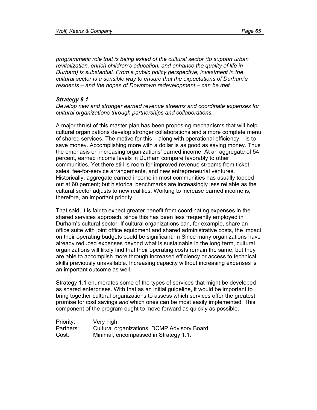*programmatic role that is being asked of the cultural sector (to support urban revitalization, enrich children's education, and enhance the quality of life in Durham) is substantial. From a public policy perspective, investment in the cultural sector is a sensible way to ensure that the expectations of Durham's residents – and the hopes of Downtown redevelopment – can be met.* 

#### *Strategy 8.1*

*Develop new and stronger earned revenue streams and coordinate expenses for cultural organizations through partnerships and collaborations.* 

A major thrust of this master plan has been proposing mechanisms that will help cultural organizations develop stronger collaborations and a more complete menu of shared services. The motive for this – along with operational efficiency – is to save money. Accomplishing more with a dollar is as good as saving money. Thus the emphasis on increasing organizations' earned income. At an aggregate of 54 percent, earned income levels in Durham compare favorably to other communities. Yet there still is room for improved revenue streams from ticket sales, fee-for-service arrangements, and new entrepreneurial ventures. Historically, aggregate earned income in most communities has usually topped out at 60 percent; but historical benchmarks are increasingly less reliable as the cultural sector adjusts to new realities. Working to increase earned income is, therefore, an important priority.

That said, it is fair to expect greater benefit from coordinating expenses in the shared services approach, since this has been less frequently employed in Durham's cultural sector. If cultural organizations can, for example, share an office suite with joint office equipment and shared administrative costs, the impact on their operating budgets could be significant. In Since many organizations have already reduced expenses beyond what is sustainable in the long term, cultural organizations will likely find that their operating costs remain the same, but they are able to accomplish more through increased efficiency or access to technical skills previously unavailable. Increasing capacity without increasing expenses is an important outcome as well.

Strategy 1.1 enumerates some of the types of services that might be developed as shared enterprises. With that as an initial guideline, it would be important to bring together cultural organizations to assess which services offer the greatest promise for cost savings *and* which ones can be most easily implemented. This component of the program ought to move forward as quickly as possible.

| Priority: | Very high                                   |
|-----------|---------------------------------------------|
| Partners: | Cultural organizations, DCMP Advisory Board |
| Cost:     | Minimal, encompassed in Strategy 1.1.       |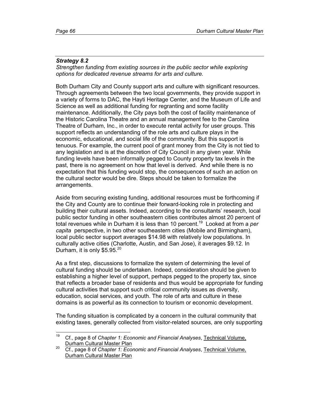## *Strategy 8.2*

*Strengthen funding from existing sources in the public sector while exploring options for dedicated revenue streams for arts and culture.* 

Both Durham City and County support arts and culture with significant resources. Through agreements between the two local governments, they provide support in a variety of forms to DAC, the Hayti Heritage Center, and the Museum of Life and Science as well as additional funding for regranting and some facility maintenance. Additionally, the City pays both the cost of facility maintenance of the Historic Carolina Theatre and an annual management fee to the Carolina Theatre of Durham, Inc., in order to execute rental activity for user groups. This support reflects an understanding of the role arts and culture plays in the economic, educational, and social life of the community. But this support is tenuous. For example, the current pool of grant money from the City is not tied to any legislation and is at the discretion of City Council in any given year. While funding levels have been informally pegged to County property tax levels in the past, there is no agreement on how that level is derived. And while there is no expectation that this funding would stop, the consequences of such an action on the cultural sector would be dire. Steps should be taken to formalize the arrangements.

Aside from securing existing funding, additional resources must be forthcoming if the City and County are to continue their forward-looking role in protecting and building their cultural assets. Indeed, according to the consultants' research, local public sector funding in other southeastern cities contributes almost 20 percent of total revenues while in Durham it is less than 10 percent.19 Looked at from a *per capita* perspective, in two other southeastern cities (Mobile and Birmingham), local public sector support averages \$14.98 with relatively low populations. In culturally active cities (Charlotte, Austin, and San Jose), it averages \$9.12. In Durham, it is only  $$5.95.<sup>20</sup>$ 

As a first step, discussions to formalize the system of determining the level of cultural funding should be undertaken. Indeed, consideration should be given to establishing a higher level of support, perhaps pegged to the property tax, since that reflects a broader base of residents and thus would be appropriate for funding cultural activities that support such critical community issues as diversity, education, social services, and youth. The role of arts and culture in these domains is as powerful as its connection to tourism or economic development.

The funding situation is complicated by a concern in the cultural community that existing taxes, generally collected from visitor-related sources, are only supporting

 $19$ 19 Cf., page 8 of *Chapter 1: Economic and Financial Analyses*, Technical Volume, Durham Cultural Master Plan

<sup>20</sup> Cf., page 8 of *Chapter 1: Economic and Financial Analyses*, Technical Volume, Durham Cultural Master Plan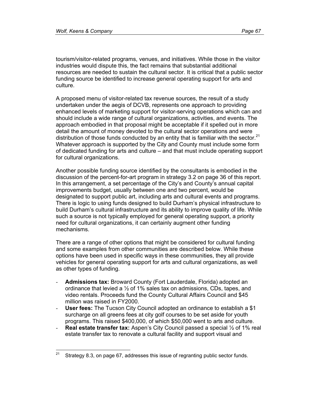tourism/visitor-related programs, venues, and initiatives. While those in the visitor industries would dispute this, the fact remains that substantial additional resources are needed to sustain the cultural sector. It is critical that a public sector funding source be identified to increase general operating support for arts and culture.

A proposed menu of visitor-related tax revenue sources, the result of a study undertaken under the aegis of DCVB, represents one approach to providing enhanced levels of marketing support for visitor-serving operations which can and should include a wide range of cultural organizations, activities, and events. The approach embodied in that proposal might be acceptable if it spelled out in more detail the amount of money devoted to the cultural sector operations and were distribution of those funds conducted by an entity that is familiar with the sector. $21$ Whatever approach is supported by the City and County must include some form of dedicated funding for arts and culture – and that must include operating support for cultural organizations.

Another possible funding source identified by the consultants is embodied in the discussion of the percent-for-art program in strategy 3.2 on page 36 of this report. In this arrangement, a set percentage of the City's and County's annual capital improvements budget, usually between one and two percent, would be designated to support public art, including arts and cultural events and programs. There is logic to using funds designed to build Durham's physical infrastructure to build Durham's cultural infrastructure and its ability to improve quality of life. While such a source is not typically employed for general operating support, a priority need for cultural organizations, it can certainly augment other funding mechanisms.

There are a range of other options that might be considered for cultural funding and some examples from other communities are described below. While these options have been used in specific ways in these communities, they all provide vehicles for general operating support for arts and cultural organizations, as well as other types of funding.

- **Admissions tax:** Broward County (Fort Lauderdale, Florida) adopted an ordinance that levied a ½ of 1% sales tax on admissions, CDs, tapes, and video rentals. Proceeds fund the County Cultural Affairs Council and \$45 million was raised in FY2000.
- **User fees:** The Tucson City Council adopted an ordinance to establish a \$1 surcharge on all greens fees at city golf courses to be set aside for youth programs. This raised \$400,000, of which \$50,000 went to arts and culture.
- **Real estate transfer tax:** Aspen's City Council passed a special 1/2 of 1% real estate transfer tax to renovate a cultural facility and support visual and

 $21$ Strategy 8.3, on page 67, addresses this issue of regranting public sector funds.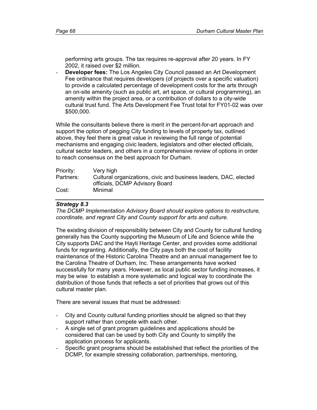performing arts groups. The tax requires re-approval after 20 years. In FY 2002, it raised over \$2 million.

- **Developer fees:** The Los Angeles City Council passed an Art Development Fee ordinance that requires developers (of projects over a specific valuation) to provide a calculated percentage of development costs for the arts through an on-site amenity (such as public art, art space, or cultural programming), an amenity within the project area, or a contribution of dollars to a city-wide cultural trust fund. The Arts Development Fee Trust total for FY01-02 was over \$500,000.

While the consultants believe there is merit in the percent-for-art approach and support the option of pegging City funding to levels of property tax, outlined above, they feel there is great value in reviewing the full range of potential mechanisms and engaging civic leaders, legislators and other elected officials, cultural sector leaders, and others in a comprehensive review of options in order to reach consensus on the best approach for Durham.

| Priority: | Very high                                                        |
|-----------|------------------------------------------------------------------|
| Partners: | Cultural organizations, civic and business leaders, DAC, elected |
|           | officials, DCMP Advisory Board                                   |
| Cost:     | Minimal                                                          |

### *Strategy 8.3*

*The DCMP Implementation Advisory Board should explore options to restructure, coordinate, and regrant City and County support for arts and culture.* 

The existing division of responsibility between City and County for cultural funding generally has the County supporting the Museum of Life and Science while the City supports DAC and the Hayti Heritage Center, and provides some additional funds for regranting. Additionally, the City pays both the cost of facility maintenance of the Historic Carolina Theatre and an annual management fee to the Carolina Theatre of Durham, Inc. These arrangements have worked successfully for many years. However, as local public sector funding increases, it may be wise to establish a more systematic and logical way to coordinate the distribution of those funds that reflects a set of priorities that grows out of this cultural master plan.

There are several issues that must be addressed:

- City and County cultural funding priorities should be aligned so that they support rather than compete with each other.
- A single set of grant program guidelines and applications should be considered that can be used by both City and County to simplify the application process for applicants.
- Specific grant programs should be established that reflect the priorities of the DCMP, for example stressing collaboration, partnerships, mentoring,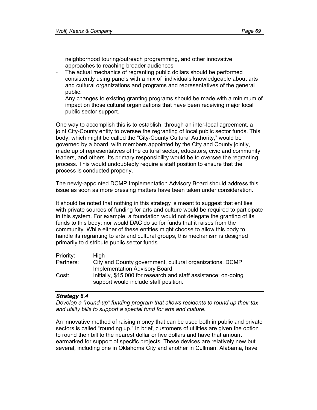neighborhood touring/outreach programming, and other innovative approaches to reaching broader audiences

- The actual mechanics of regranting public dollars should be performed consistently using panels with a mix of individuals knowledgeable about arts and cultural organizations and programs and representatives of the general public.
- Any changes to existing granting programs should be made with a minimum of impact on those cultural organizations that have been receiving major local public sector support.

One way to accomplish this is to establish, through an inter-local agreement, a joint City-County entity to oversee the regranting of local public sector funds. This body, which might be called the "City-County Cultural Authority," would be governed by a board, with members appointed by the City and County jointly, made up of representatives of the cultural sector, educators, civic and community leaders, and others. Its primary responsibility would be to oversee the regranting process. This would undoubtedly require a staff position to ensure that the process is conducted properly.

The newly-appointed DCMP Implementation Advisory Board should address this issue as soon as more pressing matters have been taken under consideration.

It should be noted that nothing in this strategy is meant to suggest that entities with private sources of funding for arts and culture would be required to participate in this system. For example, a foundation would not delegate the granting of its funds to this body; nor would DAC do so for funds that it raises from the community. While either of these entities might choose to allow this body to handle its regranting to arts and cultural groups, this mechanism is designed primarily to distribute public sector funds.

| Priority: | High                                                            |
|-----------|-----------------------------------------------------------------|
| Partners: | City and County government, cultural organizations, DCMP        |
|           | <b>Implementation Advisory Board</b>                            |
| Cost:     | Initially, \$15,000 for research and staff assistance; on-going |
|           | support would include staff position.                           |

### *Strategy 8.4*

*Develop a "round-up" funding program that allows residents to round up their tax and utility bills to support a special fund for arts and culture.* 

An innovative method of raising money that can be used both in public and private sectors is called "rounding up." In brief, customers of utilities are given the option to round their bill to the nearest dollar or five dollars and have that amount earmarked for support of specific projects. These devices are relatively new but several, including one in Oklahoma City and another in Cullman, Alabama, have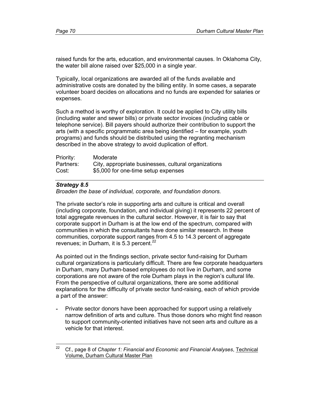raised funds for the arts, education, and environmental causes. In Oklahoma City, the water bill alone raised over \$25,000 in a single year.

Typically, local organizations are awarded all of the funds available and administrative costs are donated by the billing entity. In some cases, a separate volunteer board decides on allocations and no funds are expended for salaries or expenses.

Such a method is worthy of exploration. It could be applied to City utility bills (including water and sewer bills) or private sector invoices (including cable or telephone service). Bill payers should authorize their contribution to support the arts (with a specific programmatic area being identified – for example, youth programs) and funds should be distributed using the regranting mechanism described in the above strategy to avoid duplication of effort.

| Priority: | Moderate                                             |
|-----------|------------------------------------------------------|
| Partners: | City, appropriate businesses, cultural organizations |
| Cost:     | \$5,000 for one-time setup expenses                  |

## *Strategy 8.5*

*Broaden the base of individual, corporate, and foundation donors.* 

The private sector's role in supporting arts and culture is critical and overall (including corporate, foundation, and individual giving) it represents 22 percent of total aggregate revenues in the cultural sector. However, it is fair to say that corporate support in Durham is at the low end of the spectrum, compared with communities in which the consultants have done similar research. In these communities, corporate support ranges from 4.5 to 14.3 percent of aggregate revenues; in Durham, it is  $5.3$  percent.<sup>22</sup>

As pointed out in the findings section, private sector fund-raising for Durham cultural organizations is particularly difficult. There are few corporate headquarters in Durham, many Durham-based employees do not live in Durham, and some corporations are not aware of the role Durham plays in the region's cultural life. From the perspective of cultural organizations, there are some additional explanations for the difficulty of private sector fund-raising, each of which provide a part of the answer:

**-** Private sector donors have been approached for support using a relatively narrow definition of arts and culture. Thus those donors who might find reason to support community-oriented initiatives have not seen arts and culture as a vehicle for that interest.

<sup>22</sup> 22 Cf., page 8 of *Chapter 1: Financial and Economic and Financial Analyses*, Technical Volume, Durham Cultural Master Plan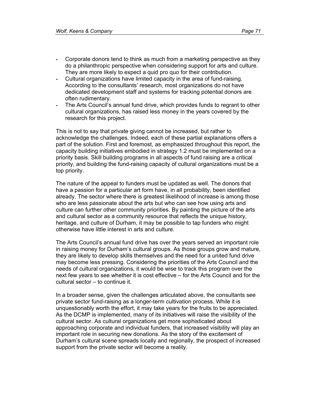- Corporate donors tend to think as much from a marketing perspective as they do a philanthropic perspective when considering support for arts and culture. They are more likely to expect a quid pro quo for their contribution.
- Cultural organizations have limited capacity in the area of fund-raising. According to the consultants' research, most organizations do not have dedicated development staff and systems for tracking potential donors are often rudimentary.
- The Arts Council's annual fund drive, which provides funds to regrant to other cultural organizations, has raised less money in the years covered by the research for this project.

This is not to say that private giving cannot be increased, but rather to acknowledge the challenges. Indeed, each of these partial explanations offers a part of the solution. First and foremost, as emphasized throughout this report, the capacity building initiatives embodied in strategy 1.2 must be implemented on a priority basis. Skill building programs in all aspects of fund raising are a critical priority, and building the fund-raising capacity of cultural organizations must be a top priority.

The nature of the appeal to funders must be updated as well. The donors that have a passion for a particular art form have, in all probability, been identified already. The sector where there is greatest likelihood of increase is among those who are less passionate about the arts but who can see how using arts and culture can further other community priorities. By painting the picture of the arts and cultural sector as a community resource that reflects the unique history, heritage, and culture of Durham, it may be possible to tap funders who might otherwise have little interest in arts and culture.

The Arts Council's annual fund drive has over the years served an important role in raising money for Durham's cultural groups. As those groups grow and mature, they are likely to develop skills themselves and the need for a united fund drive may become less pressing. Considering the priorities of the Arts Council and the needs of cultural organizations, it would be wise to track this program over the next few years to see whether it is cost effective – for the Arts Council and for the cultural sector – to continue it.

In a broader sense, given the challenges articulated above, the consultants see private sector fund-raising as a longer-term cultivation process. While it is unquestionably worth the effort, it may take years for the fruits to be appreciated. As the DCMP is implemented, many of its initiatives will raise the visibility of the cultural sector. As cultural organizations get more sophisticated about approaching corporate and individual funders, that increased visibility will play an important role in securing new donations. As the story of the excitement of Durham's cultural scene spreads locally and regionally, the prospect of increased support from the private sector will become a reality.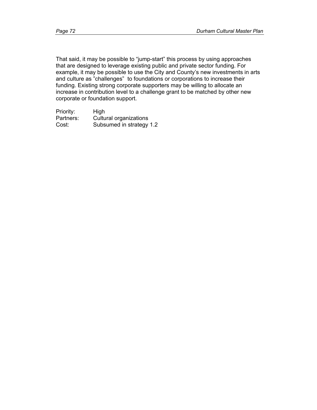That said, it may be possible to "jump-start" this process by using approaches that are designed to leverage existing public and private sector funding. For example, it may be possible to use the City and County's new investments in arts and culture as "challenges" to foundations or corporations to increase their funding. Existing strong corporate supporters may be willing to allocate an increase in contribution level to a challenge grant to be matched by other new corporate or foundation support.

| Priority: | High                     |
|-----------|--------------------------|
| Partners: | Cultural organizations   |
| Cost:     | Subsumed in strategy 1.2 |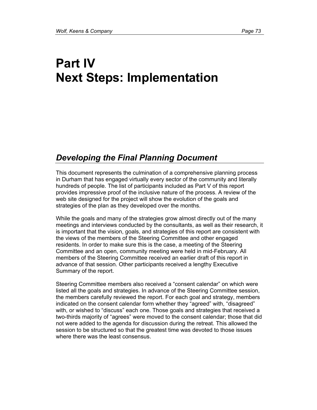# **Part IV Next Steps: Implementation**

## *Developing the Final Planning Document*

This document represents the culmination of a comprehensive planning process in Durham that has engaged virtually every sector of the community and literally hundreds of people. The list of participants included as Part V of this report provides impressive proof of the inclusive nature of the process. A review of the web site designed for the project will show the evolution of the goals and strategies of the plan as they developed over the months.

While the goals and many of the strategies grow almost directly out of the many meetings and interviews conducted by the consultants, as well as their research, it is important that the vision, goals, and strategies of this report are consistent with the views of the members of the Steering Committee and other engaged residents. In order to make sure this is the case, a meeting of the Steering Committee and an open, community meeting were held in mid-February. All members of the Steering Committee received an earlier draft of this report in advance of that session. Other participants received a lengthy Executive Summary of the report.

Steering Committee members also received a "consent calendar" on which were listed all the goals and strategies. In advance of the Steering Committee session, the members carefully reviewed the report. For each goal and strategy, members indicated on the consent calendar form whether they "agreed" with, "disagreed" with, or wished to "discuss" each one. Those goals and strategies that received a two-thirds majority of "agrees" were moved to the consent calendar; those that did not were added to the agenda for discussion during the retreat. This allowed the session to be structured so that the greatest time was devoted to those issues where there was the least consensus.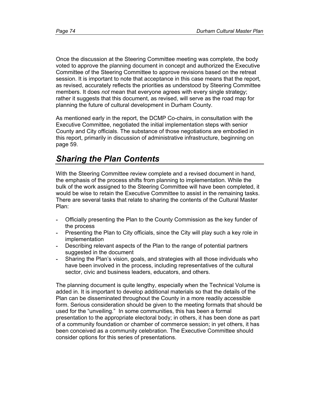Once the discussion at the Steering Committee meeting was complete, the body voted to approve the planning document in concept and authorized the Executive Committee of the Steering Committee to approve revisions based on the retreat session. It is important to note that acceptance in this case means that the report, as revised, accurately reflects the priorities as understood by Steering Committee members. It does *not* mean that everyone agrees with every single strategy; rather it suggests that this document, as revised, will serve as the road map for planning the future of cultural development in Durham County.

As mentioned early in the report, the DCMP Co-chairs, in consultation with the Executive Committee, negotiated the initial implementation steps with senior County and City officials. The substance of those negotiations are embodied in this report, primarily in discussion of administrative infrastructure, beginning on page 59.

#### *Sharing the Plan Contents*

With the Steering Committee review complete and a revised document in hand, the emphasis of the process shifts from planning to implementation. While the bulk of the work assigned to the Steering Committee will have been completed, it would be wise to retain the Executive Committee to assist in the remaining tasks. There are several tasks that relate to sharing the contents of the Cultural Master Plan:

- Officially presenting the Plan to the County Commission as the key funder of the process
- Presenting the Plan to City officials, since the City will play such a key role in implementation
- Describing relevant aspects of the Plan to the range of potential partners suggested in the document
- Sharing the Plan's vision, goals, and strategies with all those individuals who have been involved in the process, including representatives of the cultural sector, civic and business leaders, educators, and others.

The planning document is quite lengthy, especially when the Technical Volume is added in. It is important to develop additional materials so that the details of the Plan can be disseminated throughout the County in a more readily accessible form. Serious consideration should be given to the meeting formats that should be used for the "unveiling." In some communities, this has been a formal presentation to the appropriate electoral body; in others, it has been done as part of a community foundation or chamber of commerce session; in yet others, it has been conceived as a community celebration. The Executive Committee should consider options for this series of presentations.